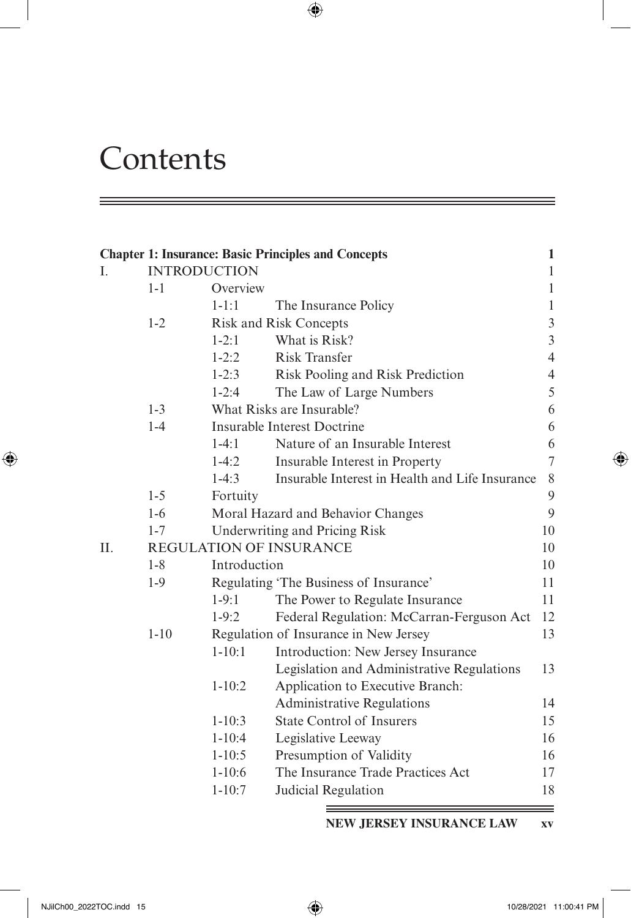# **Contents**

|    |                     |              | <b>Chapter 1: Insurance: Basic Principles and Concepts</b> | 1              |  |  |
|----|---------------------|--------------|------------------------------------------------------------|----------------|--|--|
| I. | <b>INTRODUCTION</b> |              |                                                            | $\mathbf{1}$   |  |  |
|    | $1 - 1$             | Overview     |                                                            | $\mathbf{1}$   |  |  |
|    |                     | $1 - 1:1$    | The Insurance Policy                                       | $\mathbf{1}$   |  |  |
|    | $1 - 2$             |              | <b>Risk and Risk Concepts</b>                              | 3              |  |  |
|    |                     | $1 - 2:1$    | What is Risk?                                              | 3              |  |  |
|    |                     | $1 - 2:2$    | <b>Risk Transfer</b>                                       | $\overline{4}$ |  |  |
|    |                     | $1 - 2:3$    | Risk Pooling and Risk Prediction                           | $\overline{4}$ |  |  |
|    |                     | $1 - 2:4$    | The Law of Large Numbers                                   | 5              |  |  |
|    | $1 - 3$             |              | What Risks are Insurable?                                  | 6              |  |  |
|    | $1 - 4$             |              | Insurable Interest Doctrine                                | 6              |  |  |
|    |                     | $1-4:1$      | Nature of an Insurable Interest                            | 6              |  |  |
|    |                     | $1-4:2$      | Insurable Interest in Property                             | $\overline{7}$ |  |  |
|    |                     | $1-4:3$      | Insurable Interest in Health and Life Insurance            | $8\,$          |  |  |
|    | $1 - 5$             | Fortuity     |                                                            | 9              |  |  |
|    | $1-6$               |              | Moral Hazard and Behavior Changes                          | 9              |  |  |
|    | $1 - 7$             |              | 10<br>Underwriting and Pricing Risk                        |                |  |  |
| П. |                     |              | <b>REGULATION OF INSURANCE</b>                             | 10             |  |  |
|    | $1 - 8$             | Introduction |                                                            | 10             |  |  |
|    | $1-9$               |              | Regulating 'The Business of Insurance'                     | 11             |  |  |
|    |                     | $1-9:1$      | The Power to Regulate Insurance                            | 11             |  |  |
|    |                     | $1-9:2$      | Federal Regulation: McCarran-Ferguson Act                  | 12             |  |  |
|    | $1 - 10$            |              | Regulation of Insurance in New Jersey                      | 13             |  |  |
|    |                     | $1 - 10:1$   | Introduction: New Jersey Insurance                         |                |  |  |
|    |                     |              | Legislation and Administrative Regulations                 | 13             |  |  |
|    |                     | $1 - 10:2$   | Application to Executive Branch:                           |                |  |  |
|    |                     |              | <b>Administrative Regulations</b>                          | 14             |  |  |
|    |                     | $1 - 10:3$   | <b>State Control of Insurers</b>                           | 15             |  |  |
|    |                     | $1 - 10:4$   | Legislative Leeway                                         | 16             |  |  |
|    |                     | $1 - 10:5$   | Presumption of Validity                                    | 16             |  |  |
|    |                     | $1 - 10:6$   | The Insurance Trade Practices Act                          | 17             |  |  |
|    |                     | $1 - 10:7$   | Judicial Regulation                                        | 18             |  |  |

 $\bigoplus$ 

**NEW JERSEY INSURANCE LAW xv**

 $\bigoplus$ 

≡

 $=$ 

<span id="page-0-0"></span>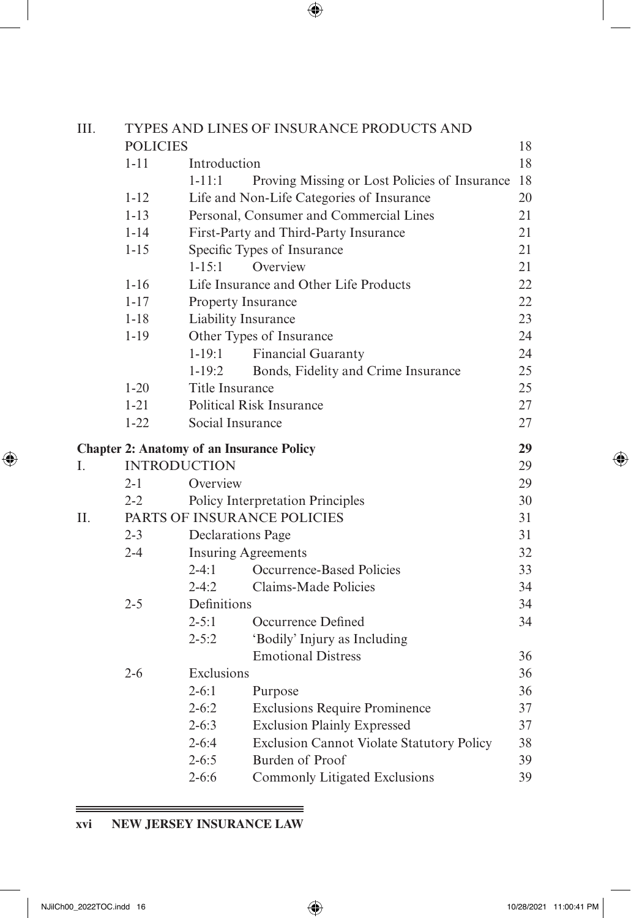| I<br>I<br>ł<br>۰. |
|-------------------|

| III. |                     |                            | TYPES AND LINES OF INSURANCE PRODUCTS AND        |    |
|------|---------------------|----------------------------|--------------------------------------------------|----|
|      | <b>POLICIES</b>     |                            |                                                  | 18 |
|      | $1 - 11$            | Introduction               |                                                  | 18 |
|      |                     | $1 - 11:1$                 | Proving Missing or Lost Policies of Insurance    | 18 |
|      | $1 - 12$            |                            | Life and Non-Life Categories of Insurance        | 20 |
|      | $1 - 13$            |                            | Personal, Consumer and Commercial Lines          | 21 |
|      | $1 - 14$            |                            | First-Party and Third-Party Insurance            | 21 |
|      | $1 - 15$            |                            | Specific Types of Insurance                      | 21 |
|      |                     | $1 - 15:1$                 | Overview                                         | 21 |
|      | $1 - 16$            |                            | Life Insurance and Other Life Products           | 22 |
|      | $1 - 17$            | Property Insurance         |                                                  | 22 |
|      | $1 - 18$            | Liability Insurance        |                                                  | 23 |
|      | $1 - 19$            |                            | Other Types of Insurance                         | 24 |
|      |                     | $1 - 19:1$                 | <b>Financial Guaranty</b>                        | 24 |
|      |                     | $1 - 19:2$                 | Bonds, Fidelity and Crime Insurance              | 25 |
|      | $1 - 20$            | Title Insurance            |                                                  | 25 |
|      | $1 - 21$            |                            | <b>Political Risk Insurance</b>                  | 27 |
|      | $1 - 22$            | Social Insurance           |                                                  | 27 |
|      |                     |                            | <b>Chapter 2: Anatomy of an Insurance Policy</b> | 29 |
| I.   | <b>INTRODUCTION</b> |                            |                                                  | 29 |
|      | $2 - 1$             | Overview                   |                                                  | 29 |
|      | $2 - 2$             |                            | Policy Interpretation Principles                 | 30 |
| II.  |                     |                            | PARTS OF INSURANCE POLICIES                      | 31 |
|      | $2 - 3$             | <b>Declarations Page</b>   |                                                  | 31 |
|      | $2 - 4$             | <b>Insuring Agreements</b> |                                                  | 32 |
|      |                     | $2-4:1$                    | Occurrence-Based Policies                        | 33 |
|      |                     | $2 - 4:2$                  | Claims-Made Policies                             | 34 |
|      | $2 - 5$             | Definitions                |                                                  | 34 |
|      |                     | $2 - 5:1$                  | Occurrence Defined                               | 34 |
|      |                     | $2 - 5:2$                  | 'Bodily' Injury as Including                     |    |
|      |                     |                            | <b>Emotional Distress</b>                        | 36 |
|      | $2 - 6$             | Exclusions                 |                                                  | 36 |
|      |                     | $2 - 6:1$                  | Purpose                                          | 36 |
|      |                     | $2 - 6:2$                  | <b>Exclusions Require Prominence</b>             | 37 |
|      |                     | $2 - 6:3$                  | <b>Exclusion Plainly Expressed</b>               | 37 |
|      |                     | $2 - 6:4$                  | <b>Exclusion Cannot Violate Statutory Policy</b> | 38 |
|      |                     | $2 - 6:5$                  | Burden of Proof                                  | 39 |
|      |                     | $2 - 6:6$                  | Commonly Litigated Exclusions                    | 39 |
|      |                     |                            |                                                  |    |

 $=$ 

# **xvi NEW JERSEY INSURANCE LAW**

<u> 1989 - Johann Stoff, deutscher Stoff, der Stoff, der Stoff, der Stoff, der Stoff, der Stoff, der Stoff, der S</u>

 $\qquad \qquad =\qquad$ 

<span id="page-1-0"></span> $\overline{\phantom{a}}$ 

 $\bigoplus$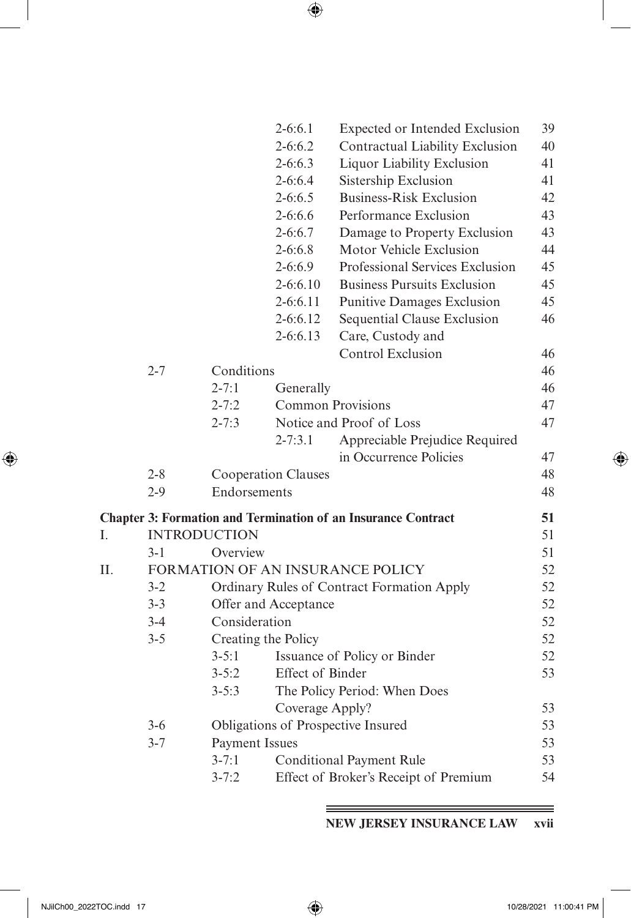| I<br>I<br>ł<br>۰.<br>٠ |
|------------------------|
|------------------------|

|    |                     |                            | $2-6:6.1$            | Expected or Intended Exclusion                                       | 39 |
|----|---------------------|----------------------------|----------------------|----------------------------------------------------------------------|----|
|    |                     |                            | $2 - 6:6.2$          | Contractual Liability Exclusion                                      | 40 |
|    |                     |                            | $2 - 6:6.3$          | Liquor Liability Exclusion                                           | 41 |
|    |                     |                            | $2 - 6:6.4$          | Sistership Exclusion                                                 | 41 |
|    |                     |                            | $2 - 6:6.5$          | <b>Business-Risk Exclusion</b>                                       | 42 |
|    |                     |                            | $2 - 6:6.6$          | Performance Exclusion                                                | 43 |
|    |                     |                            | $2 - 6:6.7$          | Damage to Property Exclusion                                         | 43 |
|    |                     |                            | $2 - 6:6.8$          | Motor Vehicle Exclusion                                              | 44 |
|    |                     |                            | $2 - 6:6.9$          | Professional Services Exclusion                                      | 45 |
|    |                     |                            | $2 - 6:6.10$         | <b>Business Pursuits Exclusion</b>                                   | 45 |
|    |                     |                            | $2 - 6:6.11$         | <b>Punitive Damages Exclusion</b>                                    | 45 |
|    |                     |                            | 2-6:6.12             | Sequential Clause Exclusion                                          | 46 |
|    |                     |                            | $2 - 6:6.13$         | Care, Custody and                                                    |    |
|    |                     |                            |                      | <b>Control Exclusion</b>                                             | 46 |
|    | $2 - 7$             | Conditions                 |                      |                                                                      | 46 |
|    |                     | $2 - 7:1$                  | Generally            |                                                                      | 46 |
|    |                     | $2 - 7:2$                  | Common Provisions    |                                                                      | 47 |
|    |                     | $2 - 7:3$                  |                      | Notice and Proof of Loss                                             | 47 |
|    |                     |                            | $2 - 7:3.1$          | Appreciable Prejudice Required                                       |    |
|    |                     |                            |                      | in Occurrence Policies                                               | 47 |
|    | $2 - 8$             | <b>Cooperation Clauses</b> |                      |                                                                      | 48 |
|    | $2-9$               | Endorsements               |                      |                                                                      | 48 |
|    |                     |                            |                      | <b>Chapter 3: Formation and Termination of an Insurance Contract</b> | 51 |
| Ι. | <b>INTRODUCTION</b> |                            |                      |                                                                      | 51 |
|    | $3-1$               | Overview                   |                      |                                                                      | 51 |
| Π. |                     |                            |                      | FORMATION OF AN INSURANCE POLICY                                     | 52 |
|    | $3 - 2$             |                            |                      | Ordinary Rules of Contract Formation Apply                           | 52 |
|    | $3 - 3$             |                            | Offer and Acceptance |                                                                      | 52 |
|    | $3-4$               | Consideration              |                      |                                                                      | 52 |
|    | $3 - 5$             | Creating the Policy        |                      |                                                                      | 52 |
|    |                     | $3 - 5:1$                  |                      | Issuance of Policy or Binder                                         | 52 |
|    |                     | $3 - 5:2$                  | Effect of Binder     |                                                                      | 53 |
|    |                     | $3 - 5:3$                  |                      | The Policy Period: When Does                                         |    |
|    |                     |                            | Coverage Apply?      |                                                                      | 53 |
|    | $3-6$               |                            |                      | Obligations of Prospective Insured                                   | 53 |
|    | $3 - 7$             | <b>Payment Issues</b>      |                      |                                                                      | 53 |
|    |                     | $3 - 7:1$                  |                      | <b>Conditional Payment Rule</b>                                      | 53 |
|    |                     | $3 - 7:2$                  |                      | Effect of Broker's Receipt of Premium                                | 54 |
|    |                     |                            |                      |                                                                      |    |

**NEW JERSEY INSURANCE LAW xvii**

<span id="page-2-0"></span> $\overline{\phantom{a}}$ 

 $\bigoplus$ 

 $\bigoplus$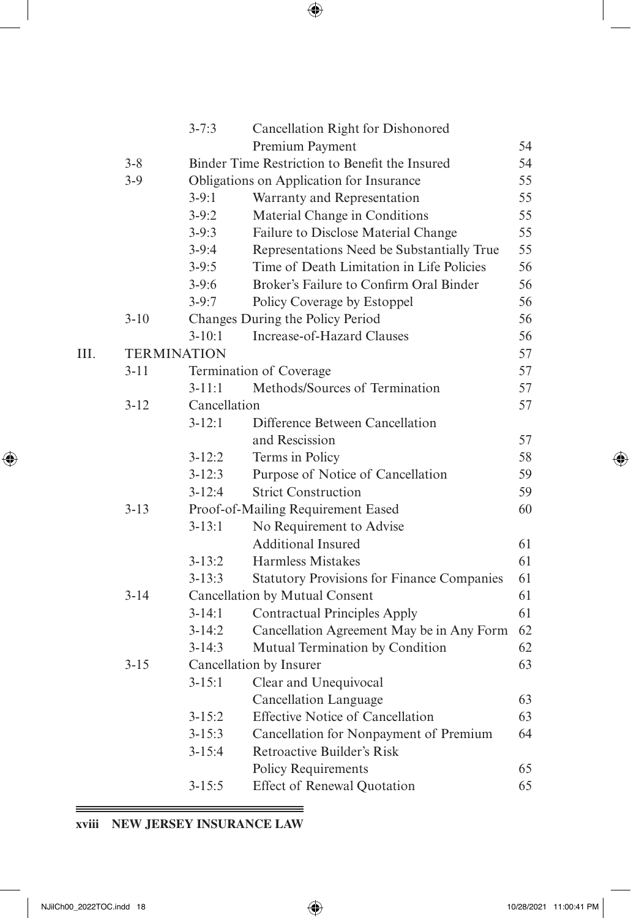|      |                    | $3 - 7:3$    | Cancellation Right for Dishonored                 |    |
|------|--------------------|--------------|---------------------------------------------------|----|
|      |                    |              | Premium Payment                                   | 54 |
|      | $3 - 8$            |              | Binder Time Restriction to Benefit the Insured    | 54 |
|      | $3-9$              |              | Obligations on Application for Insurance          | 55 |
|      |                    | $3-9:1$      | Warranty and Representation                       | 55 |
|      |                    | $3-9:2$      | Material Change in Conditions                     | 55 |
|      |                    | $3-9:3$      | Failure to Disclose Material Change               | 55 |
|      |                    | $3-9:4$      | Representations Need be Substantially True        | 55 |
|      |                    | $3-9:5$      | Time of Death Limitation in Life Policies         | 56 |
|      |                    | $3-9:6$      | Broker's Failure to Confirm Oral Binder           | 56 |
|      |                    | $3-9:7$      | Policy Coverage by Estoppel                       | 56 |
|      | $3 - 10$           |              | Changes During the Policy Period                  | 56 |
|      |                    | $3 - 10:1$   | <b>Increase-of-Hazard Clauses</b>                 | 56 |
| III. | <b>TERMINATION</b> |              |                                                   | 57 |
|      | $3 - 11$           |              | Termination of Coverage                           | 57 |
|      |                    | $3 - 11:1$   | Methods/Sources of Termination                    | 57 |
|      | $3 - 12$           | Cancellation |                                                   | 57 |
|      |                    | $3 - 12:1$   | Difference Between Cancellation                   |    |
|      |                    |              | and Rescission                                    | 57 |
|      |                    | $3 - 12:2$   | Terms in Policy                                   | 58 |
|      |                    | $3 - 12:3$   | Purpose of Notice of Cancellation                 | 59 |
|      |                    | $3 - 12:4$   | <b>Strict Construction</b>                        | 59 |
|      | $3 - 13$           |              | Proof-of-Mailing Requirement Eased                | 60 |
|      |                    | $3 - 13:1$   | No Requirement to Advise                          |    |
|      |                    |              | <b>Additional Insured</b>                         | 61 |
|      |                    | $3 - 13:2$   | Harmless Mistakes                                 | 61 |
|      |                    | $3 - 13:3$   | <b>Statutory Provisions for Finance Companies</b> | 61 |
|      | $3 - 14$           |              | Cancellation by Mutual Consent                    | 61 |
|      |                    | $3-14:1$     | <b>Contractual Principles Apply</b>               | 61 |
|      |                    | $3 - 14:2$   | Cancellation Agreement May be in Any Form         | 62 |
|      |                    | $3 - 14:3$   | Mutual Termination by Condition                   | 62 |
|      | $3 - 15$           |              | Cancellation by Insurer                           | 63 |
|      |                    | $3 - 15:1$   | Clear and Unequivocal                             |    |
|      |                    |              | Cancellation Language                             | 63 |
|      |                    | $3 - 15:2$   | <b>Effective Notice of Cancellation</b>           | 63 |
|      |                    | $3 - 15:3$   | Cancellation for Nonpayment of Premium            | 64 |
|      |                    | $3 - 15:4$   | Retroactive Builder's Risk                        |    |
|      |                    |              | <b>Policy Requirements</b>                        | 65 |
|      |                    | $3 - 15:5$   | <b>Effect of Renewal Quotation</b>                | 65 |

 $=$ 

#### <u> 1989 - Johann Harry Harry Harry Harry Harry Harry Harry Harry Harry Harry Harry Harry Harry Harry Harry Harry</u> **xviii NEW JERSEY INSURANCE LAW**

<span id="page-3-0"></span> $\overline{\phantom{a}}$ 

 $\bigoplus$ 

 $\bigoplus$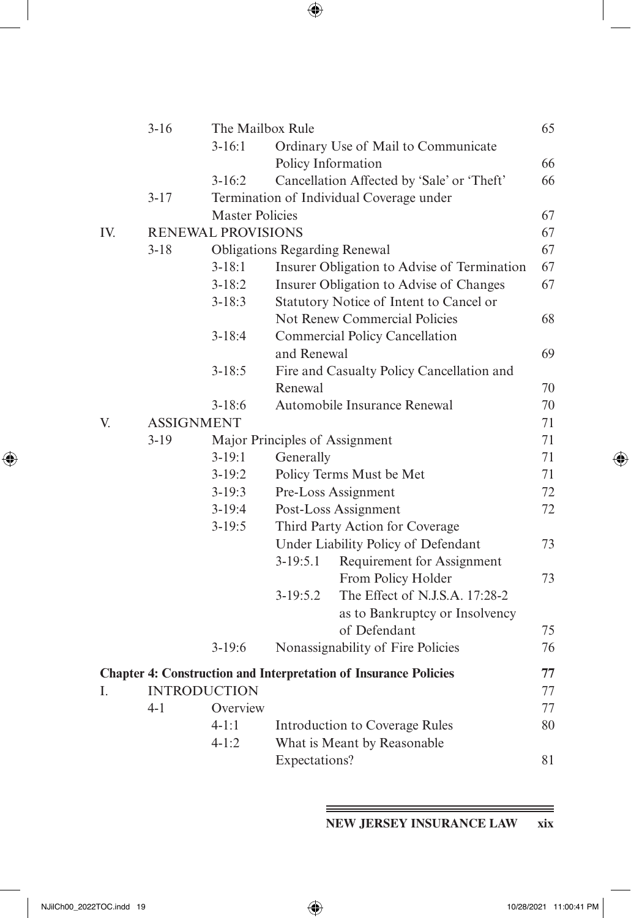|     | $3-16$   | The Mailbox Rule          |                    |                                                                         | 65 |
|-----|----------|---------------------------|--------------------|-------------------------------------------------------------------------|----|
|     |          | $3 - 16:1$                |                    | Ordinary Use of Mail to Communicate                                     |    |
|     |          |                           | Policy Information |                                                                         | 66 |
|     |          | $3-16:2$                  |                    | Cancellation Affected by 'Sale' or 'Theft'                              | 66 |
|     | $3 - 17$ |                           |                    | Termination of Individual Coverage under                                |    |
|     |          | <b>Master Policies</b>    |                    |                                                                         | 67 |
| IV. |          | <b>RENEWAL PROVISIONS</b> |                    |                                                                         | 67 |
|     | $3 - 18$ |                           |                    | <b>Obligations Regarding Renewal</b>                                    | 67 |
|     |          | $3 - 18:1$                |                    | Insurer Obligation to Advise of Termination                             | 67 |
|     |          | $3 - 18:2$                |                    | Insurer Obligation to Advise of Changes                                 | 67 |
|     |          | $3 - 18:3$                |                    | Statutory Notice of Intent to Cancel or                                 |    |
|     |          |                           |                    | Not Renew Commercial Policies                                           | 68 |
|     |          | $3 - 18:4$                |                    | <b>Commercial Policy Cancellation</b>                                   |    |
|     |          |                           | and Renewal        |                                                                         | 69 |
|     |          | $3 - 18:5$                |                    | Fire and Casualty Policy Cancellation and                               |    |
|     |          |                           | Renewal            |                                                                         | 70 |
|     |          | $3-18:6$                  |                    | Automobile Insurance Renewal                                            | 70 |
| V.  |          | <b>ASSIGNMENT</b>         |                    |                                                                         | 71 |
|     | $3-19$   |                           |                    | Major Principles of Assignment                                          | 71 |
|     |          | $3-19:1$                  | Generally          |                                                                         | 71 |
|     |          | $3-19:2$                  |                    | Policy Terms Must be Met                                                | 71 |
|     |          | $3-19:3$                  |                    | Pre-Loss Assignment                                                     | 72 |
|     |          | $3-19:4$                  |                    | Post-Loss Assignment                                                    | 72 |
|     |          | $3-19:5$                  |                    | Third Party Action for Coverage                                         |    |
|     |          |                           |                    | Under Liability Policy of Defendant                                     | 73 |
|     |          |                           | $3-19:5.1$         | Requirement for Assignment                                              |    |
|     |          |                           |                    | From Policy Holder                                                      | 73 |
|     |          |                           | $3-19:5.2$         | The Effect of N.J.S.A. 17:28-2                                          |    |
|     |          |                           |                    | as to Bankruptcy or Insolvency                                          |    |
|     |          |                           |                    | of Defendant                                                            | 75 |
|     |          | $3-19:6$                  |                    | Nonassignability of Fire Policies                                       | 76 |
|     |          |                           |                    | <b>Chapter 4: Construction and Interpretation of Insurance Policies</b> | 77 |
| I.  |          | <b>INTRODUCTION</b>       |                    |                                                                         | 77 |
|     | $4-1$    | Overview                  |                    |                                                                         | 77 |
|     |          | $4 - 1:1$                 |                    | Introduction to Coverage Rules                                          | 80 |
|     |          | $4 - 1:2$                 |                    | What is Meant by Reasonable                                             |    |
|     |          |                           | Expectations?      |                                                                         | 81 |
|     |          |                           |                    |                                                                         |    |

**NEW JERSEY INSURANCE LAW xix**

<span id="page-4-0"></span> $\overline{\phantom{a}}$ 

 $\bigoplus$ 

═

 $\bigoplus$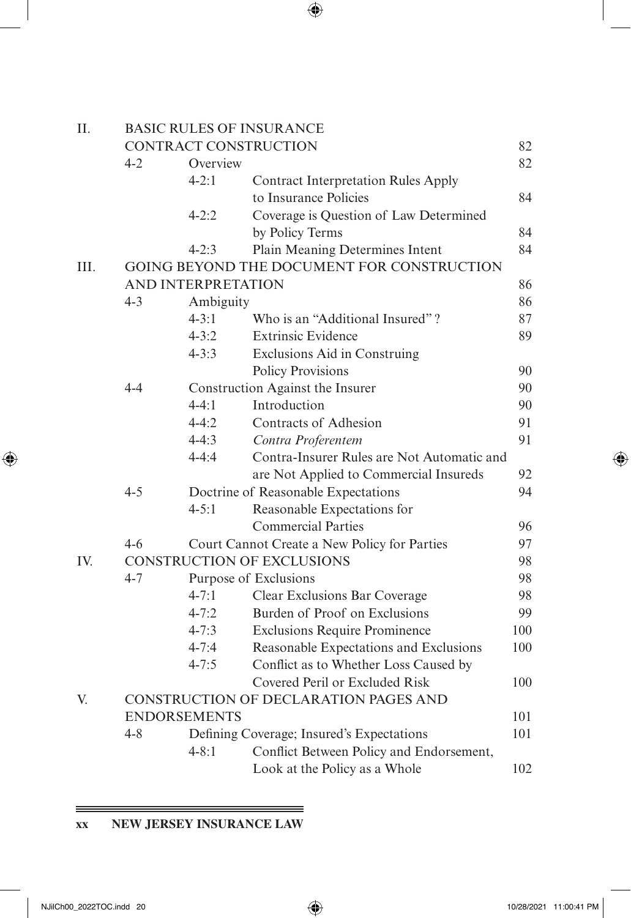| II.  | <b>BASIC RULES OF INSURANCE</b> |                     |                                              |     |  |
|------|---------------------------------|---------------------|----------------------------------------------|-----|--|
|      |                                 |                     | CONTRACT CONSTRUCTION                        | 82  |  |
|      | $4 - 2$                         | Overview            |                                              | 82  |  |
|      |                                 | $4 - 2:1$           | <b>Contract Interpretation Rules Apply</b>   |     |  |
|      |                                 |                     | to Insurance Policies                        | 84  |  |
|      |                                 | $4 - 2:2$           | Coverage is Question of Law Determined       |     |  |
|      |                                 |                     | by Policy Terms                              | 84  |  |
|      |                                 | $4 - 2:3$           | Plain Meaning Determines Intent              | 84  |  |
| III. |                                 |                     | GOING BEYOND THE DOCUMENT FOR CONSTRUCTION   |     |  |
|      |                                 | AND INTERPRETATION  |                                              | 86  |  |
|      | $4 - 3$                         | Ambiguity           |                                              | 86  |  |
|      |                                 | $4 - 3:1$           | Who is an "Additional Insured"?              | 87  |  |
|      |                                 | $4 - 3:2$           | <b>Extrinsic Evidence</b>                    | 89  |  |
|      |                                 | $4 - 3:3$           | Exclusions Aid in Construing                 |     |  |
|      |                                 |                     | <b>Policy Provisions</b>                     | 90  |  |
|      | $4 - 4$                         |                     | Construction Against the Insurer             | 90  |  |
|      |                                 | $4 - 4:1$           | Introduction                                 | 90  |  |
|      |                                 | $4 - 4:2$           | Contracts of Adhesion                        | 91  |  |
|      |                                 | $4 - 4:3$           | Contra Proferentem                           | 91  |  |
|      |                                 | $4 - 4:4$           | Contra-Insurer Rules are Not Automatic and   |     |  |
|      |                                 |                     | are Not Applied to Commercial Insureds       | 92  |  |
|      | $4 - 5$                         |                     | Doctrine of Reasonable Expectations          | 94  |  |
|      |                                 | $4 - 5:1$           | Reasonable Expectations for                  |     |  |
|      |                                 |                     | <b>Commercial Parties</b>                    | 96  |  |
|      | $4 - 6$                         |                     | Court Cannot Create a New Policy for Parties | 97  |  |
| IV.  |                                 |                     | CONSTRUCTION OF EXCLUSIONS                   | 98  |  |
|      | $4 - 7$                         |                     | Purpose of Exclusions                        | 98  |  |
|      |                                 | $4 - 7:1$           | Clear Exclusions Bar Coverage                | 98  |  |
|      |                                 | $4 - 7:2$           | Burden of Proof on Exclusions                | 99  |  |
|      |                                 | $4 - 7:3$           | <b>Exclusions Require Prominence</b>         | 100 |  |
|      |                                 | $4 - 7:4$           | Reasonable Expectations and Exclusions       | 100 |  |
|      |                                 | $4 - 7:5$           | Conflict as to Whether Loss Caused by        |     |  |
|      |                                 |                     | Covered Peril or Excluded Risk               | 100 |  |
| V.   |                                 |                     | CONSTRUCTION OF DECLARATION PAGES AND        |     |  |
|      |                                 | <b>ENDORSEMENTS</b> |                                              | 101 |  |
|      | $4 - 8$                         |                     | Defining Coverage; Insured's Expectations    | 101 |  |
|      |                                 | $4 - 8:1$           | Conflict Between Policy and Endorsement,     |     |  |
|      |                                 |                     | Look at the Policy as a Whole                | 102 |  |

**xx NEW JERSEY INSURANCE LAW**

 $\equiv$   $\equiv$   $\equiv$ 

<span id="page-5-0"></span> $\overline{\phantom{a}}$ 

 $\bigoplus$ 

 $\bigoplus$ 

 $=$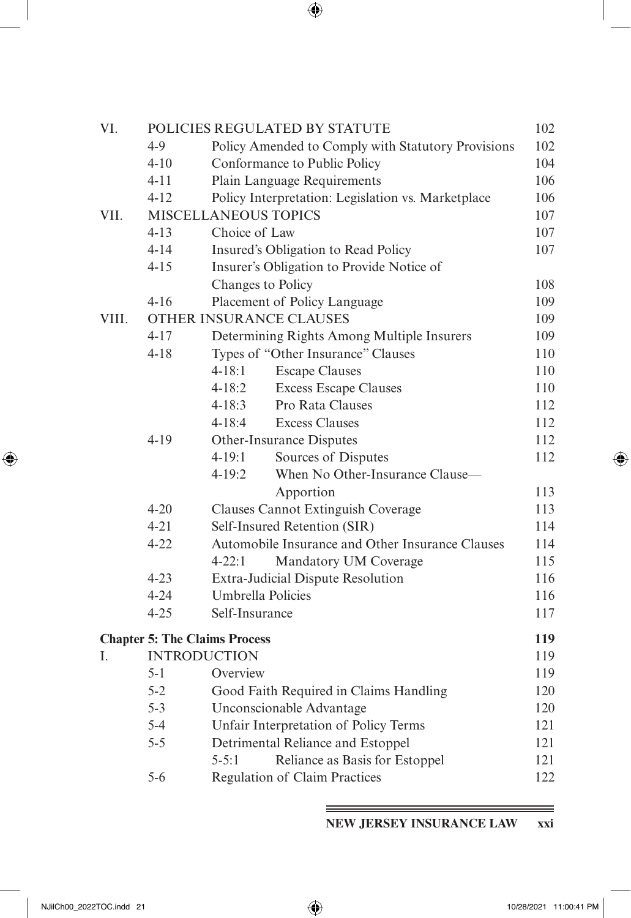| VI.   | POLICIES REGULATED BY STATUTE<br>102          |                                                    |     |  |  |
|-------|-----------------------------------------------|----------------------------------------------------|-----|--|--|
|       | $4 - 9$                                       | Policy Amended to Comply with Statutory Provisions | 102 |  |  |
|       | $4 - 10$                                      | Conformance to Public Policy                       | 104 |  |  |
|       | $4 - 11$                                      | Plain Language Requirements                        | 106 |  |  |
|       | $4 - 12$                                      | Policy Interpretation: Legislation vs. Marketplace | 106 |  |  |
| VII.  |                                               | MISCELLANEOUS TOPICS                               | 107 |  |  |
|       | $4 - 13$                                      | Choice of Law                                      | 107 |  |  |
|       | $4 - 14$                                      | Insured's Obligation to Read Policy                | 107 |  |  |
|       | $4 - 15$                                      | Insurer's Obligation to Provide Notice of          |     |  |  |
|       |                                               | Changes to Policy                                  | 108 |  |  |
|       | $4 - 16$                                      | Placement of Policy Language                       | 109 |  |  |
| VIII. |                                               | OTHER INSURANCE CLAUSES                            | 109 |  |  |
|       | $4 - 17$                                      | Determining Rights Among Multiple Insurers         | 109 |  |  |
|       | $4 - 18$                                      | Types of "Other Insurance" Clauses                 | 110 |  |  |
|       |                                               | $4 - 18:1$<br><b>Escape Clauses</b>                | 110 |  |  |
|       |                                               | <b>Excess Escape Clauses</b><br>$4 - 18:2$         | 110 |  |  |
|       |                                               | Pro Rata Clauses<br>$4 - 18:3$                     | 112 |  |  |
|       |                                               | <b>Excess Clauses</b><br>$4 - 18:4$                | 112 |  |  |
|       | $4 - 19$                                      | Other-Insurance Disputes                           | 112 |  |  |
|       |                                               | Sources of Disputes<br>$4 - 19:1$                  | 112 |  |  |
|       |                                               | When No Other-Insurance Clause-<br>$4 - 19:2$      |     |  |  |
|       |                                               | Apportion                                          | 113 |  |  |
|       | $4 - 20$                                      | Clauses Cannot Extinguish Coverage                 | 113 |  |  |
|       | $4 - 21$                                      | Self-Insured Retention (SIR)                       | 114 |  |  |
|       | $4 - 22$                                      | Automobile Insurance and Other Insurance Clauses   | 114 |  |  |
|       |                                               | $4 - 22:1$<br>Mandatory UM Coverage                | 115 |  |  |
|       | $4 - 23$<br>Extra-Judicial Dispute Resolution |                                                    | 116 |  |  |
|       | $4 - 24$                                      | Umbrella Policies                                  | 116 |  |  |
|       | $4 - 25$                                      | Self-Insurance                                     | 117 |  |  |
|       |                                               | <b>Chapter 5: The Claims Process</b>               | 119 |  |  |
| L.    |                                               | <b>INTRODUCTION</b>                                | 119 |  |  |
|       | $5 - 1$                                       | Overview                                           | 119 |  |  |
|       | $5 - 2$                                       | Good Faith Required in Claims Handling             | 120 |  |  |
|       | $5 - 3$                                       | Unconscionable Advantage                           | 120 |  |  |
|       | $5 - 4$                                       | Unfair Interpretation of Policy Terms              | 121 |  |  |
|       | $5 - 5$                                       | Detrimental Reliance and Estoppel                  | 121 |  |  |
|       |                                               | $5 - 5:1$<br>Reliance as Basis for Estoppel        | 121 |  |  |
|       | $5 - 6$                                       | Regulation of Claim Practices                      | 122 |  |  |
|       |                                               |                                                    |     |  |  |

**NEW JERSEY INSURANCE LAW xxi**

<span id="page-6-0"></span> $\overline{\phantom{a}}$ 

 $\bigoplus$ 

 $\qquad \qquad =$ 

 $\bigoplus$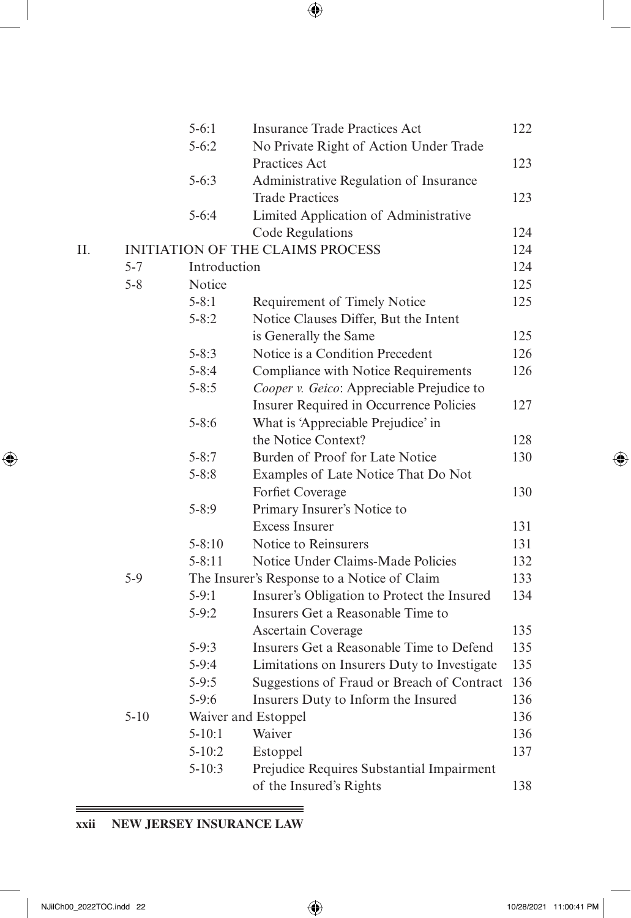<span id="page-7-0"></span>

|    |          | $5 - 6:1$    | <b>Insurance Trade Practices Act</b>        | 122 |
|----|----------|--------------|---------------------------------------------|-----|
|    |          | $5 - 6:2$    | No Private Right of Action Under Trade      |     |
|    |          |              | Practices Act                               | 123 |
|    |          | $5 - 6:3$    | Administrative Regulation of Insurance      |     |
|    |          |              | <b>Trade Practices</b>                      | 123 |
|    |          | $5 - 6:4$    | Limited Application of Administrative       |     |
|    |          |              | Code Regulations                            | 124 |
| Η. |          |              | INITIATION OF THE CLAIMS PROCESS            | 124 |
|    | $5 - 7$  | Introduction |                                             | 124 |
|    | $5 - 8$  | Notice       |                                             | 125 |
|    |          | $5 - 8:1$    | Requirement of Timely Notice                | 125 |
|    |          | $5 - 8:2$    | Notice Clauses Differ, But the Intent       |     |
|    |          |              | is Generally the Same                       | 125 |
|    |          | $5 - 8:3$    | Notice is a Condition Precedent             | 126 |
|    |          | $5 - 8:4$    | Compliance with Notice Requirements         | 126 |
|    |          | $5 - 8:5$    | Cooper v. Geico: Appreciable Prejudice to   |     |
|    |          |              | Insurer Required in Occurrence Policies     | 127 |
|    |          | $5 - 8:6$    | What is 'Appreciable Prejudice' in          |     |
|    |          |              | the Notice Context?                         | 128 |
|    |          | $5 - 8:7$    | Burden of Proof for Late Notice             | 130 |
|    |          | $5 - 8:8$    | Examples of Late Notice That Do Not         |     |
|    |          |              | Forfiet Coverage                            | 130 |
|    |          | $5 - 8:9$    | Primary Insurer's Notice to                 |     |
|    |          |              | <b>Excess Insurer</b>                       | 131 |
|    |          | $5 - 8:10$   | Notice to Reinsurers                        | 131 |
|    |          | $5 - 8:11$   | Notice Under Claims-Made Policies           | 132 |
|    | $5-9$    |              | The Insurer's Response to a Notice of Claim | 133 |
|    |          | $5-9:1$      | Insurer's Obligation to Protect the Insured | 134 |
|    |          | $5 - 9:2$    | Insurers Get a Reasonable Time to           |     |
|    |          |              | Ascertain Coverage                          | 135 |
|    |          | $5-9:3$      | Insurers Get a Reasonable Time to Defend    | 135 |
|    |          | $5-9:4$      | Limitations on Insurers Duty to Investigate | 135 |
|    |          | $5 - 9:5$    | Suggestions of Fraud or Breach of Contract  | 136 |
|    |          | $5-9:6$      | Insurers Duty to Inform the Insured         | 136 |
|    | $5 - 10$ |              | Waiver and Estoppel                         | 136 |
|    |          | $5 - 10:1$   | Waiver                                      | 136 |
|    |          | $5 - 10:2$   | Estoppel                                    | 137 |
|    |          | $5 - 10:3$   | Prejudice Requires Substantial Impairment   |     |

÷.

[of the Insured's Rights](#page-19-0) 138

# **xxii NEW JERSEY INSURANCE LAW**

 $=$ 

 $\bigoplus$ 

 $\bigoplus$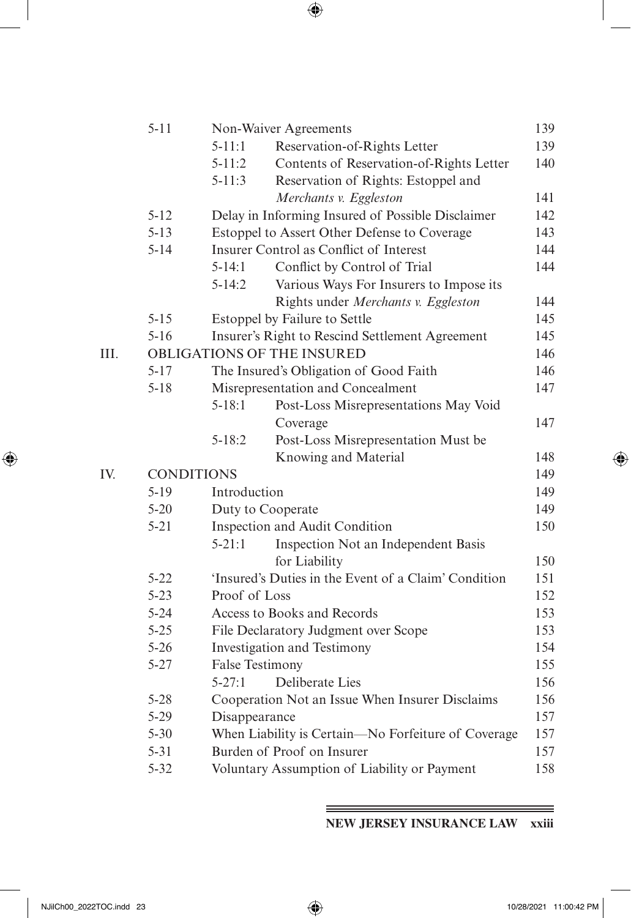|      | $5 - 11$          |                 | Non-Waiver Agreements                                | 139 |
|------|-------------------|-----------------|------------------------------------------------------|-----|
|      |                   | $5 - 11:1$      | Reservation-of-Rights Letter                         | 139 |
|      |                   | $5 - 11:2$      | Contents of Reservation-of-Rights Letter             | 140 |
|      |                   | $5 - 11:3$      | Reservation of Rights: Estoppel and                  |     |
|      |                   |                 | Merchants v. Eggleston                               | 141 |
|      | $5 - 12$          |                 | Delay in Informing Insured of Possible Disclaimer    | 142 |
|      | $5 - 13$          |                 | Estoppel to Assert Other Defense to Coverage         | 143 |
|      | $5 - 14$          |                 | Insurer Control as Conflict of Interest              | 144 |
|      |                   | $5 - 14:1$      | Conflict by Control of Trial                         | 144 |
|      |                   | $5 - 14:2$      | Various Ways For Insurers to Impose its              |     |
|      |                   |                 | Rights under Merchants v. Eggleston                  | 144 |
|      | $5 - 15$          |                 | Estoppel by Failure to Settle                        | 145 |
|      | $5 - 16$          |                 | Insurer's Right to Rescind Settlement Agreement      | 145 |
| III. |                   |                 | OBLIGATIONS OF THE INSURED                           | 146 |
|      | $5 - 17$          |                 | The Insured's Obligation of Good Faith               | 146 |
|      | $5 - 18$          |                 | Misrepresentation and Concealment                    | 147 |
|      |                   | $5 - 18:1$      | Post-Loss Misrepresentations May Void                |     |
|      |                   |                 | Coverage                                             | 147 |
|      |                   | $5 - 18:2$      | Post-Loss Misrepresentation Must be                  |     |
|      |                   |                 | Knowing and Material                                 | 148 |
| IV.  | <b>CONDITIONS</b> |                 |                                                      | 149 |
|      | $5 - 19$          | Introduction    |                                                      | 149 |
|      | $5 - 20$          |                 | Duty to Cooperate                                    | 149 |
|      | $5 - 21$          |                 | Inspection and Audit Condition                       | 150 |
|      |                   | $5 - 21:1$      | Inspection Not an Independent Basis                  |     |
|      |                   |                 | for Liability                                        | 150 |
|      | $5 - 22$          |                 | 'Insured's Duties in the Event of a Claim' Condition | 151 |
|      | $5 - 23$          | Proof of Loss   |                                                      | 152 |
|      | $5 - 24$          |                 | Access to Books and Records                          | 153 |
|      | $5 - 25$          |                 | File Declaratory Judgment over Scope                 | 153 |
|      | $5 - 26$          |                 | Investigation and Testimony                          | 154 |
|      | $5 - 27$          | False Testimony |                                                      | 155 |
|      |                   | $5 - 27:1$      | Deliberate Lies                                      | 156 |
|      | $5 - 28$          |                 | Cooperation Not an Issue When Insurer Disclaims      | 156 |
|      | $5 - 29$          | Disappearance   |                                                      | 157 |
|      | $5 - 30$          |                 | When Liability is Certain-No Forfeiture of Coverage  | 157 |
|      | $5 - 31$          |                 | Burden of Proof on Insurer                           | 157 |
|      | $5 - 32$          |                 | Voluntary Assumption of Liability or Payment         | 158 |

**NEW JERSEY INSURANCE LAW xxiii**

<span id="page-8-0"></span> $\overline{\phantom{a}}$ 

 $\bigoplus$ 

 $\equiv$ 

I

 $\bigoplus$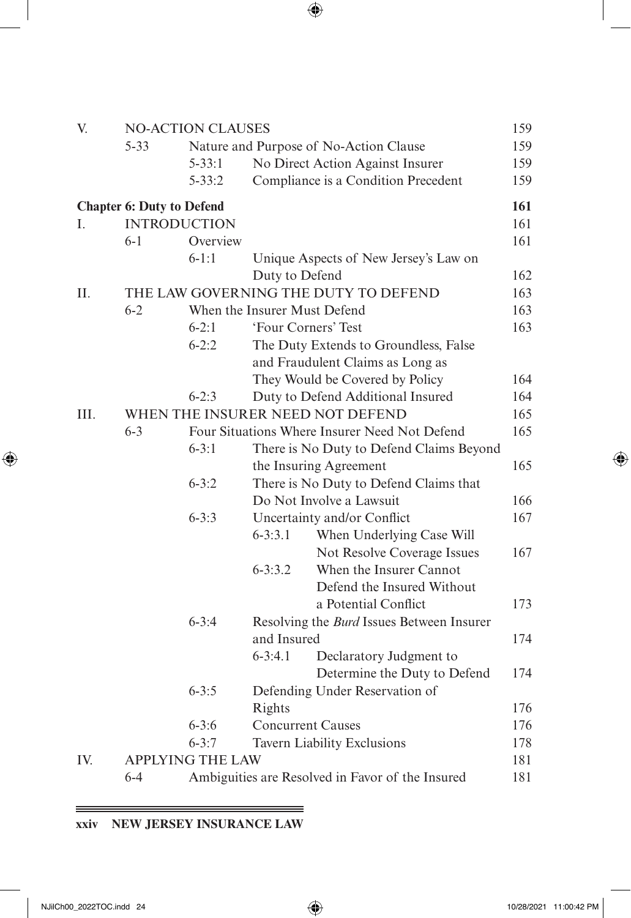| V.   |                                  | <b>NO-ACTION CLAUSES</b> |                              |                                                  | 159 |
|------|----------------------------------|--------------------------|------------------------------|--------------------------------------------------|-----|
|      | $5 - 33$                         |                          |                              | Nature and Purpose of No-Action Clause           | 159 |
|      |                                  | $5 - 33:1$               |                              | No Direct Action Against Insurer                 | 159 |
|      |                                  | $5 - 33:2$               |                              | Compliance is a Condition Precedent              | 159 |
|      | <b>Chapter 6: Duty to Defend</b> |                          |                              |                                                  | 161 |
| L    | <b>INTRODUCTION</b>              |                          |                              |                                                  | 161 |
|      | $6-1$                            | Overview                 |                              |                                                  | 161 |
|      |                                  | $6 - 1:1$                |                              | Unique Aspects of New Jersey's Law on            |     |
|      |                                  |                          | Duty to Defend               |                                                  | 162 |
| II.  |                                  |                          |                              | THE LAW GOVERNING THE DUTY TO DEFEND             | 163 |
|      | $6 - 2$                          |                          | When the Insurer Must Defend |                                                  | 163 |
|      |                                  | $6 - 2:1$                | 'Four Corners' Test          |                                                  | 163 |
|      |                                  | $6 - 2:2$                |                              | The Duty Extends to Groundless, False            |     |
|      |                                  |                          |                              | and Fraudulent Claims as Long as                 |     |
|      |                                  |                          |                              | They Would be Covered by Policy                  | 164 |
|      |                                  | $6 - 2:3$                |                              | Duty to Defend Additional Insured                | 164 |
| III. |                                  |                          |                              | WHEN THE INSURER NEED NOT DEFEND                 | 165 |
|      | $6 - 3$                          |                          |                              | Four Situations Where Insurer Need Not Defend    | 165 |
|      |                                  | $6 - 3:1$                |                              | There is No Duty to Defend Claims Beyond         |     |
|      |                                  |                          |                              | the Insuring Agreement                           | 165 |
|      |                                  | $6 - 3:2$                |                              | There is No Duty to Defend Claims that           |     |
|      |                                  |                          |                              | Do Not Involve a Lawsuit                         | 166 |
|      |                                  | $6 - 3:3$                |                              | Uncertainty and/or Conflict                      | 167 |
|      |                                  |                          | $6 - 3:3.1$                  | When Underlying Case Will                        |     |
|      |                                  |                          |                              | Not Resolve Coverage Issues                      | 167 |
|      |                                  |                          | $6 - 3:3.2$                  | When the Insurer Cannot                          |     |
|      |                                  |                          |                              | Defend the Insured Without                       |     |
|      |                                  |                          |                              | a Potential Conflict                             | 173 |
|      |                                  | $6 - 3:4$                |                              | Resolving the <i>Burd</i> Issues Between Insurer |     |
|      |                                  |                          | and Insured                  |                                                  | 174 |
|      |                                  |                          | $6 - 3:4.1$                  | Declaratory Judgment to                          |     |
|      |                                  |                          |                              | Determine the Duty to Defend                     | 174 |
|      |                                  | $6 - 3:5$                |                              | Defending Under Reservation of                   |     |
|      |                                  |                          | Rights                       |                                                  | 176 |
|      |                                  | $6 - 3:6$                | <b>Concurrent Causes</b>     |                                                  | 176 |
|      |                                  | $6 - 3:7$                |                              | Tavern Liability Exclusions                      | 178 |
| IV.  |                                  | <b>APPLYING THE LAW</b>  |                              |                                                  | 181 |
|      | $6 - 4$                          |                          |                              | Ambiguities are Resolved in Favor of the Insured | 181 |
|      |                                  |                          |                              |                                                  |     |

# **xxiv NEW JERSEY INSURANCE LAW**

<u> 1989 - Johann Stoff, deutscher Stoffen und der Stoffen und der Stoffen und der Stoffen und der Stoffen und der</u>

 $\equiv$ 

<span id="page-9-0"></span> $\overline{\phantom{a}}$ 

 $\bigoplus$ 

 $\bigoplus$ 

 $=$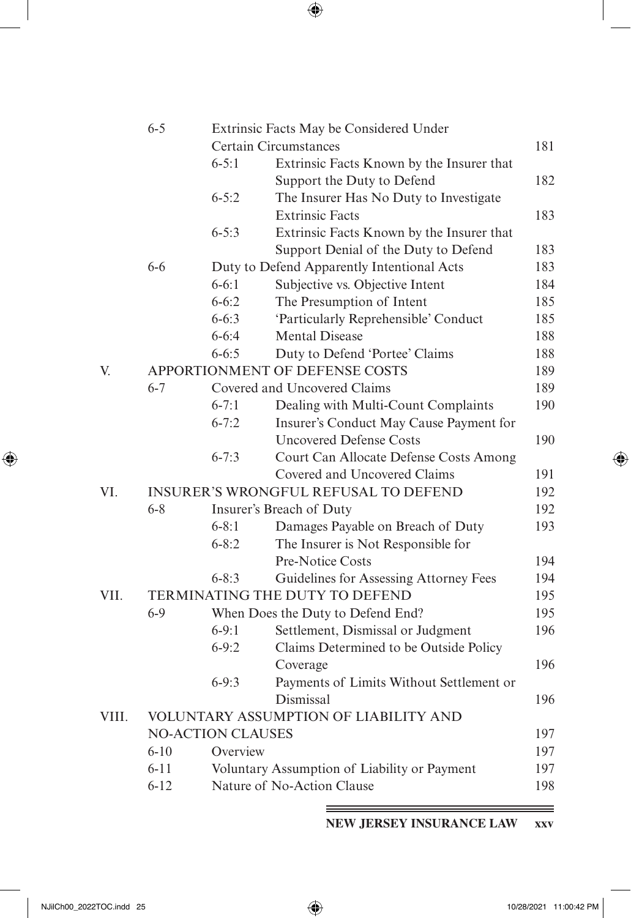|       | $6 - 5$  |                          | Extrinsic Facts May be Considered Under      |     |
|-------|----------|--------------------------|----------------------------------------------|-----|
|       |          |                          | Certain Circumstances                        | 181 |
|       |          | $6 - 5:1$                | Extrinsic Facts Known by the Insurer that    |     |
|       |          |                          | Support the Duty to Defend                   | 182 |
|       |          | $6 - 5:2$                | The Insurer Has No Duty to Investigate       |     |
|       |          |                          | <b>Extrinsic Facts</b>                       | 183 |
|       |          | $6 - 5:3$                | Extrinsic Facts Known by the Insurer that    |     |
|       |          |                          | Support Denial of the Duty to Defend         | 183 |
|       | $6 - 6$  |                          | Duty to Defend Apparently Intentional Acts   | 183 |
|       |          | $6 - 6:1$                | Subjective vs. Objective Intent              | 184 |
|       |          | $6 - 6:2$                | The Presumption of Intent                    | 185 |
|       |          | $6 - 6:3$                | 'Particularly Reprehensible' Conduct         | 185 |
|       |          | $6 - 6:4$                | <b>Mental Disease</b>                        | 188 |
|       |          | $6 - 6:5$                | Duty to Defend 'Portee' Claims               | 188 |
| V.    |          |                          | APPORTIONMENT OF DEFENSE COSTS               | 189 |
|       | $6 - 7$  |                          | Covered and Uncovered Claims                 | 189 |
|       |          | $6 - 7:1$                | Dealing with Multi-Count Complaints          | 190 |
|       |          | $6 - 7:2$                | Insurer's Conduct May Cause Payment for      |     |
|       |          |                          | <b>Uncovered Defense Costs</b>               | 190 |
|       |          | $6 - 7:3$                | Court Can Allocate Defense Costs Among       |     |
|       |          |                          | Covered and Uncovered Claims                 | 191 |
| VI.   |          |                          | <b>INSURER'S WRONGFUL REFUSAL TO DEFEND</b>  | 192 |
|       | $6 - 8$  |                          | Insurer's Breach of Duty                     | 192 |
|       |          | $6 - 8:1$                | Damages Payable on Breach of Duty            | 193 |
|       |          | $6 - 8:2$                | The Insurer is Not Responsible for           |     |
|       |          |                          | Pre-Notice Costs                             | 194 |
|       |          | $6 - 8:3$                | Guidelines for Assessing Attorney Fees       | 194 |
| VII.  |          |                          | TERMINATING THE DUTY TO DEFEND               | 195 |
|       | $6 - 9$  |                          | When Does the Duty to Defend End?            | 195 |
|       |          | $6 - 9:1$                | Settlement, Dismissal or Judgment            | 196 |
|       |          | $6 - 9:2$                | Claims Determined to be Outside Policy       |     |
|       |          |                          | Coverage                                     | 196 |
|       |          | $6 - 9:3$                | Payments of Limits Without Settlement or     |     |
|       |          |                          | Dismissal                                    | 196 |
| VIII. |          |                          | VOLUNTARY ASSUMPTION OF LIABILITY AND        |     |
|       |          | <b>NO-ACTION CLAUSES</b> |                                              | 197 |
|       | $6 - 10$ | Overview                 |                                              | 197 |
|       | $6 - 11$ |                          | Voluntary Assumption of Liability or Payment | 197 |
|       | $6 - 12$ |                          | Nature of No-Action Clause                   | 198 |

**NEW JERSEY INSURANCE LAW xxv**

<span id="page-10-0"></span> $\overline{\phantom{a}}$ 

 $\bigoplus$ 

≡

 $\bigoplus$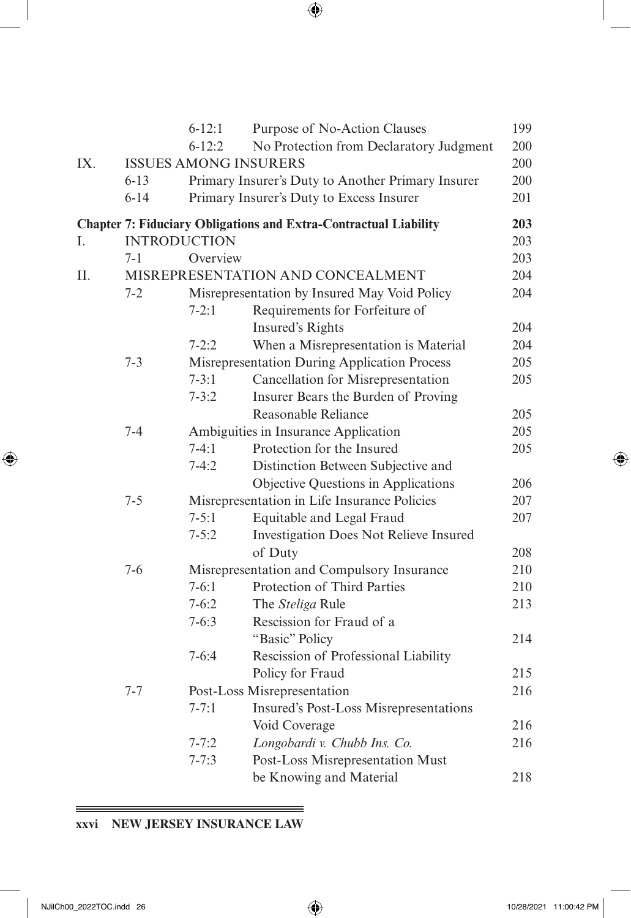| I<br>I<br>ę<br>۰.<br>٠ |  |
|------------------------|--|

|     |                     | $6 - 12:1$                   | Purpose of No-Action Clauses                                            | 199 |
|-----|---------------------|------------------------------|-------------------------------------------------------------------------|-----|
|     |                     | $6 - 12:2$                   | No Protection from Declaratory Judgment                                 | 200 |
| IX. |                     | <b>ISSUES AMONG INSURERS</b> |                                                                         | 200 |
|     | $6 - 13$            |                              | Primary Insurer's Duty to Another Primary Insurer                       | 200 |
|     | $6 - 14$            |                              | Primary Insurer's Duty to Excess Insurer                                | 201 |
|     |                     |                              | <b>Chapter 7: Fiduciary Obligations and Extra-Contractual Liability</b> | 203 |
| I.  | <b>INTRODUCTION</b> |                              |                                                                         | 203 |
|     | 7-1                 | Overview                     |                                                                         | 203 |
| Π.  |                     |                              | MISREPRESENTATION AND CONCEALMENT                                       | 204 |
|     | 7-2                 |                              | Misrepresentation by Insured May Void Policy                            | 204 |
|     |                     | $7 - 2:1$                    | Requirements for Forfeiture of                                          |     |
|     |                     |                              | Insured's Rights                                                        | 204 |
|     |                     | $7 - 2:2$                    | When a Misrepresentation is Material                                    | 204 |
|     | $7 - 3$             |                              | Misrepresentation During Application Process                            | 205 |
|     |                     | $7 - 3:1$                    | Cancellation for Misrepresentation                                      | 205 |
|     |                     | $7 - 3:2$                    | Insurer Bears the Burden of Proving                                     |     |
|     |                     |                              | Reasonable Reliance                                                     | 205 |
|     | $7 - 4$             |                              | Ambiguities in Insurance Application                                    | 205 |
|     |                     | $7-4:1$                      | Protection for the Insured                                              | 205 |
|     |                     | $7 - 4:2$                    | Distinction Between Subjective and                                      |     |
|     |                     |                              | Objective Questions in Applications                                     | 206 |
|     | $7 - 5$             |                              | Misrepresentation in Life Insurance Policies                            | 207 |
|     |                     | $7 - 5:1$                    | Equitable and Legal Fraud                                               | 207 |
|     |                     | $7 - 5:2$                    | Investigation Does Not Relieve Insured                                  |     |
|     |                     |                              | of Duty                                                                 | 208 |
|     | $7 - 6$             |                              | Misrepresentation and Compulsory Insurance                              | 210 |
|     |                     | $7 - 6:1$                    | Protection of Third Parties                                             | 210 |
|     |                     | $7 - 6:2$                    | The Steliga Rule                                                        | 213 |
|     |                     | $7 - 6:3$                    | Rescission for Fraud of a                                               |     |
|     |                     |                              | "Basic" Policy                                                          | 214 |
|     |                     | $7 - 6:4$                    | Rescission of Professional Liability                                    |     |
|     |                     |                              | Policy for Fraud                                                        | 215 |
|     | $7 - 7$             |                              | Post-Loss Misrepresentation                                             | 216 |
|     |                     | $7 - 7:1$                    | Insured's Post-Loss Misrepresentations                                  |     |
|     |                     |                              | Void Coverage                                                           | 216 |
|     |                     | $7 - 7:2$                    | Longobardi v. Chubb Ins. Co.                                            | 216 |
|     |                     | $7 - 7:3$                    | Post-Loss Misrepresentation Must                                        |     |
|     |                     |                              | be Knowing and Material                                                 | 218 |

#### **xxvi NEW JERSEY INSURANCE LAW**

<span id="page-11-0"></span> $\overline{\phantom{a}}$ 

 $\bigoplus$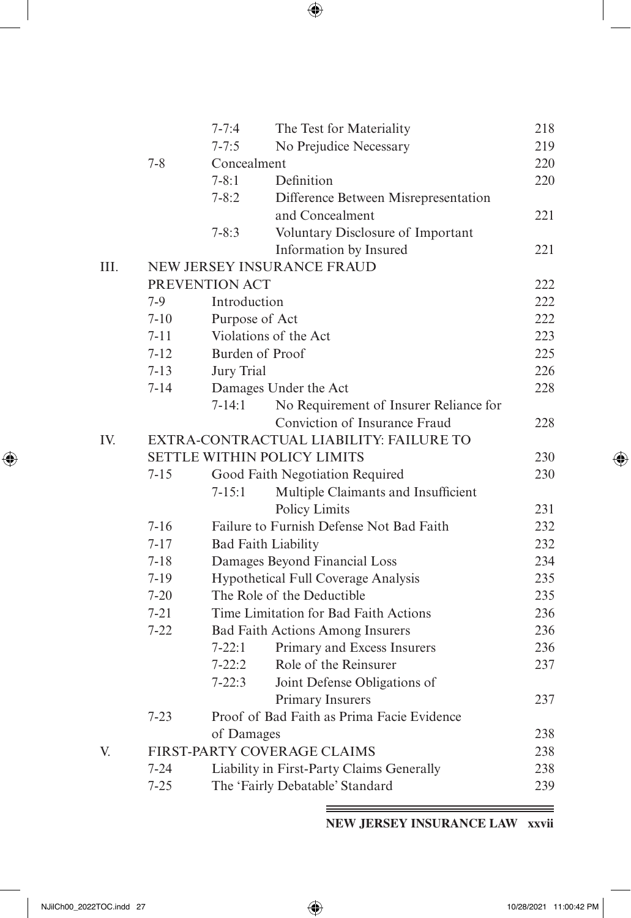| I<br>I<br>ł<br>۰.<br>٠ |
|------------------------|

|      |          | $7 - 7:4$      | The Test for Materiality                   | 218 |
|------|----------|----------------|--------------------------------------------|-----|
|      |          | $7 - 7:5$      | No Prejudice Necessary                     | 219 |
|      | $7 - 8$  | Concealment    |                                            | 220 |
|      |          | $7 - 8:1$      | Definition                                 | 220 |
|      |          | $7 - 8:2$      | Difference Between Misrepresentation       |     |
|      |          |                | and Concealment                            | 221 |
|      |          | $7 - 8:3$      | Voluntary Disclosure of Important          |     |
|      |          |                | Information by Insured                     | 221 |
| III. |          |                | NEW JERSEY INSURANCE FRAUD                 |     |
|      |          | PREVENTION ACT |                                            | 222 |
|      | $7-9$    | Introduction   |                                            | 222 |
|      | $7 - 10$ | Purpose of Act |                                            | 222 |
|      | $7 - 11$ |                | Violations of the Act                      | 223 |
|      | $7 - 12$ |                | Burden of Proof                            | 225 |
|      | $7 - 13$ | Jury Trial     |                                            | 226 |
|      | $7 - 14$ |                | Damages Under the Act                      | 228 |
|      |          | $7 - 14:1$     | No Requirement of Insurer Reliance for     |     |
|      |          |                | Conviction of Insurance Fraud              | 228 |
| IV.  |          |                | EXTRA-CONTRACTUAL LIABILITY: FAILURE TO    |     |
|      |          |                | <b>SETTLE WITHIN POLICY LIMITS</b>         | 230 |
|      | $7 - 15$ |                | Good Faith Negotiation Required            | 230 |
|      |          | $7 - 15:1$     | Multiple Claimants and Insufficient        |     |
|      |          |                | Policy Limits                              | 231 |
|      | $7 - 16$ |                | Failure to Furnish Defense Not Bad Faith   | 232 |
|      | $7 - 17$ |                | <b>Bad Faith Liability</b>                 | 232 |
|      | $7 - 18$ |                | Damages Beyond Financial Loss              | 234 |
|      | $7 - 19$ |                | Hypothetical Full Coverage Analysis        | 235 |
|      | $7 - 20$ |                | The Role of the Deductible                 | 235 |
|      | $7 - 21$ |                | Time Limitation for Bad Faith Actions      | 236 |
|      | $7 - 22$ |                | <b>Bad Faith Actions Among Insurers</b>    | 236 |
|      |          | $7 - 22:1$     | Primary and Excess Insurers                | 236 |
|      |          | $7 - 22:2$     | Role of the Reinsurer                      | 237 |
|      |          | $7 - 22:3$     | Joint Defense Obligations of               |     |
|      |          |                | Primary Insurers                           | 237 |
|      | $7 - 23$ |                | Proof of Bad Faith as Prima Facie Evidence |     |
|      |          | of Damages     |                                            | 238 |
| V.   |          |                | FIRST-PARTY COVERAGE CLAIMS                | 238 |
|      | $7 - 24$ |                | Liability in First-Party Claims Generally  | 238 |
|      | $7 - 25$ |                | The 'Fairly Debatable' Standard            | 239 |

**NEW JERSEY INSURANCE LAW xxvii**

<span id="page-12-0"></span> $\overline{\phantom{a}}$ 

 $\bigoplus$ 

≡

 $\bigoplus$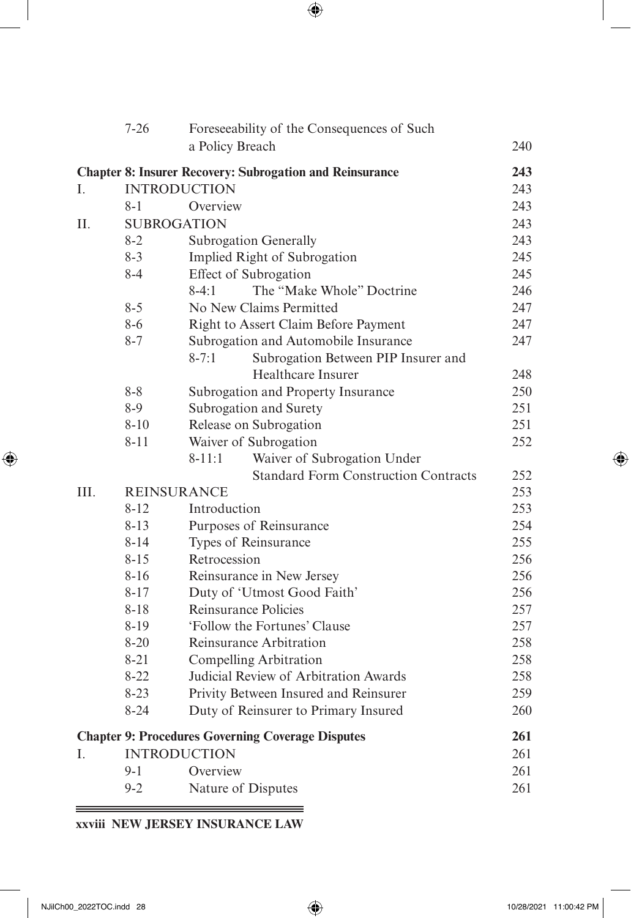|     | $7 - 26$ | Foreseeability of the Consequences of Such                      |     |
|-----|----------|-----------------------------------------------------------------|-----|
|     |          | a Policy Breach                                                 | 240 |
|     |          | <b>Chapter 8: Insurer Recovery: Subrogation and Reinsurance</b> | 243 |
| Ι.  |          | <b>INTRODUCTION</b>                                             | 243 |
|     | $8 - 1$  | Overview                                                        | 243 |
| Η.  |          | <b>SUBROGATION</b>                                              | 243 |
|     | $8 - 2$  | Subrogation Generally                                           | 243 |
|     | $8 - 3$  | Implied Right of Subrogation                                    | 245 |
|     | $8 - 4$  | Effect of Subrogation                                           | 245 |
|     |          | The "Make Whole" Doctrine<br>$8-4:1$                            | 246 |
|     | $8 - 5$  | No New Claims Permitted                                         | 247 |
|     | $8 - 6$  | Right to Assert Claim Before Payment                            | 247 |
|     | $8 - 7$  | Subrogation and Automobile Insurance                            | 247 |
|     |          | Subrogation Between PIP Insurer and<br>$8 - 7:1$                |     |
|     |          | Healthcare Insurer                                              | 248 |
|     | $8 - 8$  | Subrogation and Property Insurance                              | 250 |
|     | $8 - 9$  | Subrogation and Surety                                          | 251 |
|     | $8 - 10$ | Release on Subrogation                                          | 251 |
|     | $8 - 11$ | Waiver of Subrogation                                           | 252 |
|     |          | Waiver of Subrogation Under<br>$8 - 11:1$                       |     |
|     |          | <b>Standard Form Construction Contracts</b>                     | 252 |
| HI. |          | <b>REINSURANCE</b>                                              | 253 |
|     | $8 - 12$ | Introduction                                                    | 253 |
|     | $8 - 13$ | Purposes of Reinsurance                                         | 254 |
|     | $8 - 14$ | Types of Reinsurance                                            | 255 |
|     | $8 - 15$ | Retrocession                                                    | 256 |
|     | $8 - 16$ | Reinsurance in New Jersey                                       | 256 |
|     | $8 - 17$ | Duty of 'Utmost Good Faith'                                     | 256 |
|     | $8 - 18$ | Reinsurance Policies                                            | 257 |
|     | $8-19$   | 'Follow the Fortunes' Clause                                    | 257 |
|     | $8 - 20$ | Reinsurance Arbitration                                         | 258 |
|     | $8 - 21$ | Compelling Arbitration                                          | 258 |
|     | $8 - 22$ | Judicial Review of Arbitration Awards                           | 258 |
|     | $8 - 23$ | Privity Between Insured and Reinsurer                           | 259 |
|     | $8 - 24$ | Duty of Reinsurer to Primary Insured                            | 260 |
|     |          | <b>Chapter 9: Procedures Governing Coverage Disputes</b>        | 261 |
| Ī.  |          | <b>INTRODUCTION</b>                                             | 261 |
|     | $9 - 1$  | Overview                                                        | 261 |
|     | $9 - 2$  | Nature of Disputes                                              | 261 |

 $\equiv$ 

# **xxviii NEW JERSEY INSURANCE LAW**

 $\equiv$ 

<span id="page-13-0"></span> $\overline{\phantom{a}}$ 

 $\bigoplus$ 

 $\bigoplus$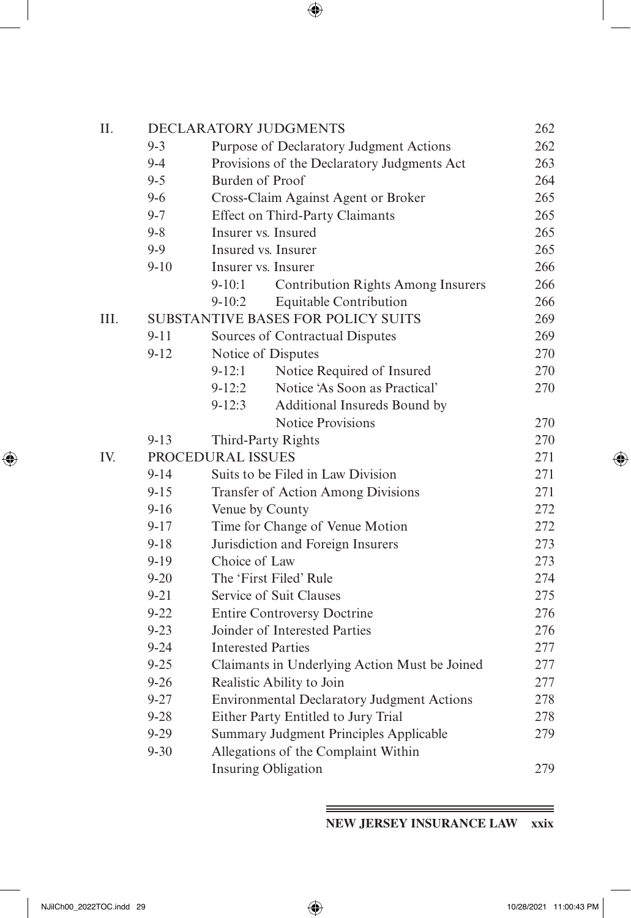| Π.   |          |                           | DECLARATORY JUDGMENTS                             | 262 |
|------|----------|---------------------------|---------------------------------------------------|-----|
|      | $9 - 3$  |                           | Purpose of Declaratory Judgment Actions           | 262 |
|      | $9 - 4$  |                           | Provisions of the Declaratory Judgments Act       | 263 |
|      | $9 - 5$  | Burden of Proof           |                                                   | 264 |
|      | $9 - 6$  |                           | Cross-Claim Against Agent or Broker               | 265 |
|      | $9 - 7$  |                           | Effect on Third-Party Claimants                   | 265 |
|      | $9 - 8$  |                           | Insurer vs. Insured                               | 265 |
|      | $9 - 9$  |                           | Insured vs. Insurer                               | 265 |
|      | $9 - 10$ |                           | Insurer vs. Insurer                               | 266 |
|      |          | $9 - 10:1$                | <b>Contribution Rights Among Insurers</b>         | 266 |
|      |          | $9-10:2$                  | Equitable Contribution                            | 266 |
| III. |          |                           | SUBSTANTIVE BASES FOR POLICY SUITS                | 269 |
|      | $9 - 11$ |                           | Sources of Contractual Disputes                   | 269 |
|      | $9 - 12$ |                           | Notice of Disputes                                | 270 |
|      |          | $9 - 12:1$                | Notice Required of Insured                        | 270 |
|      |          | $9 - 12:2$                | Notice 'As Soon as Practical'                     | 270 |
|      |          | $9 - 12:3$                | Additional Insureds Bound by                      |     |
|      |          |                           | <b>Notice Provisions</b>                          | 270 |
|      | $9 - 13$ |                           | Third-Party Rights                                | 270 |
| IV.  |          | PROCEDURAL ISSUES         |                                                   | 271 |
|      | $9 - 14$ |                           | Suits to be Filed in Law Division                 | 271 |
|      | $9 - 15$ |                           | Transfer of Action Among Divisions                | 271 |
|      | $9 - 16$ | Venue by County           |                                                   | 272 |
|      | $9 - 17$ |                           | Time for Change of Venue Motion                   | 272 |
|      | $9 - 18$ |                           | Jurisdiction and Foreign Insurers                 | 273 |
|      | $9 - 19$ | Choice of Law             |                                                   | 273 |
|      | $9 - 20$ |                           | The 'First Filed' Rule                            | 274 |
|      | $9 - 21$ |                           | Service of Suit Clauses                           | 275 |
|      | $9 - 22$ |                           | <b>Entire Controversy Doctrine</b>                | 276 |
|      | $9 - 23$ |                           | Joinder of Interested Parties                     | 276 |
|      | $9 - 24$ | <b>Interested Parties</b> |                                                   | 277 |
|      | $9 - 25$ |                           | Claimants in Underlying Action Must be Joined     | 277 |
|      | $9 - 26$ |                           | Realistic Ability to Join                         | 277 |
|      | $9 - 27$ |                           | <b>Environmental Declaratory Judgment Actions</b> | 278 |
|      | $9 - 28$ |                           | Either Party Entitled to Jury Trial               | 278 |
|      | $9 - 29$ |                           | Summary Judgment Principles Applicable            | 279 |
|      | $9 - 30$ |                           | Allegations of the Complaint Within               |     |
|      |          |                           | <b>Insuring Obligation</b>                        | 279 |

**NEW JERSEY INSURANCE LAW xxix**

<span id="page-14-0"></span> $\overline{\phantom{a}}$ 

 $\bigoplus$ 

 $\equiv$ 

 $\bigoplus$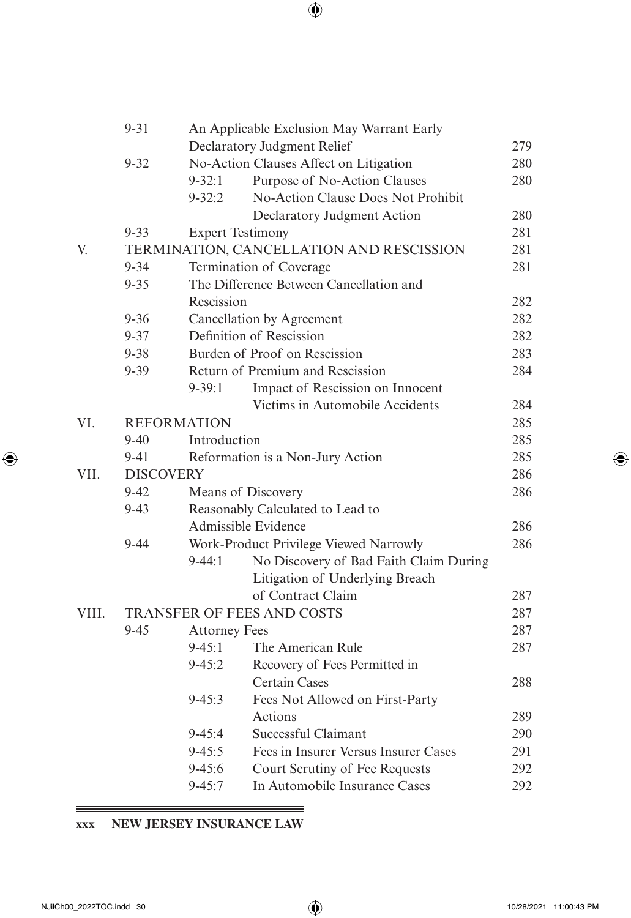|       | $9 - 31$         |                      | An Applicable Exclusion May Warrant Early |     |
|-------|------------------|----------------------|-------------------------------------------|-----|
|       |                  |                      | Declaratory Judgment Relief               | 279 |
|       | $9 - 32$         |                      | No-Action Clauses Affect on Litigation    | 280 |
|       |                  | $9 - 32:1$           | Purpose of No-Action Clauses              | 280 |
|       |                  | $9 - 32:2$           | No-Action Clause Does Not Prohibit        |     |
|       |                  |                      | Declaratory Judgment Action               | 280 |
|       | $9 - 33$         |                      | <b>Expert Testimony</b>                   | 281 |
| V.    |                  |                      | TERMINATION, CANCELLATION AND RESCISSION  | 281 |
|       | $9 - 34$         |                      | Termination of Coverage                   | 281 |
|       | $9 - 35$         |                      | The Difference Between Cancellation and   |     |
|       |                  | Rescission           |                                           | 282 |
|       | $9 - 36$         |                      | Cancellation by Agreement                 | 282 |
|       | $9 - 37$         |                      | Definition of Rescission                  | 282 |
|       | $9 - 38$         |                      | Burden of Proof on Rescission             | 283 |
|       | $9 - 39$         |                      | Return of Premium and Rescission          | 284 |
|       |                  | $9 - 39:1$           | Impact of Rescission on Innocent          |     |
|       |                  |                      | Victims in Automobile Accidents           | 284 |
| VI.   |                  | <b>REFORMATION</b>   |                                           | 285 |
|       | $9 - 40$         | Introduction         |                                           | 285 |
|       | $9 - 41$         |                      | Reformation is a Non-Jury Action          | 285 |
| VII.  | <b>DISCOVERY</b> |                      |                                           | 286 |
|       | $9 - 42$         |                      | Means of Discovery                        | 286 |
|       | $9 - 43$         |                      | Reasonably Calculated to Lead to          |     |
|       |                  |                      | Admissible Evidence                       | 286 |
|       | $9 - 44$         |                      | Work-Product Privilege Viewed Narrowly    | 286 |
|       |                  | $9 - 44:1$           | No Discovery of Bad Faith Claim During    |     |
|       |                  |                      | Litigation of Underlying Breach           |     |
|       |                  |                      | of Contract Claim                         | 287 |
| VIII. |                  |                      | <b>TRANSFER OF FEES AND COSTS</b>         | 287 |
|       | $9 - 45$         | <b>Attorney Fees</b> |                                           | 287 |
|       |                  | $9 - 45:1$           | The American Rule                         | 287 |
|       |                  | $9 - 45:2$           | Recovery of Fees Permitted in             |     |
|       |                  |                      | <b>Certain Cases</b>                      | 288 |
|       |                  | $9 - 45:3$           | Fees Not Allowed on First-Party           |     |
|       |                  |                      | Actions                                   | 289 |
|       |                  | $9 - 45:4$           | Successful Claimant                       | 290 |
|       |                  | $9 - 45:5$           | Fees in Insurer Versus Insurer Cases      | 291 |
|       |                  | $9 - 45:6$           | Court Scrutiny of Fee Requests            | 292 |
|       |                  | $9 - 45:7$           | In Automobile Insurance Cases             | 292 |

# **xxx NEW JERSEY INSURANCE LAW**

<u> 1989 - Johann Stoff, deutscher Stoff, der Stoff, der Stoff, der Stoff, der Stoff, der Stoff, der Stoff, der S</u>

 $\qquad \qquad =\qquad$ 

<span id="page-15-0"></span> $\overline{\phantom{a}}$ 

 $\bigoplus$ 

 $\bigoplus$ 

 $=$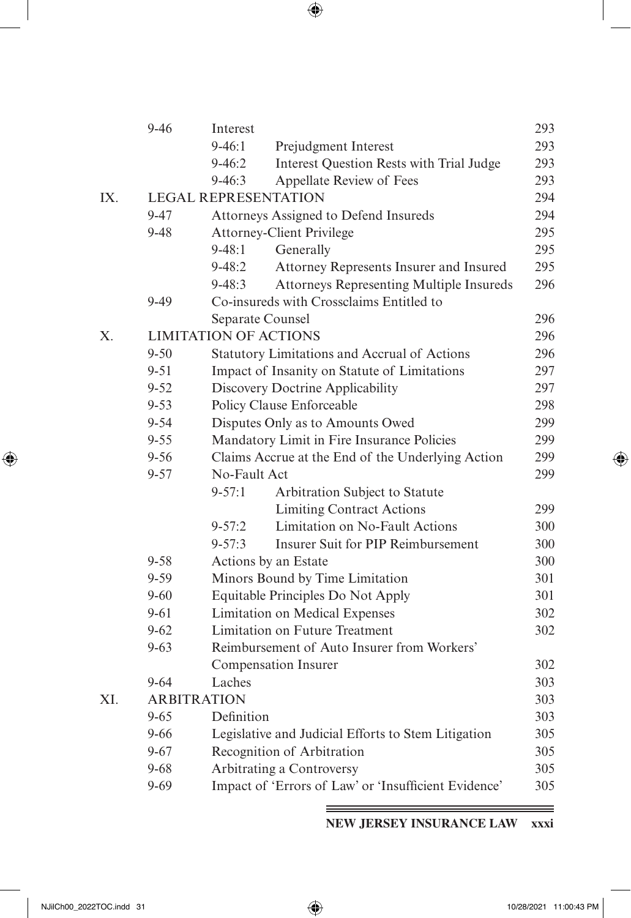|     | $9 - 46$ | Interest                     |                                                      | 293 |
|-----|----------|------------------------------|------------------------------------------------------|-----|
|     |          | $9-46:1$                     | Prejudgment Interest                                 | 293 |
|     |          | $9 - 46:2$                   | Interest Question Rests with Trial Judge             | 293 |
|     |          | $9 - 46:3$                   | Appellate Review of Fees                             | 293 |
| IX. |          | <b>LEGAL REPRESENTATION</b>  |                                                      | 294 |
|     | $9 - 47$ |                              | Attorneys Assigned to Defend Insureds                | 294 |
|     | $9 - 48$ |                              | <b>Attorney-Client Privilege</b>                     | 295 |
|     |          | $9 - 48:1$                   | Generally                                            | 295 |
|     |          | $9 - 48:2$                   | Attorney Represents Insurer and Insured              | 295 |
|     |          | $9 - 48:3$                   | Attorneys Representing Multiple Insureds             | 296 |
|     | $9-49$   |                              | Co-insureds with Crossclaims Entitled to             |     |
|     |          | Separate Counsel             |                                                      | 296 |
| Х.  |          | <b>LIMITATION OF ACTIONS</b> |                                                      | 296 |
|     | $9 - 50$ |                              | Statutory Limitations and Accrual of Actions         | 296 |
|     | $9 - 51$ |                              | Impact of Insanity on Statute of Limitations         | 297 |
|     | $9 - 52$ |                              | Discovery Doctrine Applicability                     | 297 |
|     | $9 - 53$ |                              | Policy Clause Enforceable                            | 298 |
|     | $9 - 54$ |                              | Disputes Only as to Amounts Owed                     | 299 |
|     | $9 - 55$ |                              | Mandatory Limit in Fire Insurance Policies           | 299 |
|     | $9 - 56$ |                              | Claims Accrue at the End of the Underlying Action    | 299 |
|     | $9 - 57$ | No-Fault Act                 |                                                      | 299 |
|     |          | $9 - 57:1$                   | Arbitration Subject to Statute                       |     |
|     |          |                              | <b>Limiting Contract Actions</b>                     | 299 |
|     |          | $9 - 57:2$                   | Limitation on No-Fault Actions                       | 300 |
|     |          | $9 - 57:3$                   | Insurer Suit for PIP Reimbursement                   | 300 |
|     | $9 - 58$ |                              | Actions by an Estate                                 | 300 |
|     | $9 - 59$ |                              | Minors Bound by Time Limitation                      | 301 |
|     | $9 - 60$ |                              | Equitable Principles Do Not Apply                    | 301 |
|     | $9 - 61$ |                              | Limitation on Medical Expenses                       | 302 |
|     | $9 - 62$ |                              | Limitation on Future Treatment                       | 302 |
|     | $9 - 63$ |                              | Reimbursement of Auto Insurer from Workers'          |     |
|     |          |                              | Compensation Insurer                                 | 302 |
|     | $9 - 64$ | Laches                       |                                                      | 303 |
| XI. |          | <b>ARBITRATION</b>           |                                                      | 303 |
|     | $9 - 65$ | Definition                   |                                                      | 303 |
|     | $9 - 66$ |                              | Legislative and Judicial Efforts to Stem Litigation  | 305 |
|     | $9 - 67$ |                              | Recognition of Arbitration                           | 305 |
|     | $9 - 68$ |                              | Arbitrating a Controversy                            | 305 |
|     | $9 - 69$ |                              | Impact of 'Errors of Law' or 'Insufficient Evidence' | 305 |

**NEW JERSEY INSURANCE LAW xxxi**

<span id="page-16-0"></span> $\overline{\phantom{a}}$ 

 $\bigoplus$ 

≡

 $\bigoplus$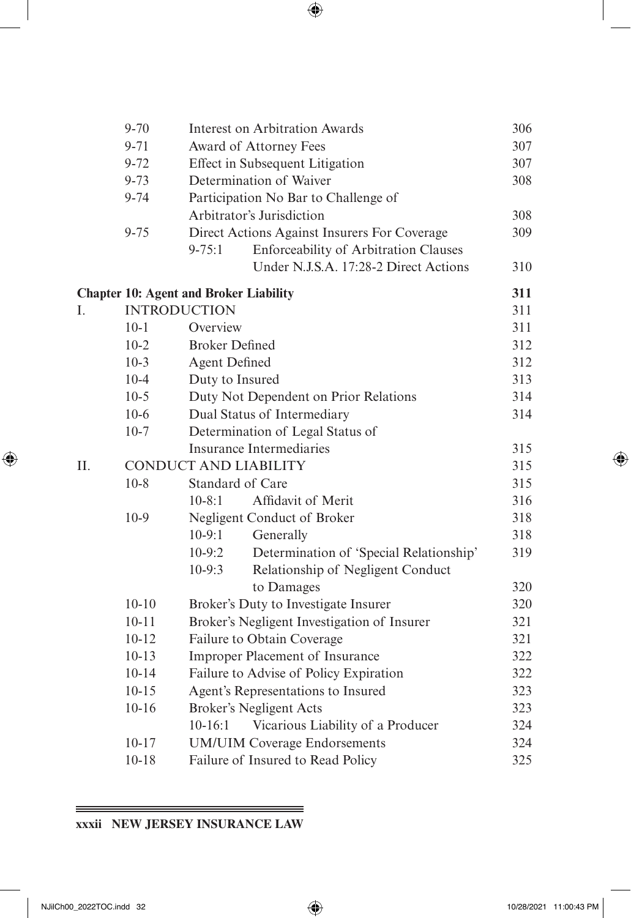|    | $9 - 70$  | <b>Interest on Arbitration Awards</b>               | 306 |
|----|-----------|-----------------------------------------------------|-----|
|    | $9 - 71$  | Award of Attorney Fees                              | 307 |
|    | $9 - 72$  | Effect in Subsequent Litigation                     | 307 |
|    | $9 - 73$  | Determination of Waiver                             | 308 |
|    | $9 - 74$  | Participation No Bar to Challenge of                |     |
|    |           | Arbitrator's Jurisdiction                           | 308 |
|    | $9 - 75$  | Direct Actions Against Insurers For Coverage        | 309 |
|    |           | $9 - 75:1$<br>Enforceability of Arbitration Clauses |     |
|    |           | Under N.J.S.A. 17:28-2 Direct Actions               | 310 |
|    |           | <b>Chapter 10: Agent and Broker Liability</b>       | 311 |
| I. |           | <b>INTRODUCTION</b>                                 | 311 |
|    | $10 - 1$  | Overview                                            | 311 |
|    | $10-2$    | <b>Broker Defined</b>                               | 312 |
|    | $10-3$    | <b>Agent Defined</b>                                | 312 |
|    | $10 - 4$  | Duty to Insured                                     | 313 |
|    | $10-5$    | Duty Not Dependent on Prior Relations               | 314 |
|    | $10-6$    | Dual Status of Intermediary                         | 314 |
|    | $10-7$    | Determination of Legal Status of                    |     |
|    |           | Insurance Intermediaries                            | 315 |
| Π. |           | <b>CONDUCT AND LIABILITY</b>                        | 315 |
|    | $10-8$    | Standard of Care                                    | 315 |
|    |           | $10 - 8:1$<br>Affidavit of Merit                    | 316 |
|    | $10-9$    | Negligent Conduct of Broker                         | 318 |
|    |           | $10-9:1$<br>Generally                               | 318 |
|    |           | $10-9:2$<br>Determination of 'Special Relationship' | 319 |
|    |           | $10-9:3$<br>Relationship of Negligent Conduct       |     |
|    |           | to Damages                                          | 320 |
|    | $10 - 10$ | Broker's Duty to Investigate Insurer                | 320 |
|    | $10 - 11$ | Broker's Negligent Investigation of Insurer         | 321 |
|    | $10 - 12$ | Failure to Obtain Coverage                          | 321 |
|    | $10 - 13$ | Improper Placement of Insurance                     | 322 |
|    | $10 - 14$ | Failure to Advise of Policy Expiration              | 322 |
|    | $10 - 15$ | Agent's Representations to Insured                  | 323 |
|    | $10 - 16$ | <b>Broker's Negligent Acts</b>                      | 323 |
|    |           | Vicarious Liability of a Producer<br>$10-16:1$      | 324 |
|    | $10 - 17$ | <b>UM/UIM Coverage Endorsements</b>                 | 324 |
|    | $10 - 18$ | Failure of Insured to Read Policy                   | 325 |
|    |           |                                                     |     |

#### <u> 1989 - Johann Harry Harry Harry Harry Harry Harry Harry Harry Harry Harry Harry Harry Harry Harry Harry Harry</u> **xxxii NEW JERSEY INSURANCE LAW**

<span id="page-17-0"></span> $\overline{\phantom{a}}$ 

 $\bigoplus$ 

 $\bigoplus$ 

 $=$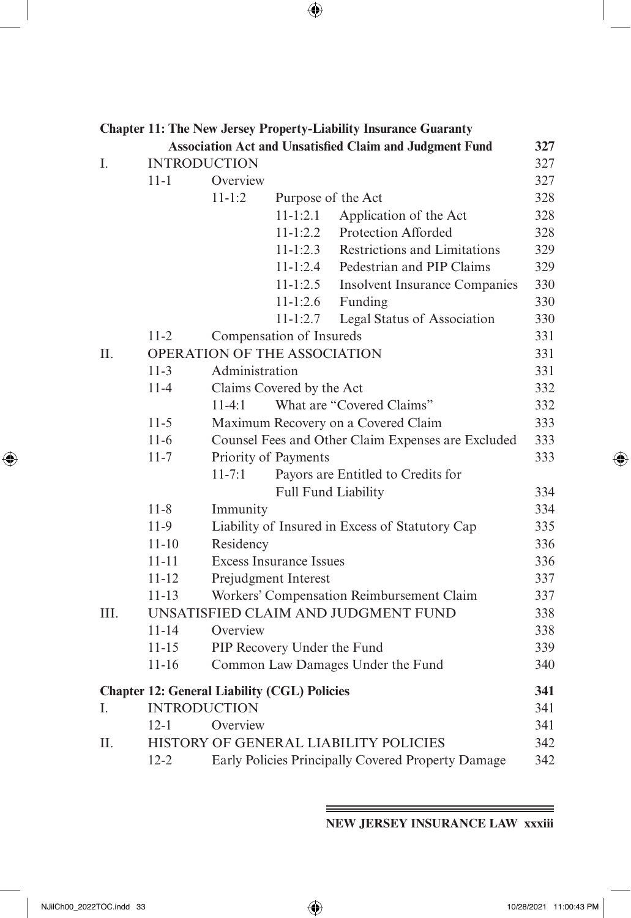|      |                                                     |                |                                | <b>Chapter 11: The New Jersey Property-Liability Insurance Guaranty</b> |     |
|------|-----------------------------------------------------|----------------|--------------------------------|-------------------------------------------------------------------------|-----|
|      |                                                     |                |                                | <b>Association Act and Unsatisfied Claim and Judgment Fund</b>          | 327 |
| I.   | <b>INTRODUCTION</b>                                 |                |                                |                                                                         | 327 |
|      | $11 - 1$                                            | Overview       |                                |                                                                         | 327 |
|      |                                                     | $11 - 1:2$     | Purpose of the Act             |                                                                         | 328 |
|      |                                                     |                | $11 - 1:2.1$                   | Application of the Act                                                  | 328 |
|      |                                                     |                | $11-1:2.2$                     | Protection Afforded                                                     | 328 |
|      |                                                     |                | $11 - 1:2.3$                   | <b>Restrictions and Limitations</b>                                     | 329 |
|      |                                                     |                | $11 - 1:2.4$                   | Pedestrian and PIP Claims                                               | 329 |
|      |                                                     |                | $11 - 1:2.5$                   | <b>Insolvent Insurance Companies</b>                                    | 330 |
|      |                                                     |                | $11-1:2.6$                     | Funding                                                                 | 330 |
|      |                                                     |                | $11-1:2.7$                     | Legal Status of Association                                             | 330 |
|      | $11-2$                                              |                | Compensation of Insureds       |                                                                         | 331 |
| Π.   |                                                     |                | OPERATION OF THE ASSOCIATION   |                                                                         | 331 |
|      | $11-3$                                              | Administration |                                |                                                                         | 331 |
|      | $11 - 4$                                            |                | Claims Covered by the Act      |                                                                         | 332 |
|      |                                                     | $11-4:1$       |                                | What are "Covered Claims"                                               | 332 |
|      | $11-5$                                              |                |                                | Maximum Recovery on a Covered Claim                                     | 333 |
|      | $11-6$                                              |                |                                | Counsel Fees and Other Claim Expenses are Excluded                      | 333 |
|      | $11 - 7$                                            |                | Priority of Payments           |                                                                         | 333 |
|      |                                                     | $11 - 7:1$     |                                | Payors are Entitled to Credits for                                      |     |
|      |                                                     |                |                                | Full Fund Liability                                                     | 334 |
|      | $11 - 8$                                            | Immunity       |                                |                                                                         | 334 |
|      | 11-9                                                |                |                                | Liability of Insured in Excess of Statutory Cap                         | 335 |
|      | $11 - 10$                                           | Residency      |                                |                                                                         | 336 |
|      | $11 - 11$                                           |                | <b>Excess Insurance Issues</b> |                                                                         | 336 |
|      | $11 - 12$                                           |                | Prejudgment Interest           |                                                                         | 337 |
|      | $11 - 13$                                           |                |                                | Workers' Compensation Reimbursement Claim                               | 337 |
| III. |                                                     |                |                                | UNSATISFIED CLAIM AND JUDGMENT FUND                                     | 338 |
|      | $11 - 14$                                           | Overview       |                                |                                                                         | 338 |
|      | $11 - 15$                                           |                | PIP Recovery Under the Fund    |                                                                         | 339 |
|      | $11 - 16$                                           |                |                                | Common Law Damages Under the Fund                                       | 340 |
|      | <b>Chapter 12: General Liability (CGL) Policies</b> |                |                                |                                                                         | 341 |
| L.   | <b>INTRODUCTION</b>                                 |                |                                |                                                                         | 341 |
|      | $12 - 1$                                            | Overview       |                                |                                                                         | 341 |
| H.   |                                                     |                |                                | HISTORY OF GENERAL LIABILITY POLICIES                                   | 342 |
|      | $12 - 2$                                            |                |                                | Early Policies Principally Covered Property Damage                      | 342 |
|      |                                                     |                |                                |                                                                         |     |

**NEW JERSEY INSURANCE LAW xxxiii**

<span id="page-18-0"></span> $\overline{\phantom{a}}$ 

 $\bigoplus$ 

 $\equiv$ 

 $\bigoplus$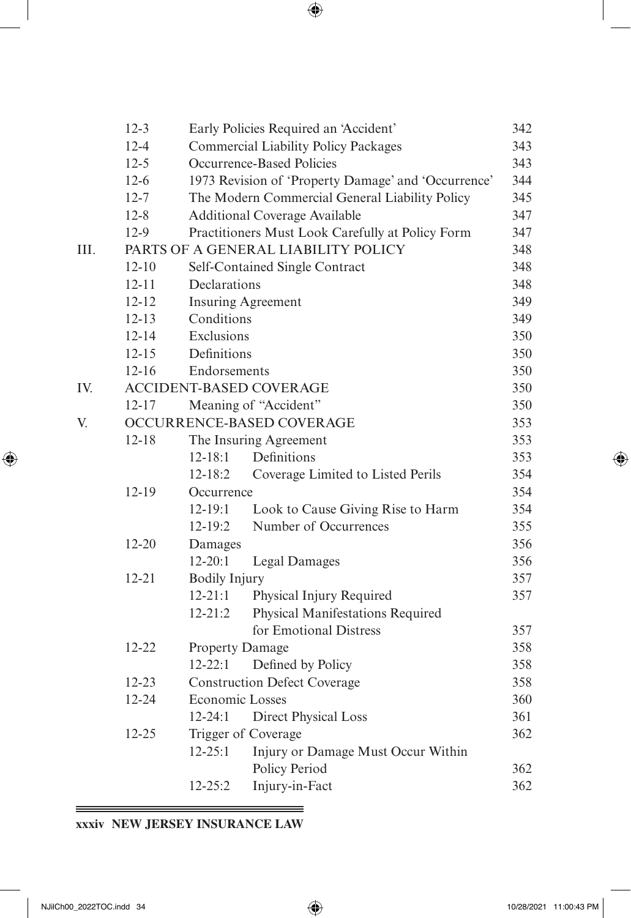|      | $12 - 3$  |                        | Early Policies Required an 'Accident'                      | 342 |  |  |  |
|------|-----------|------------------------|------------------------------------------------------------|-----|--|--|--|
|      | $12 - 4$  |                        | <b>Commercial Liability Policy Packages</b><br>343         |     |  |  |  |
|      | $12 - 5$  |                        | Occurrence-Based Policies<br>343                           |     |  |  |  |
|      | $12-6$    |                        | 1973 Revision of 'Property Damage' and 'Occurrence'<br>344 |     |  |  |  |
|      | $12 - 7$  |                        | The Modern Commercial General Liability Policy             |     |  |  |  |
|      | $12 - 8$  |                        | <b>Additional Coverage Available</b>                       | 347 |  |  |  |
|      | $12-9$    |                        | Practitioners Must Look Carefully at Policy Form           | 347 |  |  |  |
| III. |           |                        | PARTS OF A GENERAL LIABILITY POLICY                        | 348 |  |  |  |
|      | $12 - 10$ |                        | Self-Contained Single Contract                             | 348 |  |  |  |
|      | $12 - 11$ | Declarations           |                                                            | 348 |  |  |  |
|      | $12 - 12$ |                        | <b>Insuring Agreement</b>                                  | 349 |  |  |  |
|      | $12 - 13$ | Conditions             |                                                            | 349 |  |  |  |
|      | $12 - 14$ | Exclusions             |                                                            | 350 |  |  |  |
|      | $12 - 15$ | Definitions            |                                                            | 350 |  |  |  |
|      | $12 - 16$ | Endorsements           |                                                            | 350 |  |  |  |
| IV.  |           |                        | <b>ACCIDENT-BASED COVERAGE</b>                             | 350 |  |  |  |
|      | $12 - 17$ |                        | Meaning of "Accident"                                      | 350 |  |  |  |
| V.   |           |                        | OCCURRENCE-BASED COVERAGE                                  | 353 |  |  |  |
|      | $12 - 18$ |                        | The Insuring Agreement                                     | 353 |  |  |  |
|      |           | $12 - 18:1$            | Definitions                                                | 353 |  |  |  |
|      |           | $12 - 18:2$            | Coverage Limited to Listed Perils                          | 354 |  |  |  |
|      | 12-19     | Occurrence             |                                                            | 354 |  |  |  |
|      |           | $12 - 19:1$            | Look to Cause Giving Rise to Harm                          | 354 |  |  |  |
|      |           | 12-19:2                | Number of Occurrences                                      | 355 |  |  |  |
|      | $12 - 20$ | Damages                |                                                            | 356 |  |  |  |
|      |           | $12 - 20:1$            | <b>Legal Damages</b>                                       | 356 |  |  |  |
|      | $12 - 21$ | <b>Bodily Injury</b>   |                                                            | 357 |  |  |  |
|      |           | $12 - 21:1$            | Physical Injury Required                                   | 357 |  |  |  |
|      |           | $12 - 21:2$            | Physical Manifestations Required                           |     |  |  |  |
|      |           |                        | for Emotional Distress                                     | 357 |  |  |  |
|      | $12 - 22$ | <b>Property Damage</b> |                                                            | 358 |  |  |  |
|      |           | $12 - 22:1$            | Defined by Policy                                          | 358 |  |  |  |
|      | 12-23     |                        | <b>Construction Defect Coverage</b>                        | 358 |  |  |  |
|      | 12-24     | <b>Economic Losses</b> |                                                            | 360 |  |  |  |
|      |           | $12 - 24:1$            | Direct Physical Loss                                       | 361 |  |  |  |
|      | $12 - 25$ |                        | Trigger of Coverage                                        | 362 |  |  |  |
|      |           | $12 - 25:1$            | Injury or Damage Must Occur Within                         |     |  |  |  |
|      |           |                        | Policy Period                                              | 362 |  |  |  |
|      |           | $12 - 25:2$            | Injury-in-Fact                                             | 362 |  |  |  |
|      |           |                        |                                                            |     |  |  |  |

 $=$ 

#### <u> 1989 - Johann Harry Harry Harry Harry Harry Harry Harry Harry Harry Harry Harry Harry Harry Harry Harry Harry</u> **xxxiv NEW JERSEY INSURANCE LAW**

<span id="page-19-0"></span> $\overline{\phantom{a}}$ 

 $\bigoplus$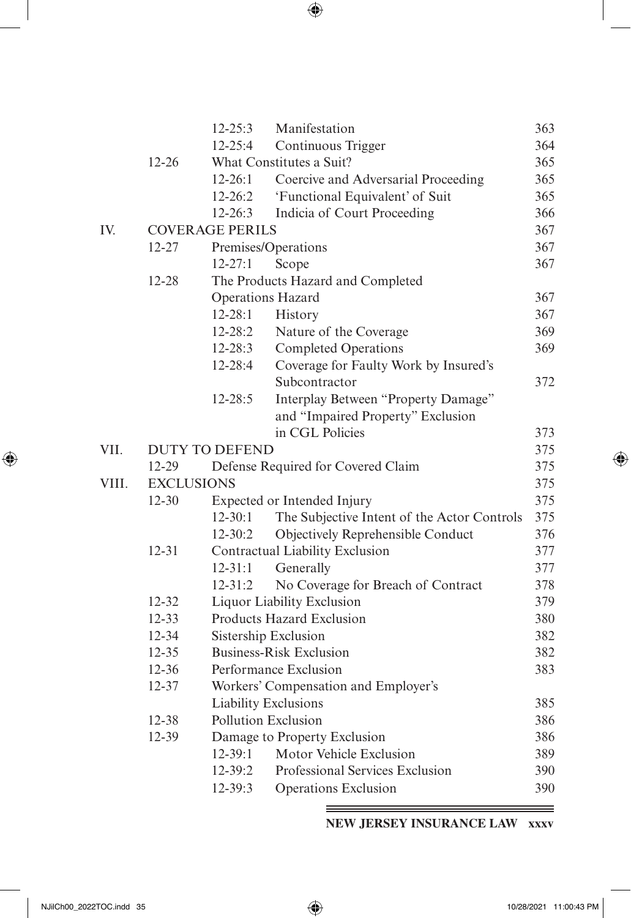| I<br>I<br>ł |
|-------------|

|       |                   | $12 - 25:3$            | Manifestation                               | 363 |
|-------|-------------------|------------------------|---------------------------------------------|-----|
|       |                   | $12 - 25:4$            | Continuous Trigger                          | 364 |
|       | $12 - 26$         |                        | What Constitutes a Suit?                    | 365 |
|       |                   | $12 - 26:1$            | Coercive and Adversarial Proceeding         | 365 |
|       |                   | $12 - 26:2$            | 'Functional Equivalent' of Suit             | 365 |
|       |                   | $12 - 26:3$            | Indicia of Court Proceeding                 | 366 |
| IV.   |                   | <b>COVERAGE PERILS</b> |                                             | 367 |
|       | 12-27             |                        | Premises/Operations                         | 367 |
|       |                   | $12 - 27:1$            | Scope                                       | 367 |
|       | 12-28             |                        | The Products Hazard and Completed           |     |
|       |                   |                        | Operations Hazard                           | 367 |
|       |                   | $12 - 28:1$            | History                                     | 367 |
|       |                   | $12 - 28:2$            | Nature of the Coverage                      | 369 |
|       |                   | $12 - 28:3$            | <b>Completed Operations</b>                 | 369 |
|       |                   | 12-28:4                | Coverage for Faulty Work by Insured's       |     |
|       |                   |                        | Subcontractor                               | 372 |
|       |                   | $12 - 28:5$            | Interplay Between "Property Damage"         |     |
|       |                   |                        | and "Impaired Property" Exclusion           |     |
|       |                   |                        | in CGL Policies                             | 373 |
| VII.  |                   | <b>DUTY TO DEFEND</b>  |                                             | 375 |
|       | 12-29             |                        | Defense Required for Covered Claim          | 375 |
| VIII. | <b>EXCLUSIONS</b> |                        |                                             | 375 |
|       | $12 - 30$         |                        | Expected or Intended Injury                 | 375 |
|       |                   | $12 - 30:1$            | The Subjective Intent of the Actor Controls | 375 |
|       |                   | $12 - 30:2$            | Objectively Reprehensible Conduct           | 376 |
|       | $12 - 31$         |                        | Contractual Liability Exclusion             | 377 |
|       |                   | $12 - 31:1$            | Generally                                   | 377 |
|       |                   | $12 - 31:2$            | No Coverage for Breach of Contract          | 378 |
|       | 12-32             |                        | Liquor Liability Exclusion                  | 379 |
|       | $12 - 33$         |                        | Products Hazard Exclusion                   | 380 |
|       | 12-34             |                        | Sistership Exclusion                        | 382 |
|       | $12 - 35$         |                        | <b>Business-Risk Exclusion</b>              | 382 |
|       | 12-36             |                        | Performance Exclusion                       | 383 |
|       | 12-37             |                        | Workers' Compensation and Employer's        |     |
|       |                   |                        | Liability Exclusions                        | 385 |
|       | 12-38             |                        | Pollution Exclusion                         | 386 |
|       | 12-39             |                        | Damage to Property Exclusion                | 386 |
|       |                   | $12 - 39:1$            | Motor Vehicle Exclusion                     | 389 |
|       |                   | 12-39:2                | Professional Services Exclusion             | 390 |
|       |                   | 12-39:3                | <b>Operations Exclusion</b>                 | 390 |

**NEW JERSEY INSURANCE LAW xxxv**

<span id="page-20-0"></span> $\overline{\phantom{a}}$ 

 $\bigoplus$ 

≡

 $\bigoplus$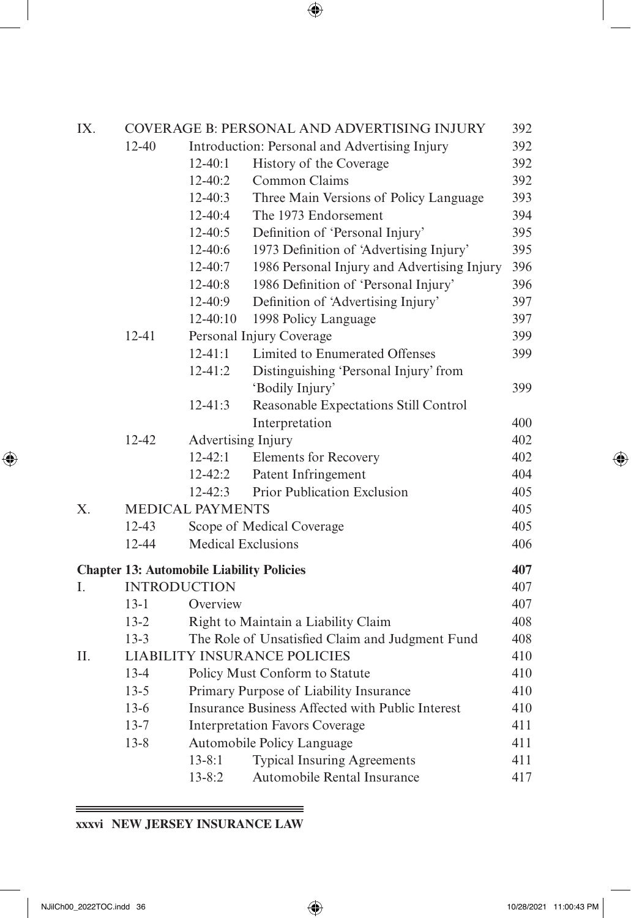| IX. |                     |                                                  | COVERAGE B: PERSONAL AND ADVERTISING INJURY      | 392 |
|-----|---------------------|--------------------------------------------------|--------------------------------------------------|-----|
|     | $12 - 40$           |                                                  | Introduction: Personal and Advertising Injury    | 392 |
|     |                     | $12-40:1$                                        | History of the Coverage                          | 392 |
|     |                     | $12 - 40:2$                                      | Common Claims                                    | 392 |
|     |                     | $12 - 40:3$                                      | Three Main Versions of Policy Language           | 393 |
|     |                     | 12-40:4                                          | The 1973 Endorsement                             | 394 |
|     |                     | $12 - 40:5$                                      | Definition of 'Personal Injury'                  | 395 |
|     |                     | $12-40:6$                                        | 1973 Definition of 'Advertising Injury'          | 395 |
|     |                     | $12 - 40:7$                                      | 1986 Personal Injury and Advertising Injury      | 396 |
|     |                     | $12 - 40:8$                                      | 1986 Definition of 'Personal Injury'             | 396 |
|     |                     | 12-40:9                                          | Definition of 'Advertising Injury'               | 397 |
|     |                     | 12-40:10                                         | 1998 Policy Language                             | 397 |
|     | $12 - 41$           |                                                  | Personal Injury Coverage                         | 399 |
|     |                     | $12 - 41:1$                                      | Limited to Enumerated Offenses                   | 399 |
|     |                     | $12 - 41:2$                                      | Distinguishing 'Personal Injury' from            |     |
|     |                     |                                                  | 'Bodily Injury'                                  | 399 |
|     |                     | $12 - 41:3$                                      | Reasonable Expectations Still Control            |     |
|     |                     |                                                  | Interpretation                                   | 400 |
|     | 12-42               | Advertising Injury                               |                                                  | 402 |
|     |                     | $12 - 42:1$                                      | Elements for Recovery                            | 402 |
|     |                     | $12 - 42:2$                                      | Patent Infringement                              | 404 |
|     |                     | $12 - 42:3$                                      | Prior Publication Exclusion                      | 405 |
| X.  |                     | <b>MEDICAL PAYMENTS</b>                          |                                                  | 405 |
|     | $12 - 43$           |                                                  | Scope of Medical Coverage                        | 405 |
|     | $12 - 44$           | <b>Medical Exclusions</b>                        |                                                  | 406 |
|     |                     | <b>Chapter 13: Automobile Liability Policies</b> |                                                  | 407 |
| L   | <b>INTRODUCTION</b> |                                                  |                                                  | 407 |
|     | $13-1$              | Overview                                         |                                                  | 407 |
|     | $13 - 2$            |                                                  | Right to Maintain a Liability Claim              | 408 |
|     | $13 - 3$            |                                                  | The Role of Unsatisfied Claim and Judgment Fund  | 408 |
| II. |                     |                                                  | <b>LIABILITY INSURANCE POLICIES</b>              | 410 |
|     | $13-4$              |                                                  | Policy Must Conform to Statute                   | 410 |
|     | $13 - 5$            |                                                  | Primary Purpose of Liability Insurance           | 410 |
|     | $13-6$              |                                                  | Insurance Business Affected with Public Interest | 410 |
|     | $13 - 7$            |                                                  | <b>Interpretation Favors Coverage</b>            | 411 |
|     | $13 - 8$            |                                                  | Automobile Policy Language                       | 411 |
|     |                     | $13 - 8:1$                                       | <b>Typical Insuring Agreements</b>               | 411 |
|     |                     | $13 - 8:2$                                       | Automobile Rental Insurance                      | 417 |
|     |                     |                                                  |                                                  |     |

#### <u> 1989 - Johann Harry Harry Harry Harry Harry Harry Harry Harry Harry Harry Harry Harry Harry Harry Harry Harry</u> **xxxvi NEW JERSEY INSURANCE LAW**

<span id="page-21-0"></span> $\overline{\phantom{a}}$ 

 $\bigoplus$ 

 $\bigoplus$ 

 $=$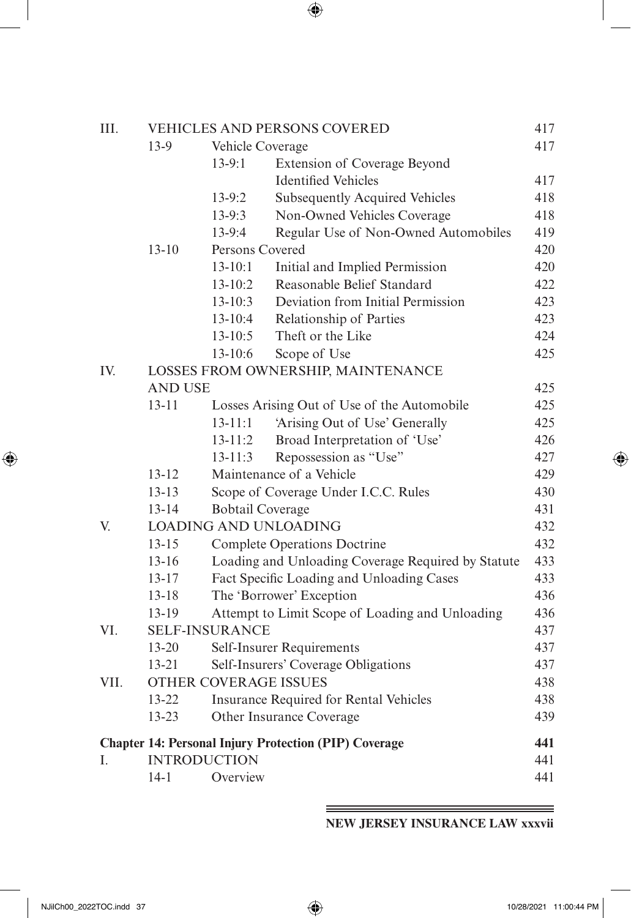| III. |                |                         | <b>VEHICLES AND PERSONS COVERED</b>                          | 417 |
|------|----------------|-------------------------|--------------------------------------------------------------|-----|
|      | $13-9$         | Vehicle Coverage        |                                                              | 417 |
|      |                | $13-9:1$                | Extension of Coverage Beyond                                 |     |
|      |                |                         | <b>Identified Vehicles</b>                                   | 417 |
|      |                | $13-9:2$                | <b>Subsequently Acquired Vehicles</b>                        | 418 |
|      |                | $13-9:3$                | Non-Owned Vehicles Coverage                                  | 418 |
|      |                | 13-9:4                  | Regular Use of Non-Owned Automobiles                         | 419 |
|      | $13 - 10$      | Persons Covered         |                                                              | 420 |
|      |                | $13 - 10:1$             | Initial and Implied Permission                               | 420 |
|      |                | $13 - 10:2$             | Reasonable Belief Standard                                   | 422 |
|      |                | $13 - 10:3$             | Deviation from Initial Permission                            | 423 |
|      |                | $13 - 10:4$             | Relationship of Parties                                      | 423 |
|      |                | $13 - 10:5$             | Theft or the Like                                            | 424 |
|      |                | 13-10:6                 | Scope of Use                                                 | 425 |
| IV.  |                |                         | LOSSES FROM OWNERSHIP, MAINTENANCE                           |     |
|      | <b>AND USE</b> |                         |                                                              | 425 |
|      | $13 - 11$      |                         | Losses Arising Out of Use of the Automobile                  | 425 |
|      |                | $13 - 11:1$             | 'Arising Out of Use' Generally                               | 425 |
|      |                | $13 - 11:2$             | Broad Interpretation of 'Use'                                | 426 |
|      |                | $13 - 11:3$             | Repossession as "Use"                                        | 427 |
|      | $13 - 12$      |                         | Maintenance of a Vehicle                                     | 429 |
|      | $13 - 13$      |                         | Scope of Coverage Under I.C.C. Rules                         | 430 |
|      | $13 - 14$      | <b>Bobtail Coverage</b> |                                                              | 431 |
| V.   |                |                         | <b>LOADING AND UNLOADING</b>                                 | 432 |
|      | $13 - 15$      |                         | <b>Complete Operations Doctrine</b>                          | 432 |
|      | $13 - 16$      |                         | Loading and Unloading Coverage Required by Statute           | 433 |
|      | $13 - 17$      |                         | Fact Specific Loading and Unloading Cases                    | 433 |
|      | $13 - 18$      |                         | The 'Borrower' Exception                                     | 436 |
|      | 13-19          |                         | Attempt to Limit Scope of Loading and Unloading              | 436 |
| VI.  |                | <b>SELF-INSURANCE</b>   |                                                              | 437 |
|      | 13-20          |                         | Self-Insurer Requirements                                    | 437 |
|      | $13 - 21$      |                         | Self-Insurers' Coverage Obligations                          | 437 |
| VII. |                | OTHER COVERAGE ISSUES   |                                                              | 438 |
|      | 13-22          |                         | <b>Insurance Required for Rental Vehicles</b>                | 438 |
|      | 13-23          |                         | Other Insurance Coverage                                     | 439 |
|      |                |                         | <b>Chapter 14: Personal Injury Protection (PIP) Coverage</b> | 441 |
| I.   |                | <b>INTRODUCTION</b>     |                                                              | 441 |
|      | $14-1$         | Overview                |                                                              | 441 |
|      |                |                         |                                                              |     |

**NEW JERSEY INSURANCE LAW xxxvii**

<span id="page-22-0"></span> $\overline{\phantom{a}}$ 

 $\bigoplus$ 

 $\equiv$ 

 $\bigoplus$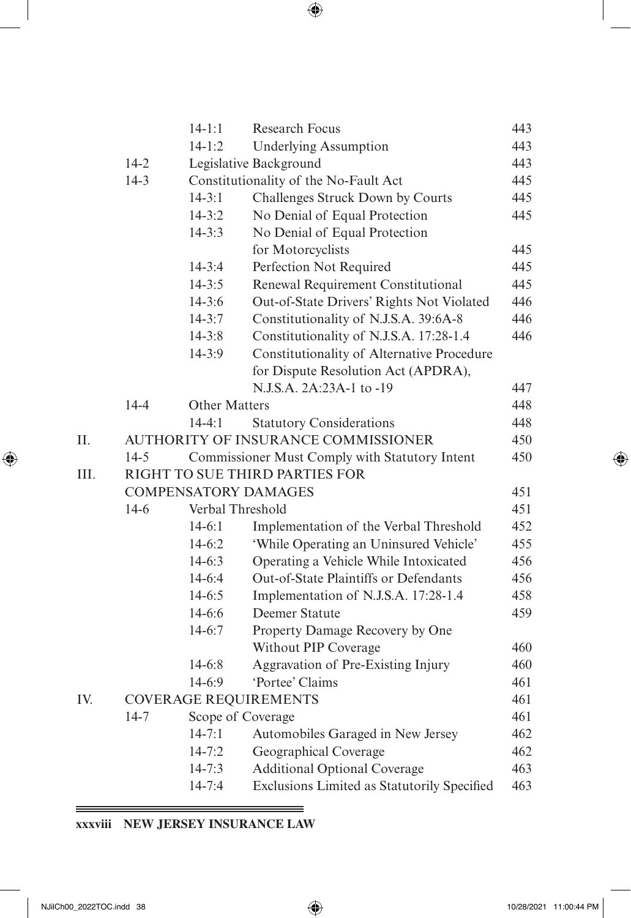| I<br>I<br>ç<br>۰.<br>٧ |
|------------------------|
|                        |

|          | $14 - 1:1$           | <b>Research Focus</b>                          | 443 |
|----------|----------------------|------------------------------------------------|-----|
|          | $14 - 1:2$           | <b>Underlying Assumption</b>                   | 443 |
| $14 - 2$ |                      | Legislative Background                         | 443 |
| $14-3$   |                      | Constitutionality of the No-Fault Act          | 445 |
|          | $14 - 3:1$           | Challenges Struck Down by Courts               | 445 |
|          | $14 - 3:2$           | No Denial of Equal Protection                  | 445 |
|          | $14 - 3:3$           | No Denial of Equal Protection                  |     |
|          |                      | for Motorcyclists                              | 445 |
|          | $14 - 3:4$           | Perfection Not Required                        | 445 |
|          | $14 - 3:5$           | Renewal Requirement Constitutional             | 445 |
|          | $14 - 3:6$           | Out-of-State Drivers' Rights Not Violated      | 446 |
|          | $14 - 3:7$           | Constitutionality of N.J.S.A. 39:6A-8          | 446 |
|          | $14 - 3:8$           | Constitutionality of N.J.S.A. 17:28-1.4        | 446 |
|          | $14-3:9$             | Constitutionality of Alternative Procedure     |     |
|          |                      | for Dispute Resolution Act (APDRA),            |     |
|          |                      | N.J.S.A. 2A:23A-1 to -19                       | 447 |
| $14 - 4$ | <b>Other Matters</b> |                                                | 448 |
|          | $14 - 4:1$           | <b>Statutory Considerations</b>                | 448 |
|          |                      | <b>AUTHORITY OF INSURANCE COMMISSIONER</b>     | 450 |
| $14 - 5$ |                      | Commissioner Must Comply with Statutory Intent | 450 |
|          |                      | RIGHT TO SUE THIRD PARTIES FOR                 |     |
|          |                      | <b>COMPENSATORY DAMAGES</b>                    | 451 |
| $14-6$   |                      | Verbal Threshold                               | 451 |
|          | $14-6:1$             | Implementation of the Verbal Threshold         | 452 |
|          | $14-6:2$             | 'While Operating an Uninsured Vehicle'         | 455 |
|          | $14-6:3$             | Operating a Vehicle While Intoxicated          | 456 |
|          | $14-6:4$             | Out-of-State Plaintiffs or Defendants          | 456 |
|          | $14-6:5$             | Implementation of N.J.S.A. 17:28-1.4           | 458 |
|          | $14-6:6$             | Deemer Statute                                 | 459 |
|          | $14-6:7$             | Property Damage Recovery by One                |     |
|          |                      | Without PIP Coverage                           | 460 |
|          | $14 - 6:8$           | Aggravation of Pre-Existing Injury             | 460 |
|          | 14-6:9               | 'Portee' Claims                                | 461 |
|          |                      | <b>COVERAGE REQUIREMENTS</b>                   | 461 |
| $14 - 7$ |                      | Scope of Coverage                              | 461 |
|          | $14 - 7:1$           | Automobiles Garaged in New Jersey              | 462 |
|          | $14 - 7:2$           | Geographical Coverage                          | 462 |
|          | $14 - 7:3$           | <b>Additional Optional Coverage</b>            | 463 |
|          | $14 - 7:4$           | Exclusions Limited as Statutorily Specified    | 463 |
|          |                      |                                                |     |

 $\qquad \qquad =$ 

# **xxxviii NEW JERSEY INSURANCE LAW**

 $\equiv$ 

\_\_\_\_

<span id="page-23-0"></span> $\overline{\phantom{a}}$ 

 $\bigoplus$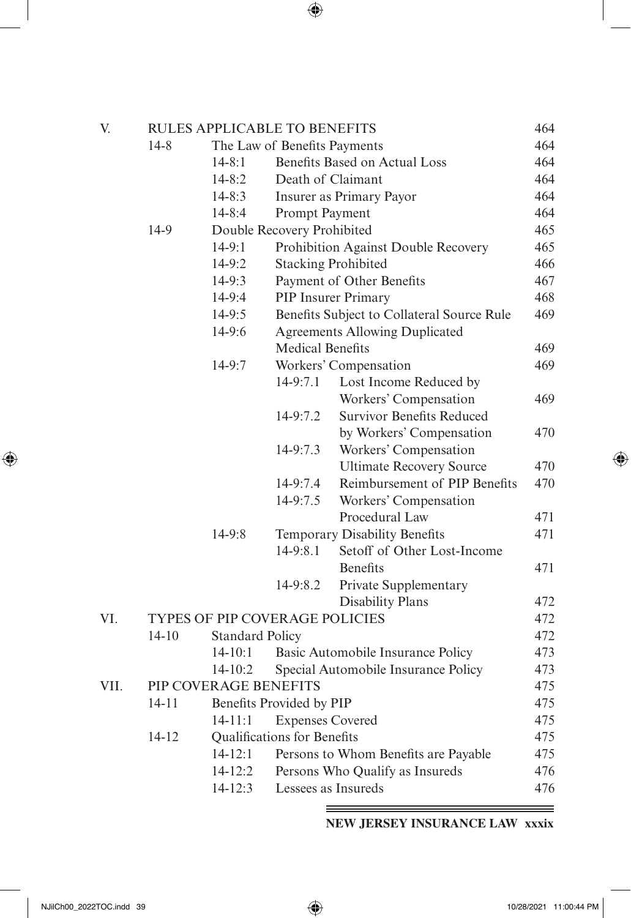| V.   |                                                 | <b>RULES APPLICABLE TO BENEFITS</b>    |                            |                                            | 464        |
|------|-------------------------------------------------|----------------------------------------|----------------------------|--------------------------------------------|------------|
|      | $14 - 8$<br>The Law of Benefits Payments<br>464 |                                        |                            |                                            |            |
|      |                                                 | $14 - 8:1$                             |                            | Benefits Based on Actual Loss              | 464        |
|      |                                                 | $14 - 8:2$                             |                            | Death of Claimant                          | 464        |
|      |                                                 | $14 - 8:3$                             |                            | Insurer as Primary Payor                   | 464        |
|      |                                                 | $14 - 8:4$                             | Prompt Payment             |                                            | 464        |
|      | 14-9                                            |                                        | Double Recovery Prohibited |                                            | 465        |
|      |                                                 | $14-9:1$                               |                            | Prohibition Against Double Recovery        | 465        |
|      |                                                 | $14-9:2$                               |                            | <b>Stacking Prohibited</b>                 | 466        |
|      |                                                 | $14-9:3$                               |                            | Payment of Other Benefits                  | 467        |
|      |                                                 | 14-9:4                                 |                            | <b>PIP Insurer Primary</b>                 | 468        |
|      |                                                 | $14-9:5$                               |                            | Benefits Subject to Collateral Source Rule | 469        |
|      |                                                 | 14-9:6                                 |                            | <b>Agreements Allowing Duplicated</b>      |            |
|      |                                                 |                                        | <b>Medical Benefits</b>    |                                            | 469        |
|      |                                                 | 14-9:7                                 |                            | Workers' Compensation                      | 469        |
|      |                                                 |                                        | 14-9:7.1                   | Lost Income Reduced by                     |            |
|      |                                                 |                                        |                            | Workers' Compensation                      | 469        |
|      |                                                 |                                        | 14-9:7.2                   | <b>Survivor Benefits Reduced</b>           |            |
|      |                                                 |                                        |                            | by Workers' Compensation                   | 470        |
|      |                                                 |                                        | 14-9:7.3                   | Workers' Compensation                      |            |
|      |                                                 |                                        |                            | <b>Ultimate Recovery Source</b>            | 470        |
|      |                                                 |                                        | 14-9:7.4                   | Reimbursement of PIP Benefits              | 470        |
|      |                                                 |                                        | 14-9:7.5                   | Workers' Compensation                      |            |
|      |                                                 |                                        |                            | Procedural Law                             | 471        |
|      |                                                 | $14-9:8$                               |                            | Temporary Disability Benefits              | 471        |
|      |                                                 |                                        | $14-9:8.1$                 | Setoff of Other Lost-Income                |            |
|      |                                                 |                                        |                            | <b>Benefits</b>                            | 471        |
|      |                                                 |                                        | 14-9:8.2                   | Private Supplementary                      |            |
|      |                                                 |                                        |                            | <b>Disability Plans</b>                    | 472        |
| VI.  |                                                 | TYPES OF PIP COVERAGE POLICIES         |                            |                                            | 472        |
|      | $14 - 10$                                       | <b>Standard Policy</b>                 |                            |                                            | 472        |
|      |                                                 | $14 - 10:1$                            |                            | Basic Automobile Insurance Policy          | 473        |
|      |                                                 | $14 - 10:2$                            |                            | Special Automobile Insurance Policy        | 473        |
| VII. |                                                 | PIP COVERAGE BENEFITS                  |                            |                                            | 475        |
|      | $14 - 11$                                       |                                        | Benefits Provided by PIP   |                                            | 475        |
|      |                                                 | <b>Expenses Covered</b><br>$14 - 11:1$ |                            |                                            | 475        |
|      | $14 - 12$                                       | Qualifications for Benefits            |                            |                                            | 475        |
|      |                                                 | $14 - 12:1$                            |                            | Persons to Whom Benefits are Payable       | 475        |
|      |                                                 | $14 - 12:2$                            |                            | Persons Who Qualify as Insureds            | 476<br>476 |
|      |                                                 | $14 - 12:3$                            | Lessees as Insureds        |                                            |            |

**NEW JERSEY INSURANCE LAW xxxix**

<span id="page-24-0"></span> $\overline{\phantom{a}}$ 

 $\bigoplus$ 

 $=$ 

 $\bigoplus$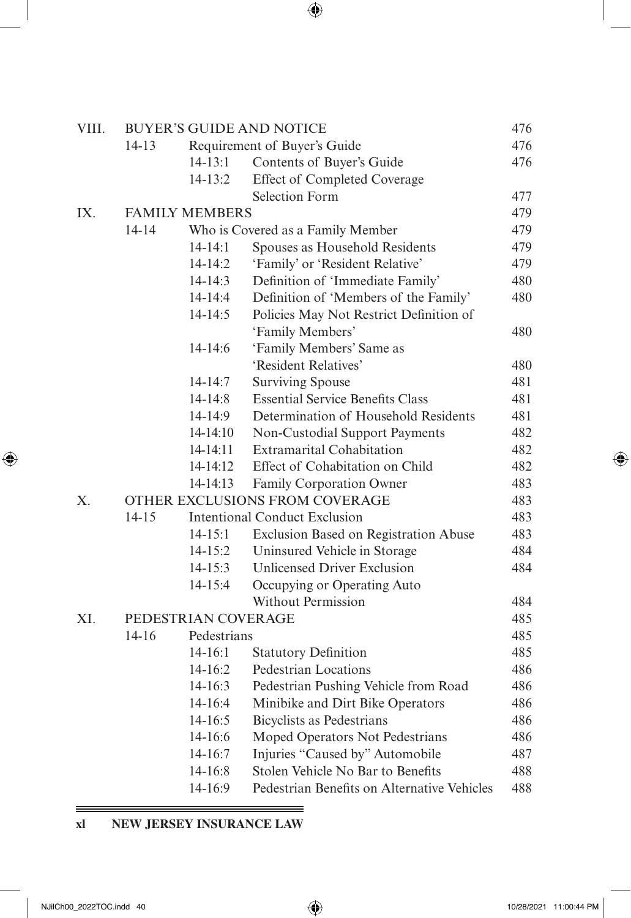| VIII. |           |                       | <b>BUYER'S GUIDE AND NOTICE</b>             | 476 |
|-------|-----------|-----------------------|---------------------------------------------|-----|
|       | $14 - 13$ |                       | Requirement of Buyer's Guide                | 476 |
|       |           | $14 - 13:1$           | Contents of Buyer's Guide                   | 476 |
|       |           | $14 - 13:2$           | <b>Effect of Completed Coverage</b>         |     |
|       |           |                       | <b>Selection Form</b>                       | 477 |
| IX.   |           | <b>FAMILY MEMBERS</b> |                                             | 479 |
|       | $14 - 14$ |                       | Who is Covered as a Family Member           | 479 |
|       |           | $14 - 14:1$           | Spouses as Household Residents              | 479 |
|       |           | $14 - 14:2$           | 'Family' or 'Resident Relative'             | 479 |
|       |           | $14 - 14:3$           | Definition of 'Immediate Family'            | 480 |
|       |           | $14 - 14:4$           | Definition of 'Members of the Family'       | 480 |
|       |           | $14 - 14:5$           | Policies May Not Restrict Definition of     |     |
|       |           |                       | 'Family Members'                            | 480 |
|       |           | 14-14:6               | 'Family Members' Same as                    |     |
|       |           |                       | 'Resident Relatives'                        | 480 |
|       |           | $14 - 14:7$           | <b>Surviving Spouse</b>                     | 481 |
|       |           | $14 - 14:8$           | <b>Essential Service Benefits Class</b>     | 481 |
|       |           | $14-14:9$             | Determination of Household Residents        | 481 |
|       |           | $14-14:10$            | Non-Custodial Support Payments              | 482 |
|       |           | 14-14:11              | <b>Extramarital Cohabitation</b>            | 482 |
|       |           | 14-14:12              | Effect of Cohabitation on Child             | 482 |
|       |           | 14-14:13              | Family Corporation Owner                    | 483 |
| X.    |           |                       | OTHER EXCLUSIONS FROM COVERAGE              | 483 |
|       | $14 - 15$ |                       | <b>Intentional Conduct Exclusion</b>        | 483 |
|       |           | $14 - 15:1$           | Exclusion Based on Registration Abuse       | 483 |
|       |           | $14 - 15:2$           | Uninsured Vehicle in Storage                | 484 |
|       |           | $14 - 15:3$           | Unlicensed Driver Exclusion                 | 484 |
|       |           | $14 - 15:4$           | Occupying or Operating Auto                 |     |
|       |           |                       | <b>Without Permission</b>                   | 484 |
| XI.   |           | PEDESTRIAN COVERAGE   |                                             | 485 |
|       | $14 - 16$ | Pedestrians           |                                             | 485 |
|       |           | $14 - 16:1$           | <b>Statutory Definition</b>                 | 485 |
|       |           | $14 - 16:2$           | Pedestrian Locations                        | 486 |
|       |           | $14 - 16:3$           | Pedestrian Pushing Vehicle from Road        | 486 |
|       |           | 14-16:4               | Minibike and Dirt Bike Operators            | 486 |
|       |           | $14 - 16:5$           | <b>Bicyclists as Pedestrians</b>            | 486 |
|       |           | 14-16:6               | Moped Operators Not Pedestrians             | 486 |
|       |           | 14-16:7               | Injuries "Caused by" Automobile             | 487 |
|       |           | 14-16:8               | Stolen Vehicle No Bar to Benefits           | 488 |
|       |           | 14-16:9               | Pedestrian Benefits on Alternative Vehicles | 488 |

# **xl NEW JERSEY INSURANCE LAW**

 $\qquad \qquad =$ 

<span id="page-25-0"></span> $\overline{\phantom{a}}$ 

 $\bigoplus$ 

 $\bigoplus$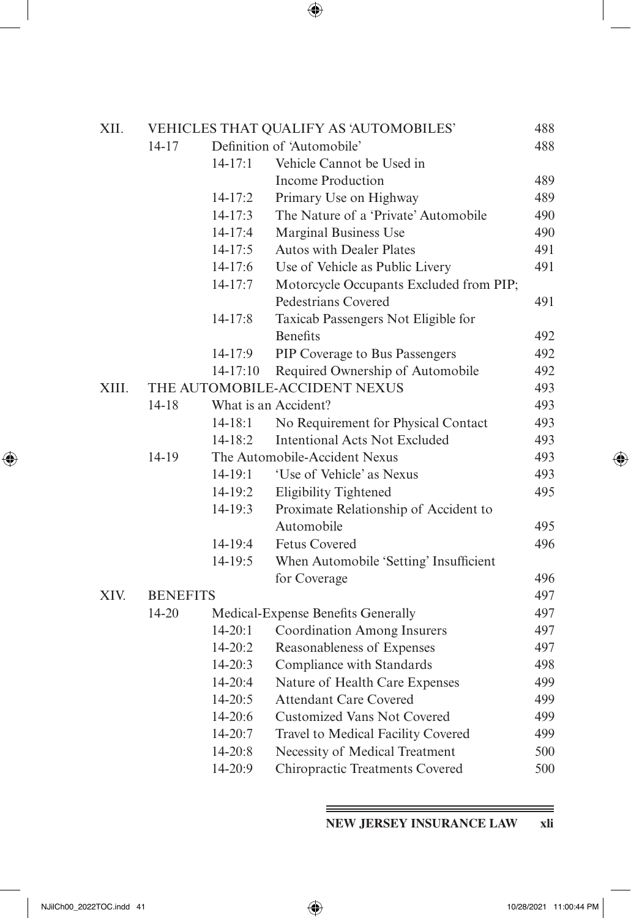| XII.  |                 |             | VEHICLES THAT QUALIFY AS 'AUTOMOBILES'  | 488 |
|-------|-----------------|-------------|-----------------------------------------|-----|
|       | $14 - 17$       |             | Definition of 'Automobile'              | 488 |
|       |                 | $14 - 17:1$ | Vehicle Cannot be Used in               |     |
|       |                 |             | <b>Income Production</b>                | 489 |
|       |                 | $14 - 17:2$ | Primary Use on Highway                  | 489 |
|       |                 | $14 - 17:3$ | The Nature of a 'Private' Automobile    | 490 |
|       |                 | $14 - 17:4$ | <b>Marginal Business Use</b>            | 490 |
|       |                 | $14 - 17:5$ | <b>Autos with Dealer Plates</b>         | 491 |
|       |                 | $14-17:6$   | Use of Vehicle as Public Livery         | 491 |
|       |                 | $14 - 17:7$ | Motorcycle Occupants Excluded from PIP; |     |
|       |                 |             | Pedestrians Covered                     | 491 |
|       |                 | $14 - 17:8$ | Taxicab Passengers Not Eligible for     |     |
|       |                 |             | <b>Benefits</b>                         | 492 |
|       |                 | 14-17:9     | PIP Coverage to Bus Passengers          | 492 |
|       |                 | $14-17:10$  | Required Ownership of Automobile        | 492 |
| XIII. |                 |             | THE AUTOMOBILE-ACCIDENT NEXUS           | 493 |
|       | $14 - 18$       |             | What is an Accident?                    | 493 |
|       |                 | $14 - 18:1$ | No Requirement for Physical Contact     | 493 |
|       |                 | $14 - 18:2$ | <b>Intentional Acts Not Excluded</b>    | 493 |
|       | 14-19           |             | The Automobile-Accident Nexus           | 493 |
|       |                 | $14 - 19:1$ | 'Use of Vehicle' as Nexus               | 493 |
|       |                 | $14-19:2$   | Eligibility Tightened                   | 495 |
|       |                 | $14-19:3$   | Proximate Relationship of Accident to   |     |
|       |                 |             | Automobile                              | 495 |
|       |                 | 14-19:4     | <b>Fetus Covered</b>                    | 496 |
|       |                 | $14-19:5$   | When Automobile 'Setting' Insufficient  |     |
|       |                 |             | for Coverage                            | 496 |
| XIV.  | <b>BENEFITS</b> |             |                                         | 497 |
|       | 14-20           |             | Medical-Expense Benefits Generally      | 497 |
|       |                 | $14 - 20:1$ | <b>Coordination Among Insurers</b>      | 497 |
|       |                 | 14-20:2     | Reasonableness of Expenses              | 497 |
|       |                 | $14 - 20:3$ | Compliance with Standards               | 498 |
|       |                 | 14-20:4     | Nature of Health Care Expenses          | 499 |
|       |                 | $14 - 20:5$ | <b>Attendant Care Covered</b>           | 499 |
|       |                 | 14-20:6     | <b>Customized Vans Not Covered</b>      | 499 |
|       |                 | 14-20:7     | Travel to Medical Facility Covered      | 499 |
|       |                 | 14-20:8     | Necessity of Medical Treatment          | 500 |
|       |                 | 14-20:9     | <b>Chiropractic Treatments Covered</b>  | 500 |

**NEW JERSEY INSURANCE LAW xli**

<span id="page-26-0"></span> $\overline{\phantom{a}}$ 

 $\bigoplus$ 

 $\, = \,$ 

 $\bigoplus$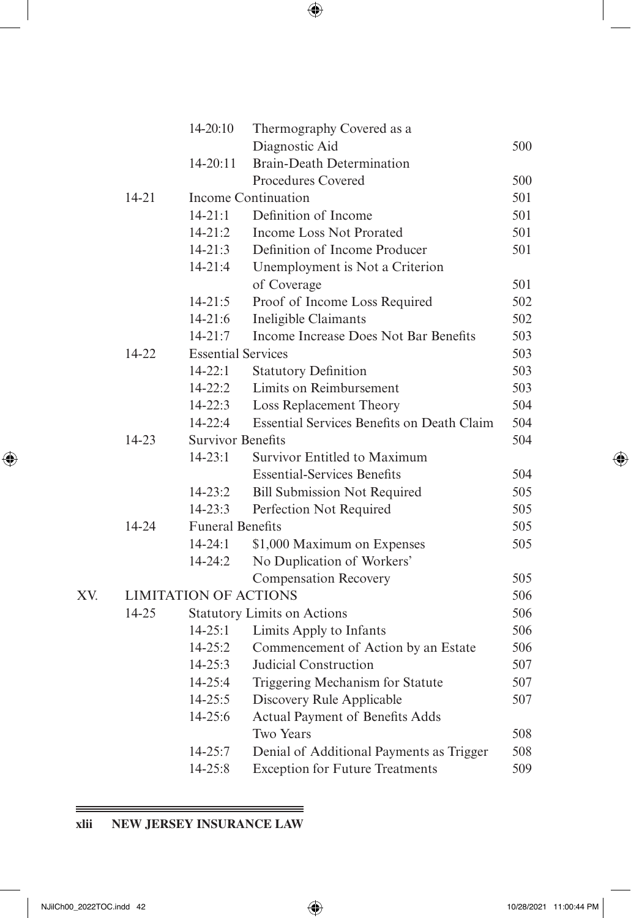<span id="page-27-0"></span>

|     |           | $14 - 20:10$                 | Thermography Covered as a                         |     |
|-----|-----------|------------------------------|---------------------------------------------------|-----|
|     |           |                              | Diagnostic Aid                                    | 500 |
|     |           | $14 - 20:11$                 | <b>Brain-Death Determination</b>                  |     |
|     |           |                              | Procedures Covered                                | 500 |
|     | $14 - 21$ |                              | <b>Income Continuation</b>                        | 501 |
|     |           | $14 - 21:1$                  | Definition of Income                              | 501 |
|     |           | $14 - 21:2$                  | <b>Income Loss Not Prorated</b>                   | 501 |
|     |           | $14 - 21:3$                  | Definition of Income Producer                     | 501 |
|     |           | $14 - 21:4$                  | Unemployment is Not a Criterion                   |     |
|     |           |                              | of Coverage                                       | 501 |
|     |           | $14 - 21:5$                  | Proof of Income Loss Required                     | 502 |
|     |           | $14 - 21:6$                  | Ineligible Claimants                              | 502 |
|     |           | $14 - 21:7$                  | Income Increase Does Not Bar Benefits             | 503 |
|     | 14-22     | <b>Essential Services</b>    |                                                   | 503 |
|     |           | $14 - 22:1$                  | <b>Statutory Definition</b>                       | 503 |
|     |           | $14 - 22:2$                  | Limits on Reimbursement                           | 503 |
|     |           | $14 - 22:3$                  | Loss Replacement Theory                           | 504 |
|     |           | $14 - 22.4$                  | <b>Essential Services Benefits on Death Claim</b> | 504 |
|     | $14 - 23$ | <b>Survivor Benefits</b>     |                                                   | 504 |
|     |           | $14 - 23:1$                  | Survivor Entitled to Maximum                      |     |
|     |           |                              | <b>Essential-Services Benefits</b>                | 504 |
|     |           | $14 - 23:2$                  | <b>Bill Submission Not Required</b>               | 505 |
|     |           | $14 - 23:3$                  | Perfection Not Required                           | 505 |
|     | $14 - 24$ | <b>Funeral Benefits</b>      |                                                   | 505 |
|     |           | $14 - 24:1$                  | \$1,000 Maximum on Expenses                       | 505 |
|     |           | $14 - 24:2$                  | No Duplication of Workers'                        |     |
|     |           |                              | <b>Compensation Recovery</b>                      | 505 |
| XV. |           | <b>LIMITATION OF ACTIONS</b> |                                                   | 506 |
|     | $14 - 25$ |                              | <b>Statutory Limits on Actions</b>                | 506 |
|     |           | $14 - 25:1$                  | Limits Apply to Infants                           | 506 |
|     |           | $14 - 25:2$                  | Commencement of Action by an Estate               | 506 |
|     |           | $14 - 25:3$                  | Judicial Construction                             | 507 |
|     |           | 14-25:4                      | Triggering Mechanism for Statute                  | 507 |
|     |           | $14 - 25:5$                  | Discovery Rule Applicable                         | 507 |
|     |           | 14-25:6                      | Actual Payment of Benefits Adds                   |     |
|     |           |                              | Two Years                                         | 508 |
|     |           | $14 - 25:7$                  | Denial of Additional Payments as Trigger          | 508 |
|     |           | 14-25:8                      | <b>Exception for Future Treatments</b>            | 509 |

 $\equiv$ 

# **xlii NEW JERSEY INSURANCE LAW**

 $\equiv$ 

 $\bigoplus$ 

 $\bigoplus$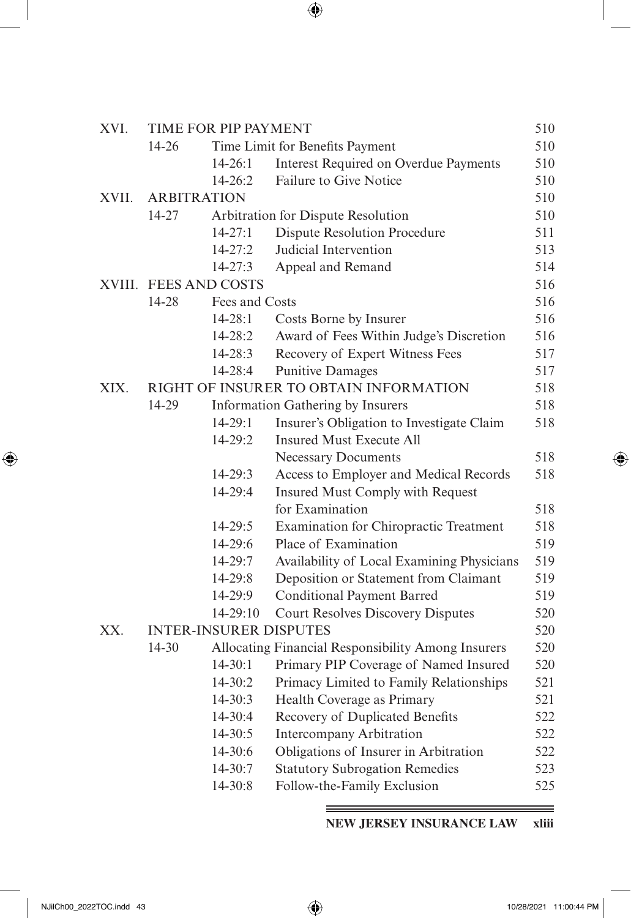| XVI.  |           | TIME FOR PIP PAYMENT          |                                                    | 510 |
|-------|-----------|-------------------------------|----------------------------------------------------|-----|
|       | 14-26     |                               | Time Limit for Benefits Payment                    | 510 |
|       |           | $14 - 26:1$                   | <b>Interest Required on Overdue Payments</b>       | 510 |
|       |           | $14 - 26:2$                   | Failure to Give Notice                             | 510 |
| XVII. |           | <b>ARBITRATION</b>            |                                                    | 510 |
|       | $14 - 27$ |                               | Arbitration for Dispute Resolution                 | 510 |
|       |           | $14 - 27:1$                   | <b>Dispute Resolution Procedure</b>                | 511 |
|       |           | $14 - 27:2$                   | Judicial Intervention                              | 513 |
|       |           | $14 - 27:3$                   | Appeal and Remand                                  | 514 |
|       |           | XVIII. FEES AND COSTS         |                                                    | 516 |
|       | 14-28     | Fees and Costs                |                                                    | 516 |
|       |           | $14 - 28:1$                   | Costs Borne by Insurer                             | 516 |
|       |           | 14-28:2                       | Award of Fees Within Judge's Discretion            | 516 |
|       |           | $14 - 28:3$                   | Recovery of Expert Witness Fees                    | 517 |
|       |           | 14-28:4                       | <b>Punitive Damages</b>                            | 517 |
| XIX.  |           |                               | RIGHT OF INSURER TO OBTAIN INFORMATION             | 518 |
|       | 14-29     |                               | Information Gathering by Insurers                  | 518 |
|       |           | $14 - 29:1$                   | Insurer's Obligation to Investigate Claim          | 518 |
|       |           | 14-29:2                       | <b>Insured Must Execute All</b>                    |     |
|       |           |                               | <b>Necessary Documents</b>                         | 518 |
|       |           | 14-29:3                       | Access to Employer and Medical Records             | 518 |
|       |           | 14-29:4                       | Insured Must Comply with Request                   |     |
|       |           |                               | for Examination                                    | 518 |
|       |           | $14 - 29:5$                   | Examination for Chiropractic Treatment             | 518 |
|       |           | 14-29:6                       | Place of Examination                               | 519 |
|       |           | 14-29:7                       | Availability of Local Examining Physicians         | 519 |
|       |           | 14-29:8                       | Deposition or Statement from Claimant              | 519 |
|       |           | 14-29:9                       | <b>Conditional Payment Barred</b>                  | 519 |
|       |           | 14-29:10                      | <b>Court Resolves Discovery Disputes</b>           | 520 |
| XX.   |           | <b>INTER-INSURER DISPUTES</b> |                                                    | 520 |
|       | $14 - 30$ |                               | Allocating Financial Responsibility Among Insurers | 520 |
|       |           | $14 - 30:1$                   | Primary PIP Coverage of Named Insured              | 520 |
|       |           | $14 - 30:2$                   | Primacy Limited to Family Relationships            | 521 |
|       |           | $14 - 30:3$                   | Health Coverage as Primary                         | 521 |
|       |           | 14-30:4                       | Recovery of Duplicated Benefits                    | 522 |
|       |           | 14-30:5                       | <b>Intercompany Arbitration</b>                    | 522 |
|       |           | 14-30:6                       | Obligations of Insurer in Arbitration              | 522 |
|       |           | 14-30:7                       | <b>Statutory Subrogation Remedies</b>              | 523 |
|       |           | 14-30:8                       | Follow-the-Family Exclusion                        | 525 |

**NEW JERSEY INSURANCE LAW xliii**

<span id="page-28-0"></span> $\overline{\phantom{a}}$ 

 $\bigoplus$ 

≡

 $\bigoplus$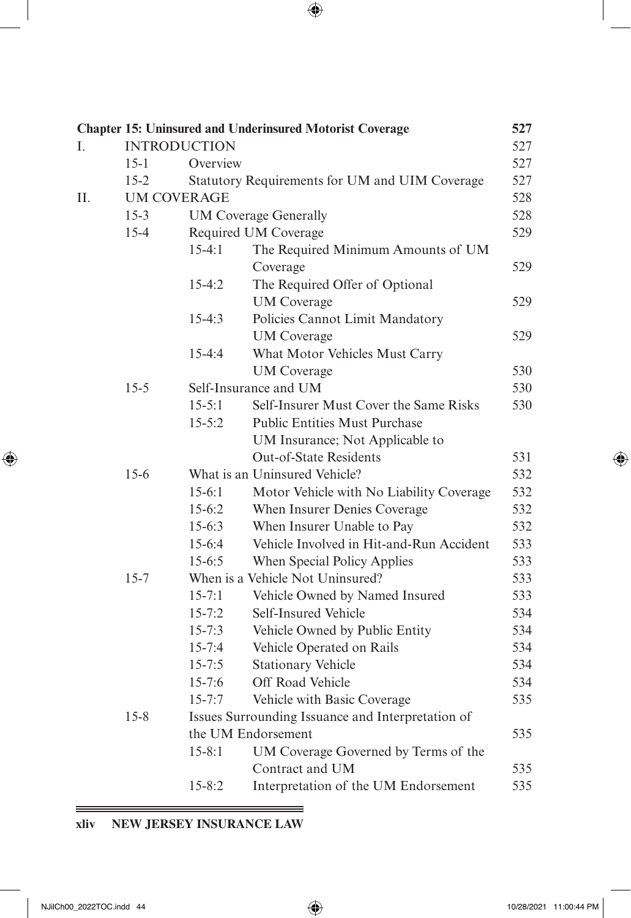<span id="page-29-0"></span>

|    |          |                     | <b>Chapter 15: Uninsured and Underinsured Motorist Coverage</b>  | 527 |
|----|----------|---------------------|------------------------------------------------------------------|-----|
| I. |          | <b>INTRODUCTION</b> |                                                                  | 527 |
|    | $15 - 1$ | Overview            |                                                                  | 527 |
|    | $15 - 2$ |                     | Statutory Requirements for UM and UIM Coverage                   | 527 |
| Н. |          | UM COVERAGE         |                                                                  | 528 |
|    | $15-3$   |                     | <b>UM Coverage Generally</b>                                     | 528 |
|    | $15 - 4$ |                     | Required UM Coverage                                             | 529 |
|    |          | $15-4:1$            | The Required Minimum Amounts of UM                               |     |
|    |          |                     | Coverage                                                         | 529 |
|    |          | $15 - 4:2$          | The Required Offer of Optional                                   |     |
|    |          |                     | <b>UM</b> Coverage                                               | 529 |
|    |          | $15-4:3$            | Policies Cannot Limit Mandatory                                  |     |
|    |          |                     | <b>UM</b> Coverage                                               | 529 |
|    |          | $15 - 4:4$          | What Motor Vehicles Must Carry                                   | 530 |
|    | $15 - 5$ |                     | <b>UM</b> Coverage<br>Self-Insurance and UM                      | 530 |
|    |          | $15 - 5:1$          | Self-Insurer Must Cover the Same Risks                           | 530 |
|    |          | $15 - 5:2$          | <b>Public Entities Must Purchase</b>                             |     |
|    |          |                     |                                                                  |     |
|    |          |                     | UM Insurance; Not Applicable to<br><b>Out-of-State Residents</b> | 531 |
|    | $15 - 6$ |                     | What is an Uninsured Vehicle?                                    | 532 |
|    |          | $15-6:1$            | Motor Vehicle with No Liability Coverage                         | 532 |
|    |          | $15-6:2$            | When Insurer Denies Coverage                                     | 532 |
|    |          | $15-6:3$            | When Insurer Unable to Pay                                       | 532 |
|    |          | 15-6:4              | Vehicle Involved in Hit-and-Run Accident                         | 533 |
|    |          | $15 - 6:5$          | When Special Policy Applies                                      | 533 |
|    | $15 - 7$ |                     | When is a Vehicle Not Uninsured?                                 | 533 |
|    |          | $15 - 7:1$          | Vehicle Owned by Named Insured                                   | 533 |
|    |          | $15 - 7:2$          | Self-Insured Vehicle                                             | 534 |
|    |          | $15 - 7:3$          | Vehicle Owned by Public Entity                                   | 534 |
|    |          | $15 - 7:4$          | Vehicle Operated on Rails                                        | 534 |
|    |          | $15 - 7:5$          | <b>Stationary Vehicle</b>                                        | 534 |
|    |          | $15 - 7:6$          | Off Road Vehicle                                                 | 534 |
|    |          | $15 - 7:7$          | Vehicle with Basic Coverage                                      | 535 |
|    | $15 - 8$ |                     | Issues Surrounding Issuance and Interpretation of                |     |
|    |          |                     | the UM Endorsement                                               | 535 |
|    |          | $15 - 8:1$          | UM Coverage Governed by Terms of the                             |     |
|    |          |                     | Contract and UM                                                  | 535 |
|    |          | $15 - 8:2$          | Interpretation of the UM Endorsement                             | 535 |

Ξ

# **xliv NEW JERSEY INSURANCE LAW**

 $=$ 

 $\bigoplus$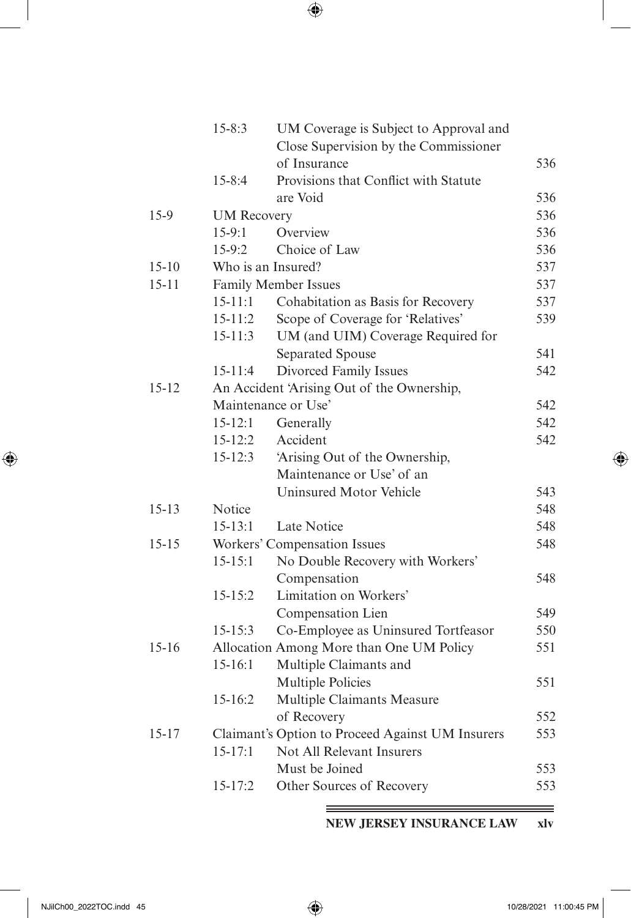|           | $15 - 8:3$         | UM Coverage is Subject to Approval and<br>Close Supervision by the Commissioner |     |
|-----------|--------------------|---------------------------------------------------------------------------------|-----|
|           |                    | of Insurance                                                                    | 536 |
|           | $15 - 8:4$         | Provisions that Conflict with Statute                                           |     |
|           |                    | are Void                                                                        | 536 |
| $15-9$    | <b>UM Recovery</b> |                                                                                 | 536 |
|           | $15-9:1$           | Overview                                                                        | 536 |
|           | $15-9:2$           | Choice of Law                                                                   | 536 |
| $15-10$   |                    | Who is an Insured?                                                              | 537 |
| $15 - 11$ |                    | Family Member Issues                                                            | 537 |
|           | $15 - 11:1$        | Cohabitation as Basis for Recovery                                              | 537 |
|           | $15 - 11:2$        | Scope of Coverage for 'Relatives'                                               | 539 |
|           | $15 - 11:3$        | UM (and UIM) Coverage Required for                                              |     |
|           |                    | <b>Separated Spouse</b>                                                         | 541 |
|           | $15 - 11:4$        | Divorced Family Issues                                                          | 542 |
| $15 - 12$ |                    | An Accident 'Arising Out of the Ownership,                                      |     |
|           |                    | Maintenance or Use'                                                             | 542 |
|           | $15 - 12:1$        | Generally                                                                       | 542 |
|           | $15 - 12:2$        | Accident                                                                        | 542 |
|           | $15 - 12:3$        | 'Arising Out of the Ownership,                                                  |     |
|           |                    | Maintenance or Use' of an                                                       |     |
|           |                    | Uninsured Motor Vehicle                                                         | 543 |
| $15 - 13$ | Notice             |                                                                                 | 548 |
|           | $15 - 13:1$        | Late Notice                                                                     | 548 |
| $15 - 15$ |                    | Workers' Compensation Issues                                                    | 548 |
|           | $15 - 15:1$        | No Double Recovery with Workers'                                                |     |
|           |                    | Compensation                                                                    | 548 |
|           | $15 - 15:2$        | Limitation on Workers'                                                          |     |
|           |                    | Compensation Lien                                                               | 549 |
|           | $15 - 15:3$        | Co-Employee as Uninsured Tortfeasor                                             | 550 |
| $15 - 16$ |                    | Allocation Among More than One UM Policy                                        | 551 |
|           | $15-16:1$          | Multiple Claimants and                                                          |     |
|           |                    | <b>Multiple Policies</b>                                                        | 551 |
|           | 15-16:2            | Multiple Claimants Measure                                                      |     |
|           |                    | of Recovery                                                                     | 552 |
| $15 - 17$ |                    | Claimant's Option to Proceed Against UM Insurers                                | 553 |
|           | $15 - 17:1$        | Not All Relevant Insurers                                                       |     |
|           |                    | Must be Joined                                                                  | 553 |
|           | $15 - 17:2$        | Other Sources of Recovery                                                       | 553 |

**NEW JERSEY INSURANCE LAW xlv**

<span id="page-30-0"></span> $\overline{\phantom{a}}$ 

 $\bigoplus$ 

 $=$ 

 $\bigoplus$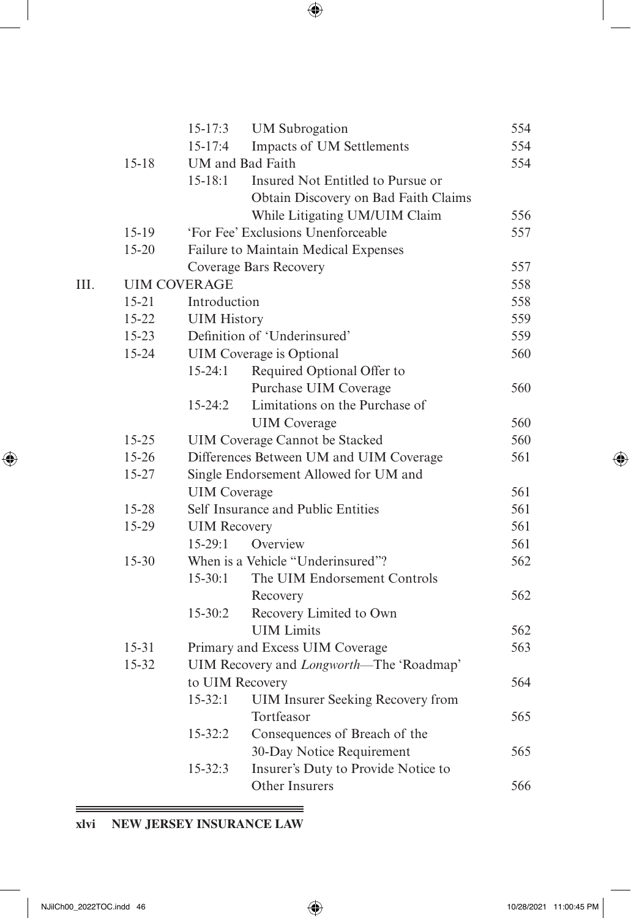| I<br>I<br>ę<br>۰.<br>٧ |
|------------------------|
|------------------------|

|     |           | $15 - 17:3$         | <b>UM</b> Subrogation                    | 554 |
|-----|-----------|---------------------|------------------------------------------|-----|
|     |           | $15 - 17:4$         | Impacts of UM Settlements                | 554 |
|     | $15 - 18$ |                     | UM and Bad Faith                         | 554 |
|     |           | $15 - 18:1$         | Insured Not Entitled to Pursue or        |     |
|     |           |                     | Obtain Discovery on Bad Faith Claims     |     |
|     |           |                     | While Litigating UM/UIM Claim            | 556 |
|     | 15-19     |                     | 'For Fee' Exclusions Unenforceable       | 557 |
|     | $15 - 20$ |                     | Failure to Maintain Medical Expenses     |     |
|     |           |                     | Coverage Bars Recovery                   | 557 |
| HI. |           | <b>UIM COVERAGE</b> |                                          | 558 |
|     | $15 - 21$ | Introduction        |                                          | 558 |
|     | 15-22     | <b>UIM History</b>  |                                          | 559 |
|     | 15-23     |                     | Definition of 'Underinsured'             | 559 |
|     | 15-24     |                     | UIM Coverage is Optional                 | 560 |
|     |           | $15-24:1$           | Required Optional Offer to               |     |
|     |           |                     | Purchase UIM Coverage                    | 560 |
|     |           | $15 - 24:2$         | Limitations on the Purchase of           |     |
|     |           |                     | <b>UIM</b> Coverage                      | 560 |
|     | 15-25     |                     | <b>UIM Coverage Cannot be Stacked</b>    | 560 |
|     | 15-26     |                     | Differences Between UM and UIM Coverage  | 561 |
|     | 15-27     |                     | Single Endorsement Allowed for UM and    |     |
|     |           | <b>UIM</b> Coverage |                                          | 561 |
|     | 15-28     |                     | Self Insurance and Public Entities       | 561 |
|     | 15-29     | <b>UIM Recovery</b> |                                          | 561 |
|     |           | $15-29:1$           | Overview                                 | 561 |
|     | $15 - 30$ |                     | When is a Vehicle "Underinsured"?        | 562 |
|     |           | $15-30:1$           | The UIM Endorsement Controls             |     |
|     |           |                     | Recovery                                 | 562 |
|     |           | $15 - 30:2$         | Recovery Limited to Own                  |     |
|     |           |                     | <b>UIM</b> Limits                        | 562 |
|     | $15 - 31$ |                     | Primary and Excess UIM Coverage          | 563 |
|     | 15-32     |                     | UIM Recovery and Longworth-The 'Roadmap' |     |
|     |           | to UIM Recovery     |                                          | 564 |
|     |           | $15 - 32:1$         | UIM Insurer Seeking Recovery from        |     |
|     |           |                     | Tortfeasor                               | 565 |
|     |           | $15 - 32:2$         | Consequences of Breach of the            |     |
|     |           |                     | 30-Day Notice Requirement                | 565 |
|     |           | $15 - 32:3$         | Insurer's Duty to Provide Notice to      |     |
|     |           |                     | Other Insurers                           | 566 |
|     |           |                     |                                          |     |

# **xlvi NEW JERSEY INSURANCE LAW**

 $\equiv$ 

<span id="page-31-0"></span> $\overline{\phantom{a}}$ 

 $\bigoplus$ 

 $\bigoplus$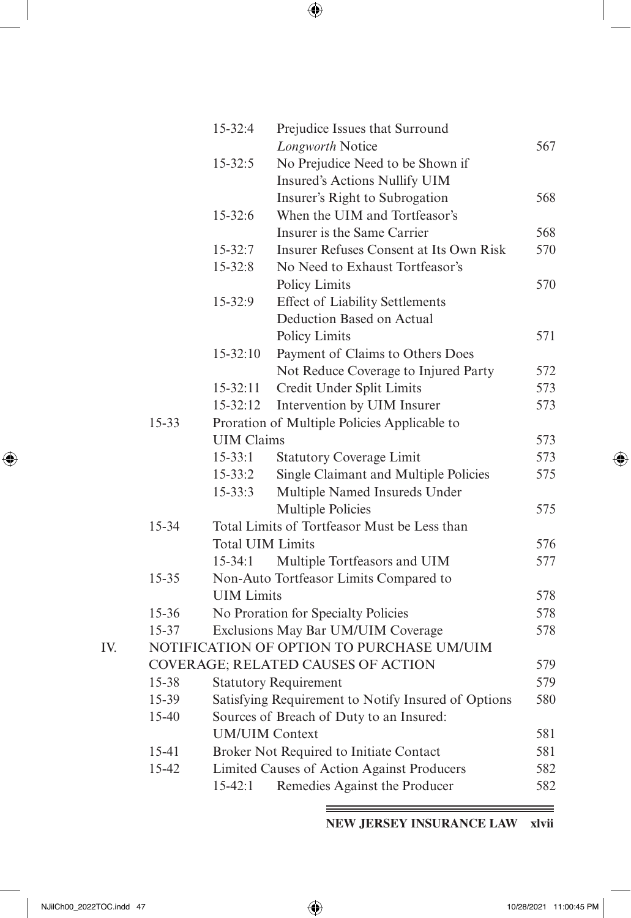|     |           | 15-32:4                 | Prejudice Issues that Surround                      |     |
|-----|-----------|-------------------------|-----------------------------------------------------|-----|
|     |           |                         | Longworth Notice                                    | 567 |
|     |           | $15 - 32:5$             | No Prejudice Need to be Shown if                    |     |
|     |           |                         | Insured's Actions Nullify UIM                       |     |
|     |           |                         | Insurer's Right to Subrogation                      | 568 |
|     |           | $15 - 32:6$             | When the UIM and Tortfeasor's                       |     |
|     |           |                         | Insurer is the Same Carrier                         | 568 |
|     |           | $15 - 32:7$             | Insurer Refuses Consent at Its Own Risk             | 570 |
|     |           | $15 - 32:8$             | No Need to Exhaust Tortfeasor's                     |     |
|     |           |                         | Policy Limits                                       | 570 |
|     |           | 15-32:9                 | <b>Effect of Liability Settlements</b>              |     |
|     |           |                         | Deduction Based on Actual                           |     |
|     |           |                         | Policy Limits                                       | 571 |
|     |           | $15 - 32:10$            | Payment of Claims to Others Does                    |     |
|     |           |                         | Not Reduce Coverage to Injured Party                | 572 |
|     |           | $15 - 32:11$            | Credit Under Split Limits                           | 573 |
|     |           | 15-32:12                | Intervention by UIM Insurer                         | 573 |
|     | $15 - 33$ |                         | Proration of Multiple Policies Applicable to        |     |
|     |           | <b>UIM Claims</b>       |                                                     | 573 |
|     |           | $15 - 33:1$             | <b>Statutory Coverage Limit</b>                     | 573 |
|     |           | $15 - 33:2$             | Single Claimant and Multiple Policies               | 575 |
|     |           | $15 - 33:3$             | Multiple Named Insureds Under                       |     |
|     |           |                         | <b>Multiple Policies</b>                            | 575 |
|     | 15-34     |                         | Total Limits of Tortfeasor Must be Less than        |     |
|     |           | <b>Total UIM Limits</b> |                                                     | 576 |
|     |           | $15 - 34:1$             | Multiple Tortfeasors and UIM                        | 577 |
|     | $15 - 35$ |                         | Non-Auto Tortfeasor Limits Compared to              |     |
|     |           | <b>UIM</b> Limits       |                                                     | 578 |
|     | 15-36     |                         | No Proration for Specialty Policies                 | 578 |
|     | 15-37     |                         | Exclusions May Bar UM/UIM Coverage                  | 578 |
| IV. |           |                         | NOTIFICATION OF OPTION TO PURCHASE UM/UIM           |     |
|     |           |                         | COVERAGE; RELATED CAUSES OF ACTION                  | 579 |
|     | 15-38     |                         | <b>Statutory Requirement</b>                        | 579 |
|     | 15-39     |                         | Satisfying Requirement to Notify Insured of Options | 580 |
|     | 15-40     |                         | Sources of Breach of Duty to an Insured:            |     |
|     |           | <b>UM/UIM Context</b>   |                                                     | 581 |
|     | 15-41     |                         | Broker Not Required to Initiate Contact             | 581 |
|     | 15-42     |                         | Limited Causes of Action Against Producers          | 582 |
|     |           | $15 - 42:1$             | Remedies Against the Producer                       | 582 |

**NEW JERSEY INSURANCE LAW xlvii**

<span id="page-32-0"></span> $\overline{\phantom{a}}$ 

 $\bigoplus$ 

 $\equiv$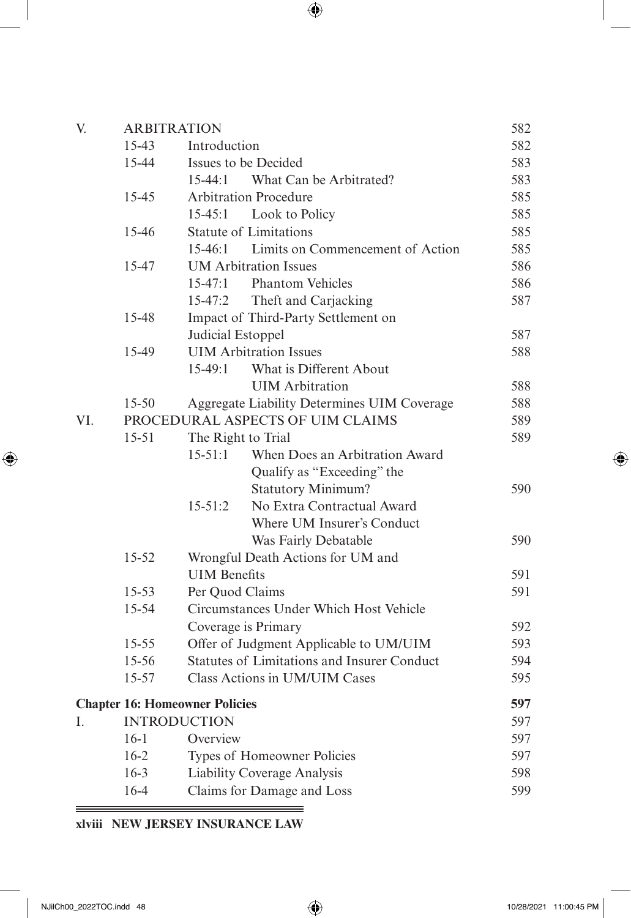| V.  |           | <b>ARBITRATION</b>                    |                                                    | 582 |
|-----|-----------|---------------------------------------|----------------------------------------------------|-----|
|     | 15-43     | Introduction                          |                                                    | 582 |
|     | 15-44     |                                       | Issues to be Decided                               | 583 |
|     |           | $15-44:1$                             | What Can be Arbitrated?                            | 583 |
|     | 15-45     |                                       | <b>Arbitration Procedure</b>                       | 585 |
|     |           | $15 - 45:1$                           | Look to Policy                                     | 585 |
|     | 15-46     |                                       | <b>Statute of Limitations</b>                      | 585 |
|     |           | $15-46:1$                             | Limits on Commencement of Action                   | 585 |
|     | 15-47     |                                       | <b>UM</b> Arbitration Issues                       | 586 |
|     |           | $15 - 47:1$                           | <b>Phantom Vehicles</b>                            | 586 |
|     |           | $15 - 47:2$                           | Theft and Carjacking                               | 587 |
|     | 15-48     |                                       | Impact of Third-Party Settlement on                |     |
|     |           | Judicial Estoppel                     |                                                    | 587 |
|     | 15-49     |                                       | <b>UIM</b> Arbitration Issues                      | 588 |
|     |           | $15-49:1$                             | What is Different About                            |     |
|     |           |                                       | <b>UIM</b> Arbitration                             | 588 |
|     | $15 - 50$ |                                       | Aggregate Liability Determines UIM Coverage        | 588 |
| VI. |           |                                       | PROCEDURAL ASPECTS OF UIM CLAIMS                   | 589 |
|     | $15 - 51$ | The Right to Trial                    |                                                    | 589 |
|     |           | $15 - 51:1$                           | When Does an Arbitration Award                     |     |
|     |           |                                       | Qualify as "Exceeding" the                         |     |
|     |           |                                       | <b>Statutory Minimum?</b>                          | 590 |
|     |           | $15 - 51:2$                           | No Extra Contractual Award                         |     |
|     |           |                                       | Where UM Insurer's Conduct                         |     |
|     |           |                                       | Was Fairly Debatable                               | 590 |
|     | $15 - 52$ |                                       | Wrongful Death Actions for UM and                  |     |
|     |           | <b>UIM</b> Benefits                   |                                                    | 591 |
|     | $15 - 53$ | Per Quod Claims                       |                                                    | 591 |
|     | 15-54     |                                       | Circumstances Under Which Host Vehicle             |     |
|     |           |                                       | Coverage is Primary                                | 592 |
|     | 15-55     |                                       | Offer of Judgment Applicable to UM/UIM             | 593 |
|     | 15-56     |                                       | <b>Statutes of Limitations and Insurer Conduct</b> | 594 |
|     | $15 - 57$ |                                       | Class Actions in UM/UIM Cases                      | 595 |
|     |           | <b>Chapter 16: Homeowner Policies</b> |                                                    | 597 |
| L   |           | <b>INTRODUCTION</b>                   |                                                    | 597 |
|     | $16-1$    | Overview                              |                                                    | 597 |
|     | $16-2$    |                                       | Types of Homeowner Policies                        | 597 |
|     | $16 - 3$  |                                       | Liability Coverage Analysis                        | 598 |
|     | $16-4$    |                                       | Claims for Damage and Loss                         | 599 |
|     |           |                                       |                                                    |     |

# **xlviii NEW JERSEY INSURANCE LAW**

<span id="page-33-0"></span> $\overline{\phantom{a}}$ 

 $\bigoplus$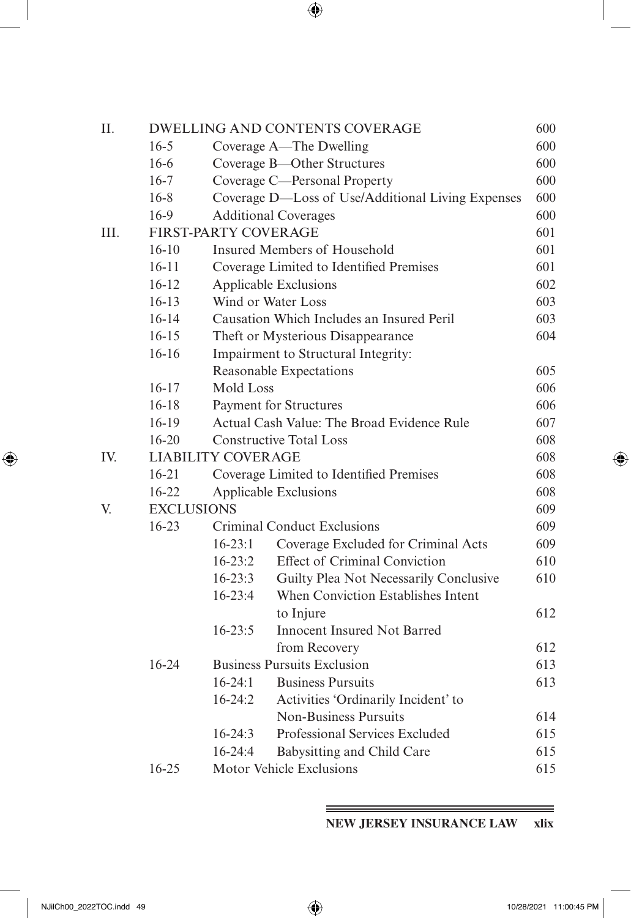| II.  |                   |                      | <b>DWELLING AND CONTENTS COVERAGE</b>             | 600 |
|------|-------------------|----------------------|---------------------------------------------------|-----|
|      | $16 - 5$          |                      | Coverage A-The Dwelling                           | 600 |
|      | $16-6$            |                      | Coverage B-Other Structures                       | 600 |
|      | $16-7$            |                      | Coverage C-Personal Property                      | 600 |
|      | $16 - 8$          |                      | Coverage D-Loss of Use/Additional Living Expenses | 600 |
|      | 16-9              |                      | <b>Additional Coverages</b>                       | 600 |
| III. |                   | FIRST-PARTY COVERAGE |                                                   | 601 |
|      | $16-10$           |                      | Insured Members of Household                      | 601 |
|      | $16 - 11$         |                      | Coverage Limited to Identified Premises           | 601 |
|      | $16 - 12$         |                      | Applicable Exclusions                             | 602 |
|      | $16-13$           |                      | Wind or Water Loss                                | 603 |
|      | $16 - 14$         |                      | Causation Which Includes an Insured Peril         | 603 |
|      | $16 - 15$         |                      | Theft or Mysterious Disappearance                 | 604 |
|      | $16-16$           |                      | Impairment to Structural Integrity:               |     |
|      |                   |                      | Reasonable Expectations                           | 605 |
|      | $16 - 17$         | Mold Loss            |                                                   | 606 |
|      | $16 - 18$         |                      | Payment for Structures                            | 606 |
|      | 16-19             |                      | Actual Cash Value: The Broad Evidence Rule        | 607 |
|      | $16 - 20$         |                      | <b>Constructive Total Loss</b>                    | 608 |
| IV.  |                   | LIABILITY COVERAGE   |                                                   | 608 |
|      | $16 - 21$         |                      | Coverage Limited to Identified Premises           | 608 |
|      | $16 - 22$         |                      | Applicable Exclusions                             | 608 |
| V.   | <b>EXCLUSIONS</b> |                      |                                                   | 609 |
|      | 16-23             |                      | <b>Criminal Conduct Exclusions</b>                | 609 |
|      |                   | $16 - 23:1$          | Coverage Excluded for Criminal Acts               | 609 |
|      |                   | $16 - 23:2$          | <b>Effect of Criminal Conviction</b>              | 610 |
|      |                   | $16 - 23:3$          | Guilty Plea Not Necessarily Conclusive            | 610 |
|      |                   | 16-23:4              | When Conviction Establishes Intent                |     |
|      |                   |                      | to Injure                                         | 612 |
|      |                   | $16 - 23:5$          | <b>Innocent Insured Not Barred</b>                |     |
|      |                   |                      | from Recovery                                     | 612 |
|      | $16 - 24$         |                      | <b>Business Pursuits Exclusion</b>                | 613 |
|      |                   | $16 - 24:1$          | <b>Business Pursuits</b>                          | 613 |
|      |                   | $16-24:2$            | Activities 'Ordinarily Incident' to               |     |
|      |                   |                      | <b>Non-Business Pursuits</b>                      | 614 |
|      |                   | $16 - 24:3$          | Professional Services Excluded                    | 615 |
|      |                   | 16-24:4              | Babysitting and Child Care                        | 615 |
|      | $16 - 25$         |                      | Motor Vehicle Exclusions                          | 615 |

**NEW JERSEY INSURANCE LAW xlix**

<span id="page-34-0"></span> $\overline{\phantom{a}}$ 

 $\bigoplus$ 

 $\equiv$ 

 $\bigoplus$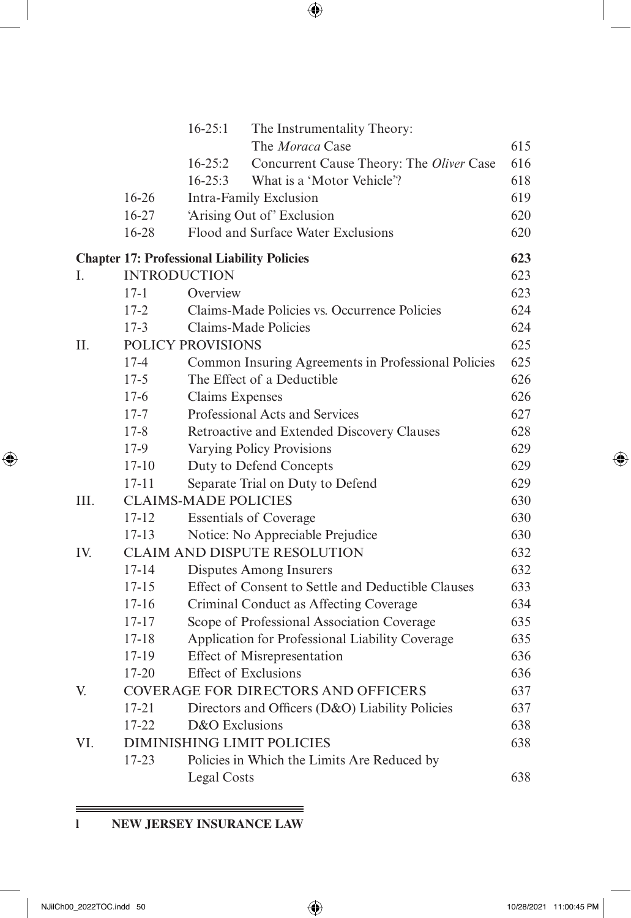|      |           | $16 - 25:1$<br>The Instrumentality Theory:<br>The Moraca Case                                        | 615 |
|------|-----------|------------------------------------------------------------------------------------------------------|-----|
|      |           |                                                                                                      | 616 |
|      |           | $16 - 25:2$<br>Concurrent Cause Theory: The Oliver Case<br>What is a 'Motor Vehicle'?<br>$16 - 25:3$ |     |
|      |           |                                                                                                      | 618 |
|      | $16 - 26$ | Intra-Family Exclusion                                                                               | 619 |
|      | $16 - 27$ | 'Arising Out of' Exclusion<br>Flood and Surface Water Exclusions                                     | 620 |
|      | 16-28     |                                                                                                      | 620 |
|      |           | <b>Chapter 17: Professional Liability Policies</b>                                                   | 623 |
| L    |           | <b>INTRODUCTION</b>                                                                                  | 623 |
|      | $17 - 1$  | Overview                                                                                             | 623 |
|      | $17 - 2$  | Claims-Made Policies vs. Occurrence Policies                                                         | 624 |
|      | $17-3$    | Claims-Made Policies                                                                                 | 624 |
| II.  |           | POLICY PROVISIONS                                                                                    | 625 |
|      | $17 - 4$  | Common Insuring Agreements in Professional Policies                                                  | 625 |
|      | $17 - 5$  | The Effect of a Deductible                                                                           | 626 |
|      | $17-6$    | Claims Expenses                                                                                      | 626 |
|      | $17 - 7$  | Professional Acts and Services                                                                       | 627 |
|      | $17 - 8$  | Retroactive and Extended Discovery Clauses                                                           | 628 |
|      | $17-9$    | Varying Policy Provisions                                                                            | 629 |
|      | $17 - 10$ | Duty to Defend Concepts                                                                              | 629 |
|      | $17 - 11$ | Separate Trial on Duty to Defend                                                                     | 629 |
| III. |           | <b>CLAIMS-MADE POLICIES</b>                                                                          | 630 |
|      | $17 - 12$ | <b>Essentials of Coverage</b>                                                                        | 630 |
|      | $17 - 13$ | Notice: No Appreciable Prejudice                                                                     | 630 |
| IV.  |           | <b>CLAIM AND DISPUTE RESOLUTION</b>                                                                  | 632 |
|      | $17 - 14$ | Disputes Among Insurers                                                                              | 632 |
|      | $17 - 15$ | Effect of Consent to Settle and Deductible Clauses                                                   | 633 |
|      | $17 - 16$ | Criminal Conduct as Affecting Coverage                                                               | 634 |
|      | $17 - 17$ | Scope of Professional Association Coverage                                                           | 635 |
|      | $17 - 18$ | Application for Professional Liability Coverage                                                      | 635 |
|      | 17-19     | Effect of Misrepresentation                                                                          | 636 |
|      | 17-20     | <b>Effect of Exclusions</b>                                                                          | 636 |
| V.   |           | <b>COVERAGE FOR DIRECTORS AND OFFICERS</b>                                                           | 637 |
|      | $17 - 21$ | Directors and Officers (D&O) Liability Policies                                                      | 637 |
|      | $17 - 22$ | D&O Exclusions                                                                                       | 638 |
| VI.  |           | <b>DIMINISHING LIMIT POLICIES</b>                                                                    | 638 |
|      | $17 - 23$ | Policies in Which the Limits Are Reduced by                                                          |     |
|      |           | Legal Costs                                                                                          | 638 |

 $\equiv$ 

# **l NEW JERSEY INSURANCE LAW**

===

<span id="page-35-0"></span> $\overline{\phantom{a}}$ 

 $\bigoplus$ 

 $\bigoplus$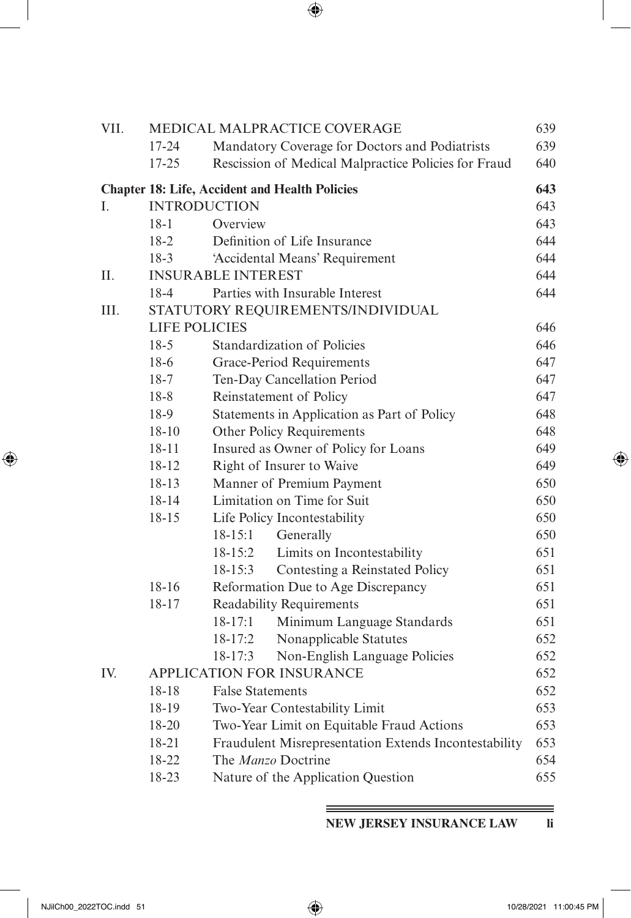| I<br>I<br>ł<br>۰.<br>٧ |
|------------------------|

| VII. |                      |                           | MEDICAL MALPRACTICE COVERAGE                          | 639 |
|------|----------------------|---------------------------|-------------------------------------------------------|-----|
|      | $17 - 24$            |                           | Mandatory Coverage for Doctors and Podiatrists        | 639 |
|      | $17 - 25$            |                           | Rescission of Medical Malpractice Policies for Fraud  | 640 |
|      |                      |                           | <b>Chapter 18: Life, Accident and Health Policies</b> | 643 |
| L    |                      | <b>INTRODUCTION</b>       |                                                       | 643 |
|      | $18-1$               | Overview                  |                                                       | 643 |
|      | $18-2$               |                           | Definition of Life Insurance                          | 644 |
|      | $18-3$               |                           | 'Accidental Means' Requirement                        | 644 |
| Н.   |                      | <b>INSURABLE INTEREST</b> |                                                       | 644 |
|      | $18-4$               |                           | Parties with Insurable Interest                       | 644 |
| III. |                      |                           | STATUTORY REQUIREMENTS/INDIVIDUAL                     |     |
|      | <b>LIFE POLICIES</b> |                           |                                                       | 646 |
|      | $18-5$               |                           | Standardization of Policies                           | 646 |
|      | $18-6$               |                           | Grace-Period Requirements                             | 647 |
|      | $18-7$               |                           | Ten-Day Cancellation Period                           | 647 |
|      | $18 - 8$             |                           | Reinstatement of Policy                               | 647 |
|      | 18-9                 |                           | Statements in Application as Part of Policy           | 648 |
|      | $18 - 10$            |                           | Other Policy Requirements                             | 648 |
|      | $18 - 11$            |                           | Insured as Owner of Policy for Loans                  | 649 |
|      | 18-12                |                           | Right of Insurer to Waive                             | 649 |
|      | $18 - 13$            |                           | Manner of Premium Payment                             | 650 |
|      | 18-14                |                           | Limitation on Time for Suit                           | 650 |
|      | $18 - 15$            |                           | Life Policy Incontestability                          | 650 |
|      |                      | $18 - 15:1$               | Generally                                             | 650 |
|      |                      | $18 - 15:2$               | Limits on Incontestability                            | 651 |
|      |                      | $18 - 15:3$               | Contesting a Reinstated Policy                        | 651 |
|      | $18 - 16$            |                           | Reformation Due to Age Discrepancy                    | 651 |
|      | 18-17                |                           | <b>Readability Requirements</b>                       | 651 |
|      |                      | $18 - 17:1$               | Minimum Language Standards                            | 651 |
|      |                      | $18-17:2$                 | Nonapplicable Statutes                                | 652 |
|      |                      | $18 - 17:3$               | Non-English Language Policies                         | 652 |
| IV.  |                      |                           | <b>APPLICATION FOR INSURANCE</b>                      | 652 |
|      | 18-18                | <b>False Statements</b>   |                                                       | 652 |
|      | 18-19                |                           | Two-Year Contestability Limit                         | 653 |
|      | 18-20                |                           | Two-Year Limit on Equitable Fraud Actions             | 653 |
|      | 18-21                |                           | Fraudulent Misrepresentation Extends Incontestability | 653 |
|      | 18-22                |                           | The Manzo Doctrine                                    | 654 |
|      | 18-23                |                           | Nature of the Application Question                    | 655 |

**NEW JERSEY INSURANCE LAW li**

 $\bigoplus$ 

<span id="page-36-0"></span> $\overline{\phantom{a}}$ 

 $\bigoplus$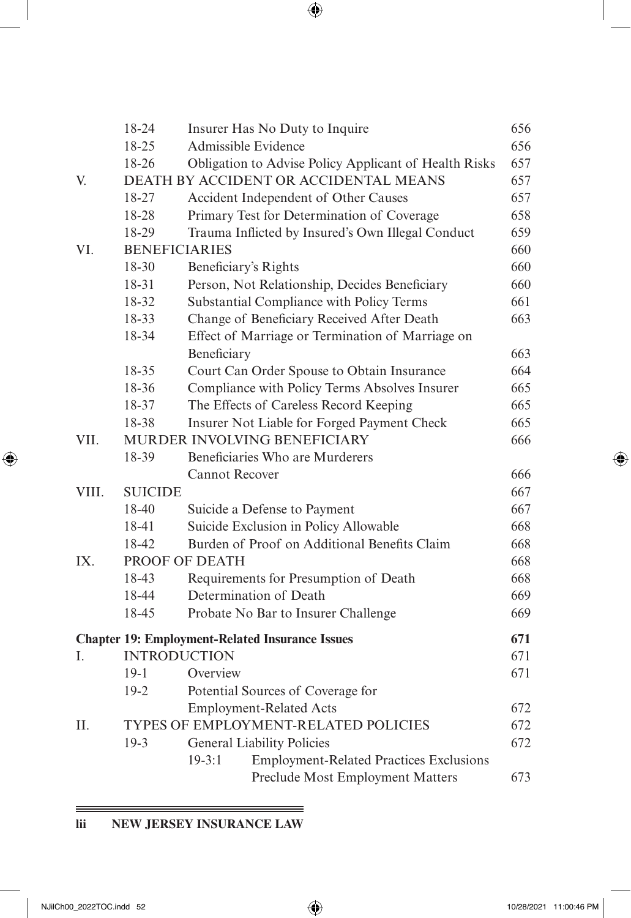|       | 18-24                | Insurer Has No Duty to Inquire                               | 656 |
|-------|----------------------|--------------------------------------------------------------|-----|
|       | 18-25                | Admissible Evidence                                          | 656 |
|       | 18-26                | Obligation to Advise Policy Applicant of Health Risks        | 657 |
| V.    |                      | DEATH BY ACCIDENT OR ACCIDENTAL MEANS                        | 657 |
|       | 18-27                | Accident Independent of Other Causes                         | 657 |
|       | 18-28                | Primary Test for Determination of Coverage                   | 658 |
|       | 18-29                | Trauma Inflicted by Insured's Own Illegal Conduct            | 659 |
| VI.   | <b>BENEFICIARIES</b> |                                                              | 660 |
|       | 18-30                | Beneficiary's Rights                                         | 660 |
|       | 18-31                | Person, Not Relationship, Decides Beneficiary                | 660 |
|       | 18-32                | Substantial Compliance with Policy Terms                     | 661 |
|       | 18-33                | Change of Beneficiary Received After Death                   | 663 |
|       | 18-34                | Effect of Marriage or Termination of Marriage on             |     |
|       |                      | Beneficiary                                                  | 663 |
|       | 18-35                | Court Can Order Spouse to Obtain Insurance                   | 664 |
|       | 18-36                | Compliance with Policy Terms Absolves Insurer                | 665 |
|       | 18-37                | The Effects of Careless Record Keeping                       | 665 |
|       | 18-38                | Insurer Not Liable for Forged Payment Check                  | 665 |
| VII.  |                      | MURDER INVOLVING BENEFICIARY                                 | 666 |
|       | 18-39                | Beneficiaries Who are Murderers                              |     |
|       |                      | <b>Cannot Recover</b>                                        | 666 |
| VIII. | <b>SUICIDE</b>       |                                                              | 667 |
|       | 18-40                | Suicide a Defense to Payment                                 | 667 |
|       | 18-41                | Suicide Exclusion in Policy Allowable                        | 668 |
|       | 18-42                | Burden of Proof on Additional Benefits Claim                 | 668 |
| IX.   |                      | PROOF OF DEATH                                               | 668 |
|       | 18-43                | Requirements for Presumption of Death                        | 668 |
|       | 18-44                | Determination of Death                                       | 669 |
|       | 18-45                | Probate No Bar to Insurer Challenge                          | 669 |
|       |                      | <b>Chapter 19: Employment-Related Insurance Issues</b>       | 671 |
| L.    | <b>INTRODUCTION</b>  |                                                              | 671 |
|       | $19-1$               | Overview                                                     | 671 |
|       | $19-2$               | Potential Sources of Coverage for                            |     |
|       |                      | <b>Employment-Related Acts</b>                               | 672 |
| П.    |                      | TYPES OF EMPLOYMENT-RELATED POLICIES                         | 672 |
|       | $19-3$               | <b>General Liability Policies</b>                            | 672 |
|       |                      | $19 - 3:1$<br><b>Employment-Related Practices Exclusions</b> |     |
|       |                      | Preclude Most Employment Matters                             | 673 |
|       |                      |                                                              |     |

 $=$ 

# **lii NEW JERSEY INSURANCE LAW**

<span id="page-37-0"></span> $\overline{\phantom{a}}$ 

 $\bigoplus$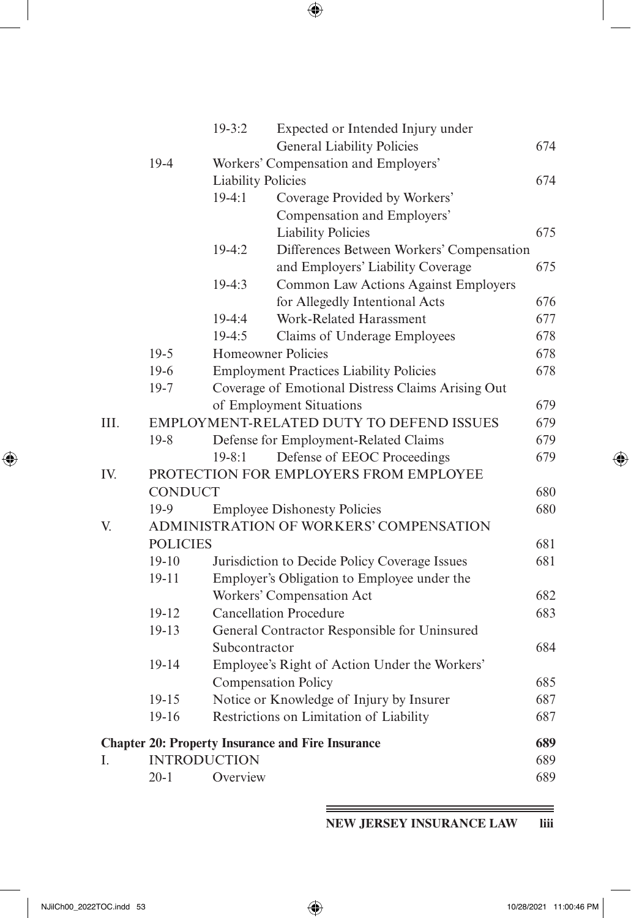|      |                 | $19 - 3:2$                | Expected or Intended Injury under<br><b>General Liability Policies</b> | 674 |
|------|-----------------|---------------------------|------------------------------------------------------------------------|-----|
|      | 19-4            |                           | Workers' Compensation and Employers'                                   |     |
|      |                 | <b>Liability Policies</b> |                                                                        | 674 |
|      |                 | $19-4:1$                  | Coverage Provided by Workers'                                          |     |
|      |                 |                           | Compensation and Employers'                                            |     |
|      |                 |                           | <b>Liability Policies</b>                                              | 675 |
|      |                 | $19-4:2$                  | Differences Between Workers' Compensation                              |     |
|      |                 |                           | and Employers' Liability Coverage                                      | 675 |
|      |                 | $19-4:3$                  | Common Law Actions Against Employers                                   |     |
|      |                 |                           | for Allegedly Intentional Acts                                         | 676 |
|      |                 | 19-4:4                    | Work-Related Harassment                                                | 677 |
|      |                 | $19-4:5$                  | Claims of Underage Employees                                           | 678 |
|      | $19-5$          |                           | Homeowner Policies                                                     | 678 |
|      | 19-6            |                           | <b>Employment Practices Liability Policies</b>                         | 678 |
|      | $19-7$          |                           | Coverage of Emotional Distress Claims Arising Out                      |     |
|      |                 |                           | of Employment Situations                                               | 679 |
| III. |                 |                           | EMPLOYMENT-RELATED DUTY TO DEFEND ISSUES                               | 679 |
|      | $19-8$          |                           | Defense for Employment-Related Claims                                  | 679 |
|      |                 | $19 - 8:1$                | Defense of EEOC Proceedings                                            | 679 |
| IV.  |                 |                           | PROTECTION FOR EMPLOYERS FROM EMPLOYEE                                 |     |
|      | <b>CONDUCT</b>  |                           |                                                                        | 680 |
|      | $19-9$          |                           | <b>Employee Dishonesty Policies</b>                                    | 680 |
| V.   |                 |                           | ADMINISTRATION OF WORKERS' COMPENSATION                                |     |
|      | <b>POLICIES</b> |                           |                                                                        | 681 |
|      | $19-10$         |                           | Jurisdiction to Decide Policy Coverage Issues                          | 681 |
|      | $19 - 11$       |                           | Employer's Obligation to Employee under the                            |     |
|      |                 |                           | Workers' Compensation Act                                              | 682 |
|      | 19-12           |                           | <b>Cancellation Procedure</b>                                          | 683 |
|      | $19 - 13$       |                           | General Contractor Responsible for Uninsured                           |     |
|      |                 | Subcontractor             |                                                                        | 684 |
|      | 19-14           |                           | Employee's Right of Action Under the Workers'                          |     |
|      |                 |                           | <b>Compensation Policy</b>                                             | 685 |
|      | $19 - 15$       |                           | Notice or Knowledge of Injury by Insurer                               | 687 |
|      | 19-16           |                           | Restrictions on Limitation of Liability                                | 687 |
|      |                 |                           | <b>Chapter 20: Property Insurance and Fire Insurance</b>               | 689 |
| I.   |                 | <b>INTRODUCTION</b>       |                                                                        | 689 |
|      | $20 - 1$        | Overview                  |                                                                        | 689 |

**NEW JERSEY INSURANCE LAW liii**

<span id="page-38-0"></span> $\overline{\phantom{a}}$ 

 $\bigoplus$ 

 $=$ 

 $\bigoplus$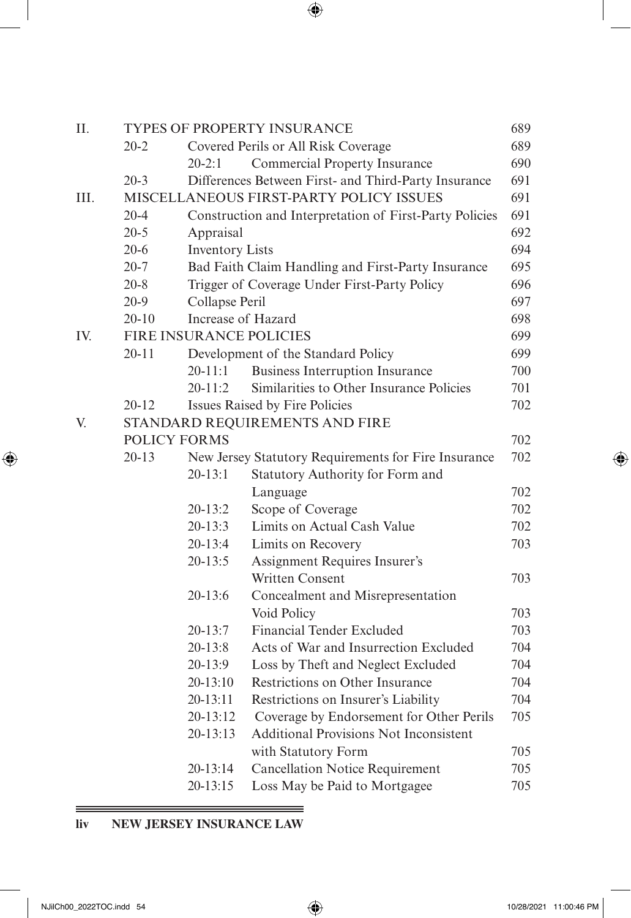| Π.   |                     |                        | <b>TYPES OF PROPERTY INSURANCE</b>                      | 689 |
|------|---------------------|------------------------|---------------------------------------------------------|-----|
|      | $20 - 2$            |                        | Covered Perils or All Risk Coverage                     | 689 |
|      |                     | 20-2:1                 | <b>Commercial Property Insurance</b>                    | 690 |
|      | $20 - 3$            |                        | Differences Between First- and Third-Party Insurance    | 691 |
| III. |                     |                        | MISCELLANEOUS FIRST-PARTY POLICY ISSUES                 | 691 |
|      | $20 - 4$            |                        | Construction and Interpretation of First-Party Policies | 691 |
|      | $20 - 5$            | Appraisal              |                                                         | 692 |
|      | $20 - 6$            | <b>Inventory Lists</b> |                                                         | 694 |
|      | $20 - 7$            |                        | Bad Faith Claim Handling and First-Party Insurance      | 695 |
|      | $20 - 8$            |                        | Trigger of Coverage Under First-Party Policy            | 696 |
|      | $20-9$              | Collapse Peril         |                                                         | 697 |
|      | $20-10$             | Increase of Hazard     |                                                         | 698 |
| IV.  |                     |                        | <b>FIRE INSURANCE POLICIES</b>                          | 699 |
|      | $20 - 11$           |                        | Development of the Standard Policy                      | 699 |
|      |                     | $20 - 11:1$            | <b>Business Interruption Insurance</b>                  | 700 |
|      |                     | $20 - 11:2$            | Similarities to Other Insurance Policies                | 701 |
|      | $20 - 12$           |                        | Issues Raised by Fire Policies                          | 702 |
| V.   |                     |                        | STANDARD REQUIREMENTS AND FIRE                          |     |
|      | <b>POLICY FORMS</b> |                        |                                                         | 702 |
|      | $20 - 13$           |                        | New Jersey Statutory Requirements for Fire Insurance    | 702 |
|      |                     | $20 - 13:1$            | Statutory Authority for Form and                        |     |
|      |                     |                        | Language                                                | 702 |
|      |                     | 20-13:2                | Scope of Coverage                                       | 702 |
|      |                     | $20 - 13:3$            | Limits on Actual Cash Value                             | 702 |
|      |                     | $20 - 13:4$            | Limits on Recovery                                      | 703 |
|      |                     | $20 - 13:5$            | Assignment Requires Insurer's                           |     |
|      |                     |                        | <b>Written Consent</b>                                  | 703 |
|      |                     | 20-13:6                | Concealment and Misrepresentation                       |     |
|      |                     |                        | Void Policy                                             | 703 |
|      |                     | $20 - 13:7$            | <b>Financial Tender Excluded</b>                        | 703 |
|      |                     | $20 - 13:8$            | Acts of War and Insurrection Excluded                   | 704 |
|      |                     | $20 - 13:9$            | Loss by Theft and Neglect Excluded                      | 704 |
|      |                     | 20-13:10               | Restrictions on Other Insurance                         | 704 |
|      |                     | $20 - 13:11$           | Restrictions on Insurer's Liability                     | 704 |
|      |                     | 20-13:12               | Coverage by Endorsement for Other Perils                | 705 |
|      |                     | 20-13:13               | <b>Additional Provisions Not Inconsistent</b>           |     |
|      |                     |                        | with Statutory Form                                     | 705 |
|      |                     | 20-13:14               | <b>Cancellation Notice Requirement</b>                  | 705 |
|      |                     | 20-13:15               | Loss May be Paid to Mortgagee                           | 705 |

# **liv NEW JERSEY INSURANCE LAW**

 $\qquad \qquad =\qquad$ 

<span id="page-39-0"></span> $\overline{\phantom{a}}$ 

 $\bigoplus$ 

 $\bigoplus$ 

 $=$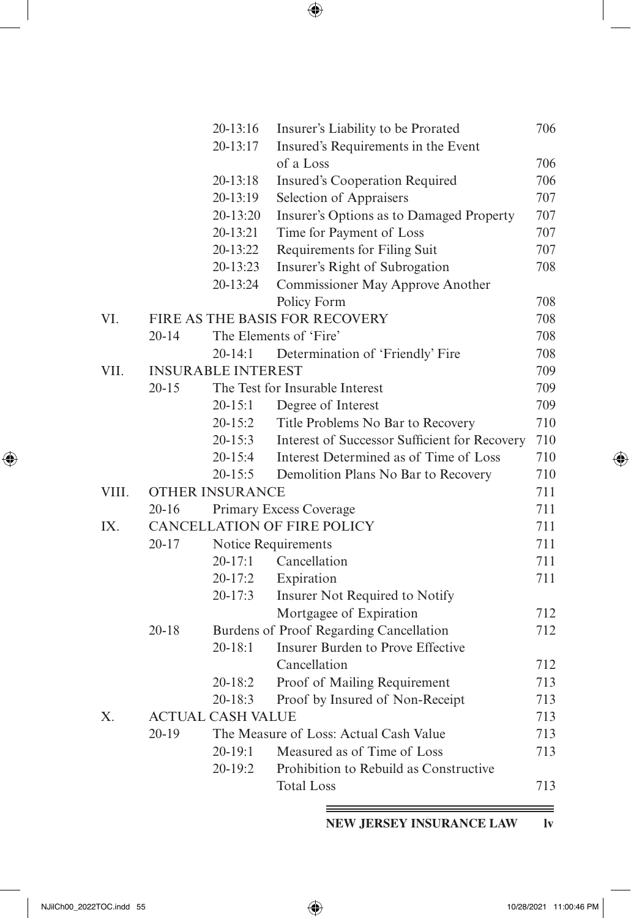<span id="page-40-0"></span>

|       |           | 20-13:16                  | Insurer's Liability to be Prorated            | 706 |
|-------|-----------|---------------------------|-----------------------------------------------|-----|
|       |           | 20-13:17                  | Insured's Requirements in the Event           |     |
|       |           |                           | of a Loss                                     | 706 |
|       |           | 20-13:18                  | <b>Insured's Cooperation Required</b>         | 706 |
|       |           | 20-13:19                  | Selection of Appraisers                       | 707 |
|       |           | 20-13:20                  | Insurer's Options as to Damaged Property      | 707 |
|       |           | 20-13:21                  | Time for Payment of Loss                      | 707 |
|       |           | 20-13:22                  | Requirements for Filing Suit                  | 707 |
|       |           | 20-13:23                  | Insurer's Right of Subrogation                | 708 |
|       |           | 20-13:24                  | Commissioner May Approve Another              |     |
|       |           |                           | Policy Form                                   | 708 |
| VI.   |           |                           | FIRE AS THE BASIS FOR RECOVERY                | 708 |
|       | $20 - 14$ |                           | The Elements of 'Fire'                        | 708 |
|       |           | $20 - 14:1$               | Determination of 'Friendly' Fire              | 708 |
| VII.  |           | <b>INSURABLE INTEREST</b> |                                               | 709 |
|       | $20 - 15$ |                           | The Test for Insurable Interest               | 709 |
|       |           | $20 - 15:1$               | Degree of Interest                            | 709 |
|       |           | $20 - 15:2$               | Title Problems No Bar to Recovery             | 710 |
|       |           | 20-15:3                   | Interest of Successor Sufficient for Recovery | 710 |
|       |           | $20 - 15:4$               | Interest Determined as of Time of Loss        | 710 |
|       |           | $20 - 15:5$               | Demolition Plans No Bar to Recovery           | 710 |
| VIII. |           | <b>OTHER INSURANCE</b>    |                                               | 711 |
|       | $20 - 16$ |                           | Primary Excess Coverage                       | 711 |
| IX.   |           |                           | <b>CANCELLATION OF FIRE POLICY</b>            | 711 |
|       | $20 - 17$ |                           | Notice Requirements                           | 711 |
|       |           | $20 - 17:1$               | Cancellation                                  | 711 |
|       |           | $20 - 17:2$               | Expiration                                    | 711 |
|       |           | $20 - 17:3$               | Insurer Not Required to Notify                |     |
|       |           |                           | Mortgagee of Expiration                       | 712 |
|       | $20 - 18$ |                           | Burdens of Proof Regarding Cancellation       | 712 |
|       |           | $20 - 18:1$               | Insurer Burden to Prove Effective             |     |
|       |           |                           | Cancellation                                  | 712 |
|       |           | 20-18:2                   | Proof of Mailing Requirement                  | 713 |
|       |           | $20 - 18:3$               | Proof by Insured of Non-Receipt               | 713 |
| X.    |           | <b>ACTUAL CASH VALUE</b>  |                                               | 713 |
|       | $20-19$   |                           | The Measure of Loss: Actual Cash Value        | 713 |
|       |           | $20-19:1$                 | Measured as of Time of Loss                   | 713 |
|       |           | 20-19:2                   | Prohibition to Rebuild as Constructive        |     |
|       |           |                           | <b>Total Loss</b>                             | 713 |

**NEW JERSEY INSURANCE LAW lv**

=

 $\bigoplus$ 

 $\bigoplus$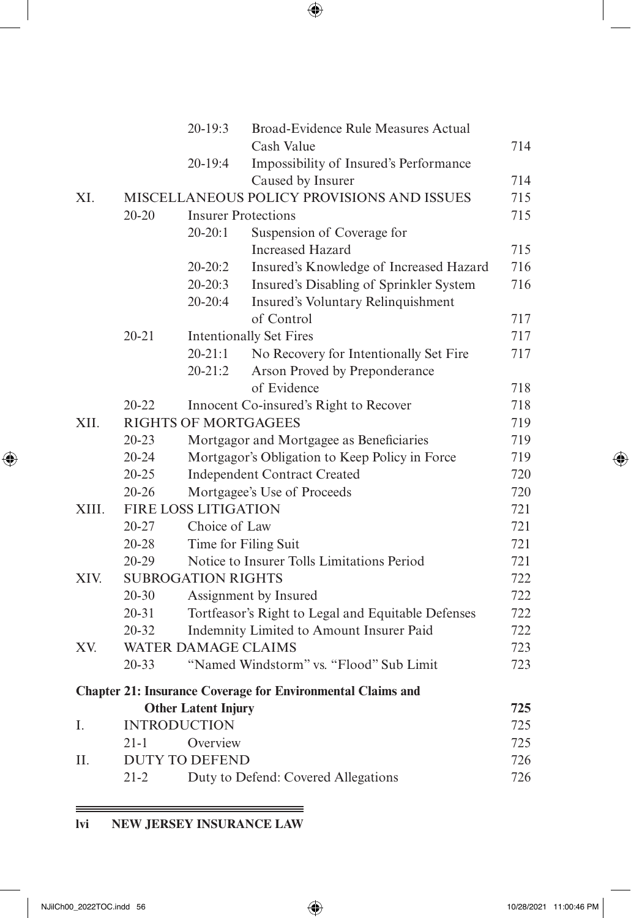|       |           | $20 - 19:3$                 | <b>Broad-Evidence Rule Measures Actual</b>                         |     |
|-------|-----------|-----------------------------|--------------------------------------------------------------------|-----|
|       |           |                             | Cash Value                                                         | 714 |
|       |           | 20-19:4                     | Impossibility of Insured's Performance                             |     |
|       |           |                             | Caused by Insurer                                                  | 714 |
| XI.   |           |                             | MISCELLANEOUS POLICY PROVISIONS AND ISSUES                         | 715 |
|       | $20 - 20$ |                             | <b>Insurer Protections</b>                                         | 715 |
|       |           | $20 - 20:1$                 | Suspension of Coverage for                                         |     |
|       |           |                             | <b>Increased Hazard</b>                                            | 715 |
|       |           | $20 - 20:2$                 | Insured's Knowledge of Increased Hazard                            | 716 |
|       |           | $20 - 20:3$                 | Insured's Disabling of Sprinkler System                            | 716 |
|       |           | $20-20:4$                   | Insured's Voluntary Relinquishment                                 |     |
|       |           |                             | of Control                                                         | 717 |
|       | 20-21     |                             | <b>Intentionally Set Fires</b>                                     | 717 |
|       |           | $20 - 21:1$                 | No Recovery for Intentionally Set Fire                             | 717 |
|       |           | $20 - 21:2$                 | Arson Proved by Preponderance                                      |     |
|       |           |                             | of Evidence                                                        | 718 |
|       | 20-22     |                             | Innocent Co-insured's Right to Recover                             | 718 |
| XII.  |           | <b>RIGHTS OF MORTGAGEES</b> |                                                                    | 719 |
|       | $20 - 23$ |                             | Mortgagor and Mortgagee as Beneficiaries                           | 719 |
|       | $20 - 24$ |                             | Mortgagor's Obligation to Keep Policy in Force                     | 719 |
|       | $20 - 25$ |                             | <b>Independent Contract Created</b>                                | 720 |
|       | $20 - 26$ |                             | Mortgagee's Use of Proceeds                                        | 720 |
| XIII. |           | <b>FIRE LOSS LITIGATION</b> |                                                                    | 721 |
|       | 20-27     | Choice of Law               |                                                                    | 721 |
|       | $20 - 28$ |                             | Time for Filing Suit                                               | 721 |
|       | $20 - 29$ |                             | Notice to Insurer Tolls Limitations Period                         | 721 |
| XIV.  |           | <b>SUBROGATION RIGHTS</b>   |                                                                    | 722 |
|       | $20 - 30$ |                             | Assignment by Insured                                              | 722 |
|       | $20 - 31$ |                             | Tortfeasor's Right to Legal and Equitable Defenses                 | 722 |
|       | $20 - 32$ |                             | Indemnity Limited to Amount Insurer Paid                           | 722 |
| XV.   |           | <b>WATER DAMAGE CLAIMS</b>  |                                                                    | 723 |
|       | $20 - 33$ |                             | "Named Windstorm" vs. "Flood" Sub Limit                            | 723 |
|       |           |                             | <b>Chapter 21: Insurance Coverage for Environmental Claims and</b> |     |
|       |           | <b>Other Latent Injury</b>  |                                                                    | 725 |
| I.    |           | <b>INTRODUCTION</b>         |                                                                    | 725 |
|       | $21 - 1$  | Overview                    |                                                                    | 725 |
| II.   |           | <b>DUTY TO DEFEND</b>       |                                                                    | 726 |
|       | $21 - 2$  |                             | Duty to Defend: Covered Allegations                                | 726 |

# **lvi NEW JERSEY INSURANCE LAW**

<u> 1989 - Johann Stoff, deutscher Stoffen und der Stoffen und der Stoffen und der Stoffen und der Stoffen und der</u>

<span id="page-41-0"></span> $\overline{\phantom{a}}$ 

 $\bigoplus$ 

 $\bigoplus$ 

 $=$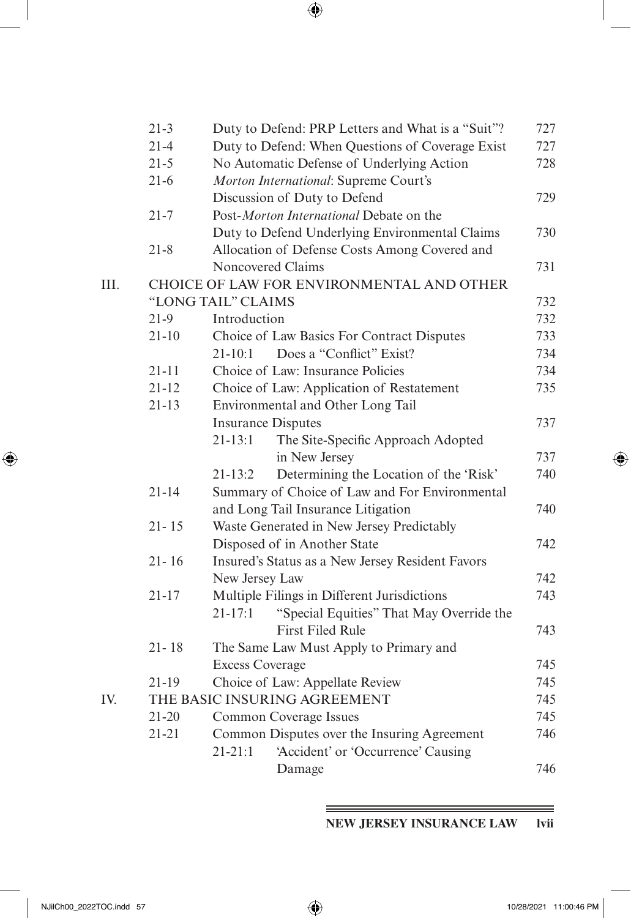<span id="page-42-0"></span>

|      | $21 - 3$  | Duty to Defend: PRP Letters and What is a "Suit"?       | 727 |
|------|-----------|---------------------------------------------------------|-----|
|      | $21 - 4$  | Duty to Defend: When Questions of Coverage Exist        | 727 |
|      | $21 - 5$  | No Automatic Defense of Underlying Action               | 728 |
|      | $21 - 6$  | Morton International: Supreme Court's                   |     |
|      |           | Discussion of Duty to Defend                            | 729 |
|      | $21 - 7$  | Post-Morton International Debate on the                 |     |
|      |           | Duty to Defend Underlying Environmental Claims          | 730 |
|      | $21 - 8$  | Allocation of Defense Costs Among Covered and           |     |
|      |           | Noncovered Claims                                       | 731 |
| III. |           | CHOICE OF LAW FOR ENVIRONMENTAL AND OTHER               |     |
|      |           | "LONG TAIL" CLAIMS                                      | 732 |
|      | $21-9$    | Introduction                                            | 732 |
|      | $21 - 10$ | Choice of Law Basics For Contract Disputes              | 733 |
|      |           | Does a "Conflict" Exist?<br>$21 - 10:1$                 | 734 |
|      | $21 - 11$ | Choice of Law: Insurance Policies                       | 734 |
|      | $21 - 12$ | Choice of Law: Application of Restatement               | 735 |
|      | $21 - 13$ | Environmental and Other Long Tail                       |     |
|      |           | <b>Insurance Disputes</b>                               | 737 |
|      |           | $21 - 13:1$<br>The Site-Specific Approach Adopted       |     |
|      |           | in New Jersey                                           | 737 |
|      |           | Determining the Location of the 'Risk'<br>$21 - 13:2$   | 740 |
|      | $21 - 14$ | Summary of Choice of Law and For Environmental          |     |
|      |           | and Long Tail Insurance Litigation                      | 740 |
|      | $21 - 15$ | Waste Generated in New Jersey Predictably               |     |
|      |           | Disposed of in Another State                            | 742 |
|      | $21 - 16$ | Insured's Status as a New Jersey Resident Favors        |     |
|      |           | New Jersey Law                                          | 742 |
|      | $21 - 17$ | Multiple Filings in Different Jurisdictions             | 743 |
|      |           | "Special Equities" That May Override the<br>$21 - 17:1$ |     |
|      |           | <b>First Filed Rule</b>                                 | 743 |
|      | $21 - 18$ | The Same Law Must Apply to Primary and                  |     |
|      |           | <b>Excess Coverage</b>                                  | 745 |
|      | $21 - 19$ | Choice of Law: Appellate Review                         | 745 |
| IV.  |           | THE BASIC INSURING AGREEMENT                            | 745 |
|      | $21 - 20$ | Common Coverage Issues                                  | 745 |
|      | $21 - 21$ | Common Disputes over the Insuring Agreement             | 746 |
|      |           | $21 - 21:1$<br>'Accident' or 'Occurrence' Causing       |     |
|      |           | Damage                                                  | 746 |
|      |           |                                                         |     |

**NEW JERSEY INSURANCE LAW lvii**

 $\bigoplus$ 

=

 $\bigoplus$ 

Ξ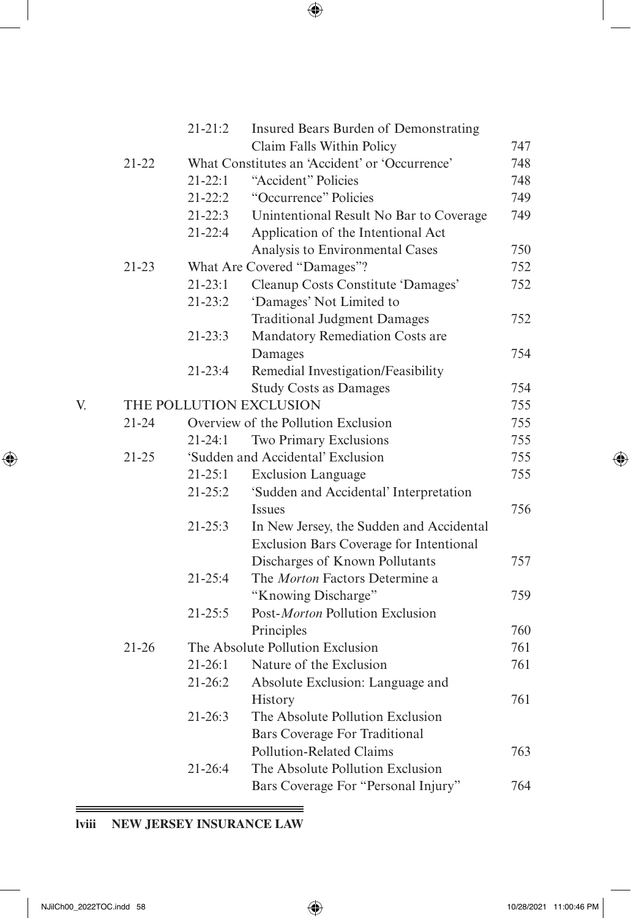|    |           | $21 - 21:2$ | Insured Bears Burden of Demonstrating                                                                                                                      |     |
|----|-----------|-------------|------------------------------------------------------------------------------------------------------------------------------------------------------------|-----|
|    |           |             | Claim Falls Within Policy                                                                                                                                  | 747 |
|    | 21-22     |             | What Constitutes an 'Accident' or 'Occurrence'                                                                                                             | 748 |
|    |           | $21 - 22:1$ | "Accident" Policies                                                                                                                                        | 748 |
|    |           | $21 - 22:2$ | "Occurrence" Policies                                                                                                                                      | 749 |
|    |           | $21 - 22:3$ | Unintentional Result No Bar to Coverage                                                                                                                    | 749 |
|    |           | $21 - 22:4$ | Application of the Intentional Act                                                                                                                         |     |
|    |           |             | Analysis to Environmental Cases                                                                                                                            | 750 |
|    | $21 - 23$ |             | What Are Covered "Damages"?                                                                                                                                | 752 |
|    |           | $21 - 23:1$ | Cleanup Costs Constitute 'Damages'                                                                                                                         | 752 |
|    |           | $21 - 23:2$ | 'Damages' Not Limited to                                                                                                                                   |     |
|    |           |             | <b>Traditional Judgment Damages</b>                                                                                                                        | 752 |
|    |           | $21 - 23:3$ | Mandatory Remediation Costs are                                                                                                                            |     |
|    |           |             | Damages                                                                                                                                                    | 754 |
|    |           | $21 - 23:4$ | Remedial Investigation/Feasibility                                                                                                                         |     |
|    |           |             | <b>Study Costs as Damages</b>                                                                                                                              | 754 |
| V. |           |             |                                                                                                                                                            | 755 |
|    | $21 - 24$ |             |                                                                                                                                                            | 755 |
|    |           | 21-24:1     | THE POLLUTION EXCLUSION<br>Overview of the Pollution Exclusion<br>Two Primary Exclusions<br>'Sudden and Accidental' Exclusion<br><b>Exclusion Language</b> | 755 |
|    | $21 - 25$ |             |                                                                                                                                                            | 755 |
|    |           | $21 - 25:1$ |                                                                                                                                                            | 755 |
|    |           | $21 - 25:2$ | 'Sudden and Accidental' Interpretation                                                                                                                     |     |
|    |           |             | <i>Issues</i>                                                                                                                                              | 756 |
|    |           | 21-25:3     | In New Jersey, the Sudden and Accidental                                                                                                                   |     |
|    |           |             | Exclusion Bars Coverage for Intentional                                                                                                                    |     |
|    |           |             | Discharges of Known Pollutants                                                                                                                             | 757 |
|    |           | 21-25:4     | The Morton Factors Determine a                                                                                                                             |     |
|    |           |             | "Knowing Discharge"                                                                                                                                        | 759 |
|    |           | $21 - 25:5$ | Post-Morton Pollution Exclusion                                                                                                                            |     |
|    |           |             | Principles                                                                                                                                                 | 760 |
|    | $21 - 26$ |             | The Absolute Pollution Exclusion                                                                                                                           | 761 |
|    |           | $21 - 26:1$ | Nature of the Exclusion                                                                                                                                    | 761 |
|    |           | $21 - 26:2$ | Absolute Exclusion: Language and                                                                                                                           |     |
|    |           |             | History                                                                                                                                                    | 761 |
|    |           | $21 - 26:3$ | The Absolute Pollution Exclusion                                                                                                                           |     |
|    |           |             | <b>Bars Coverage For Traditional</b>                                                                                                                       |     |
|    |           |             | Pollution-Related Claims                                                                                                                                   | 763 |
|    |           | 21-26:4     | The Absolute Pollution Exclusion                                                                                                                           |     |
|    |           |             | Bars Coverage For "Personal Injury"                                                                                                                        | 764 |
|    |           |             |                                                                                                                                                            |     |

# **lviii NEW JERSEY INSURANCE LAW**

 $\qquad \qquad =$ 

<span id="page-43-0"></span> $\overline{\phantom{a}}$ 

 $\bigoplus$ 

 $\bigoplus$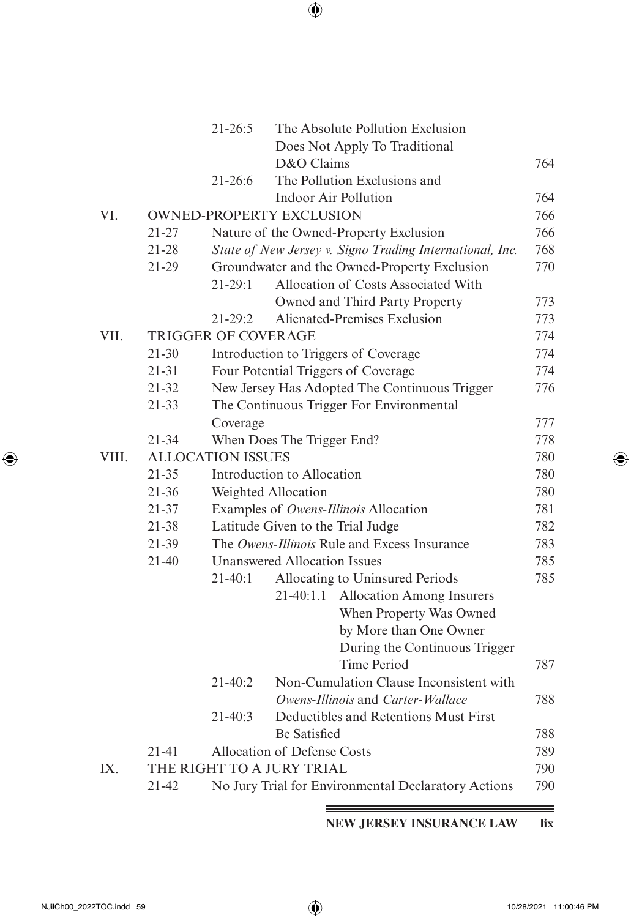|       |           | $21 - 26:5$                | The Absolute Pollution Exclusion                                                                         |            |
|-------|-----------|----------------------------|----------------------------------------------------------------------------------------------------------|------------|
|       |           |                            | Does Not Apply To Traditional                                                                            |            |
|       |           |                            | D&O Claims                                                                                               | 764        |
|       |           | $21 - 26:6$                | The Pollution Exclusions and                                                                             |            |
| VI.   |           |                            | <b>Indoor Air Pollution</b><br><b>OWNED-PROPERTY EXCLUSION</b>                                           | 764<br>766 |
|       | $21 - 27$ |                            |                                                                                                          | 766        |
|       | $21 - 28$ |                            | Nature of the Owned-Property Exclusion                                                                   |            |
|       | $21-29$   |                            | State of New Jersey v. Signo Trading International, Inc.<br>Groundwater and the Owned-Property Exclusion | 768<br>770 |
|       |           | $21 - 29:1$                | Allocation of Costs Associated With                                                                      |            |
|       |           |                            | Owned and Third Party Property                                                                           | 773        |
|       |           | $21 - 29:2$                | Alienated-Premises Exclusion                                                                             | 773        |
| VII.  |           | <b>TRIGGER OF COVERAGE</b> |                                                                                                          | 774        |
|       | $21 - 30$ |                            | Introduction to Triggers of Coverage                                                                     | 774        |
|       | $21 - 31$ |                            | Four Potential Triggers of Coverage                                                                      | 774        |
|       | $21 - 32$ |                            | New Jersey Has Adopted The Continuous Trigger                                                            | 776        |
|       | $21 - 33$ |                            | The Continuous Trigger For Environmental                                                                 |            |
|       |           | Coverage                   |                                                                                                          | 777        |
|       | $21 - 34$ |                            | When Does The Trigger End?                                                                               | 778        |
| VIII. |           | <b>ALLOCATION ISSUES</b>   |                                                                                                          | 780        |
|       | $21 - 35$ |                            | Introduction to Allocation                                                                               | 780        |
|       | $21 - 36$ |                            | Weighted Allocation                                                                                      | 780        |
|       | 21-37     |                            | Examples of Owens-Illinois Allocation                                                                    | 781        |
|       | 21-38     |                            | Latitude Given to the Trial Judge                                                                        | 782        |
|       | 21-39     |                            | The Owens-Illinois Rule and Excess Insurance                                                             | 783        |
|       | $21 - 40$ |                            | <b>Unanswered Allocation Issues</b>                                                                      | 785        |
|       |           | $21 - 40:1$                | Allocating to Uninsured Periods                                                                          | 785        |
|       |           |                            | <b>Allocation Among Insurers</b><br>21-40:1.1                                                            |            |
|       |           |                            | When Property Was Owned                                                                                  |            |
|       |           |                            | by More than One Owner                                                                                   |            |
|       |           |                            | During the Continuous Trigger                                                                            |            |
|       |           |                            | Time Period                                                                                              | 787        |
|       |           | $21 - 40:2$                | Non-Cumulation Clause Inconsistent with                                                                  |            |
|       |           |                            | Owens-Illinois and Carter-Wallace                                                                        | 788        |
|       |           | $21-40:3$                  | Deductibles and Retentions Must First                                                                    |            |
|       |           |                            | <b>Be Satisfied</b>                                                                                      | 788        |
|       | $21 - 41$ |                            | Allocation of Defense Costs                                                                              | 789        |
| IX.   |           |                            | THE RIGHT TO A JURY TRIAL                                                                                | 790        |
|       | 21-42     |                            | No Jury Trial for Environmental Declaratory Actions                                                      | 790        |

**NEW JERSEY INSURANCE LAW lix**

<span id="page-44-0"></span> $\overline{\phantom{a}}$ 

 $\bigoplus$ 

═

 $\bigoplus$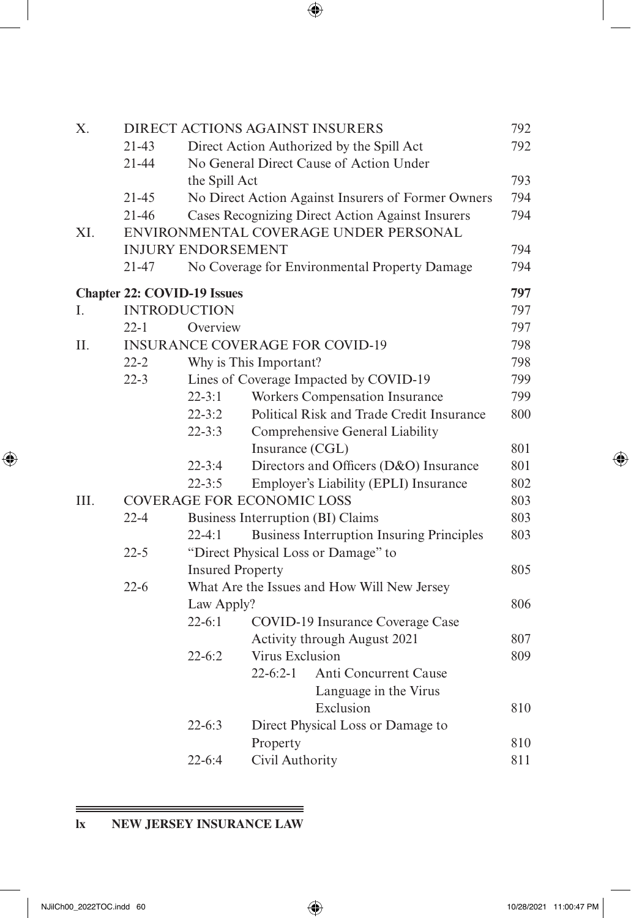| X.   |                     |                                    |                        | <b>DIRECT ACTIONS AGAINST INSURERS</b>             | 792 |
|------|---------------------|------------------------------------|------------------------|----------------------------------------------------|-----|
|      | $21-43$             |                                    |                        | Direct Action Authorized by the Spill Act          | 792 |
|      | $21 - 44$           |                                    |                        | No General Direct Cause of Action Under            |     |
|      |                     | the Spill Act                      |                        |                                                    | 793 |
|      | $21 - 45$           |                                    |                        | No Direct Action Against Insurers of Former Owners | 794 |
|      | 21-46               |                                    |                        | Cases Recognizing Direct Action Against Insurers   | 794 |
| XI.  |                     |                                    |                        | ENVIRONMENTAL COVERAGE UNDER PERSONAL              |     |
|      |                     | <b>INJURY ENDORSEMENT</b>          |                        |                                                    | 794 |
|      | 21-47               |                                    |                        | No Coverage for Environmental Property Damage      | 794 |
|      |                     | <b>Chapter 22: COVID-19 Issues</b> |                        |                                                    | 797 |
| I.   | <b>INTRODUCTION</b> |                                    |                        |                                                    | 797 |
|      | $22 - 1$            | Overview                           |                        |                                                    | 797 |
| Π.   |                     |                                    |                        | <b>INSURANCE COVERAGE FOR COVID-19</b>             | 798 |
|      | $22 - 2$            |                                    | Why is This Important? |                                                    | 798 |
|      | $22 - 3$            |                                    |                        | Lines of Coverage Impacted by COVID-19             | 799 |
|      |                     | $22 - 3:1$                         |                        | Workers Compensation Insurance                     | 799 |
|      |                     | $22 - 3:2$                         |                        | Political Risk and Trade Credit Insurance          | 800 |
|      |                     | $22 - 3:3$                         |                        | Comprehensive General Liability                    |     |
|      |                     |                                    | Insurance (CGL)        |                                                    | 801 |
|      |                     | $22 - 3:4$                         |                        | Directors and Officers (D&O) Insurance             | 801 |
|      |                     | $22 - 3:5$                         |                        | Employer's Liability (EPLI) Insurance              | 802 |
| III. |                     | <b>COVERAGE FOR ECONOMIC LOSS</b>  |                        |                                                    | 803 |
|      | $22 - 4$            |                                    |                        | Business Interruption (BI) Claims                  | 803 |
|      |                     | $22-4:1$                           |                        | <b>Business Interruption Insuring Principles</b>   | 803 |
|      | $22 - 5$            |                                    |                        | "Direct Physical Loss or Damage" to                |     |
|      |                     | <b>Insured Property</b>            |                        |                                                    | 805 |
|      | $22-6$              |                                    |                        | What Are the Issues and How Will New Jersey        |     |
|      |                     | Law Apply?                         |                        |                                                    | 806 |
|      |                     | $22-6:1$                           |                        | COVID-19 Insurance Coverage Case                   |     |
|      |                     |                                    |                        | Activity through August 2021                       | 807 |
|      |                     | $22 - 6:2$                         | Virus Exclusion        |                                                    | 809 |
|      |                     |                                    | $22-6:2-1$             | Anti Concurrent Cause                              |     |
|      |                     |                                    |                        | Language in the Virus                              |     |
|      |                     |                                    |                        | Exclusion                                          | 810 |
|      |                     | $22 - 6:3$                         |                        | Direct Physical Loss or Damage to                  |     |
|      |                     |                                    | Property               |                                                    | 810 |
|      |                     | $22 - 6:4$                         | Civil Authority        |                                                    | 811 |
|      |                     |                                    |                        |                                                    |     |

# **lx NEW JERSEY INSURANCE LAW**

 $\qquad \qquad =\qquad$ 

<span id="page-45-0"></span> $\overline{\phantom{a}}$ 

 $\bigoplus$ 

 $\bigoplus$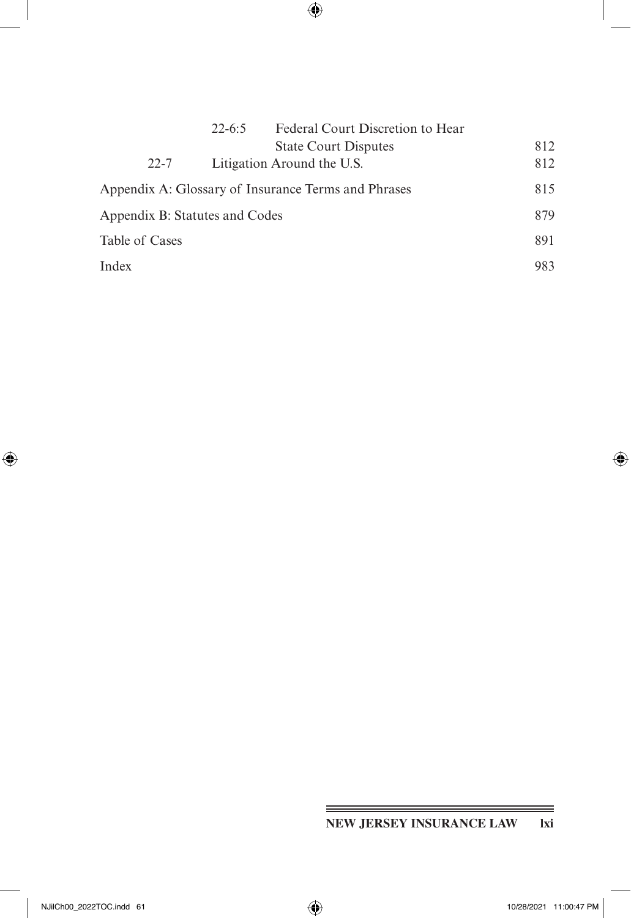|                                | $22 - 6:5$ | Federal Court Discretion to Hear                    |     |
|--------------------------------|------------|-----------------------------------------------------|-----|
|                                |            | <b>State Court Disputes</b>                         | 812 |
| $22 - 7$                       |            | Litigation Around the U.S.                          | 812 |
|                                |            | Appendix A: Glossary of Insurance Terms and Phrases | 815 |
| Appendix B: Statutes and Codes |            |                                                     | 879 |
| Table of Cases                 |            |                                                     | 891 |
| Index                          |            |                                                     | 983 |

# **NEW JERSEY INSURANCE LAW lxi**

<span id="page-46-0"></span> $\overline{\phantom{a}}$ 

 $\bigoplus$ 

═

 $\bigoplus$